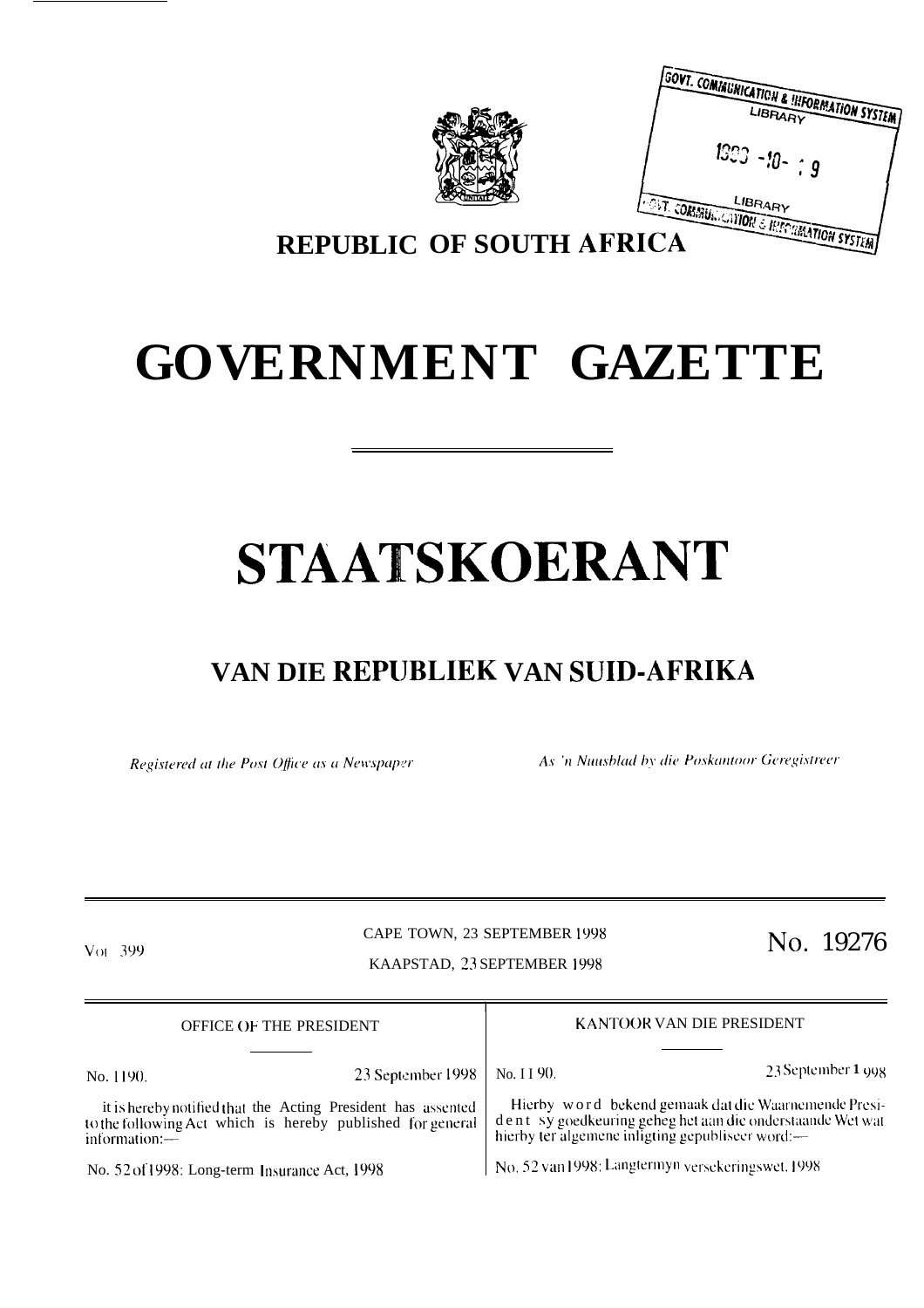|                                 | <b>GOVT. COMMUNICATION &amp; INFORMATION SYSTEM</b><br>1993 - $\eta$ - ; $g$ |
|---------------------------------|------------------------------------------------------------------------------|
| <b>REPUBLIC OF SOUTH AFRICA</b> | <b>INST. CORMUNICATION &amp; HIPPINGATION SYSTEM</b>                         |

# **GOVERNMENT GAZETTE**

# **STAATSKOERANT**

## **VAN DIE REPIJBLIEK VAN SUID-AFRIKA**

Registered at the Post Office as a Newspaper

As 'n Nuusblad by die Poskantoor Geregistreer

#### CAPE TOWN, 23 SEPTEMBER 1998  $V<sub>01</sub>$  399 CAPE TOWN, 23 SEPTEMBER 1998 No. 19276 KAAPSTAD, 23 SEPTEMBER 1998

| <b>OFFICE OF THE PRESIDENT</b>                                                                                                              |                   | KANTOOR VAN DIE PRESIDENT                                                                                                                                           |                                                   |
|---------------------------------------------------------------------------------------------------------------------------------------------|-------------------|---------------------------------------------------------------------------------------------------------------------------------------------------------------------|---------------------------------------------------|
| No. 1190.                                                                                                                                   | 23 September 1998 | No. I I 90.                                                                                                                                                         | 23 September 1 998                                |
| it is hereby notified that the Acting President has assented<br>to the following Act which is hereby published for general<br>information:- |                   | Hierby word bekend gemaak dat die Waarnemende Presi-<br>dent sy goedkeuring geheg het aan die onderstaande Wet wat hierby ter algemene inligting gepubliseer word:— |                                                   |
| No. 52 of 1998: Long-term Insurance Act, 1998                                                                                               |                   |                                                                                                                                                                     | No. 52 van 1998: Langtermyn versekeringswet, 1998 |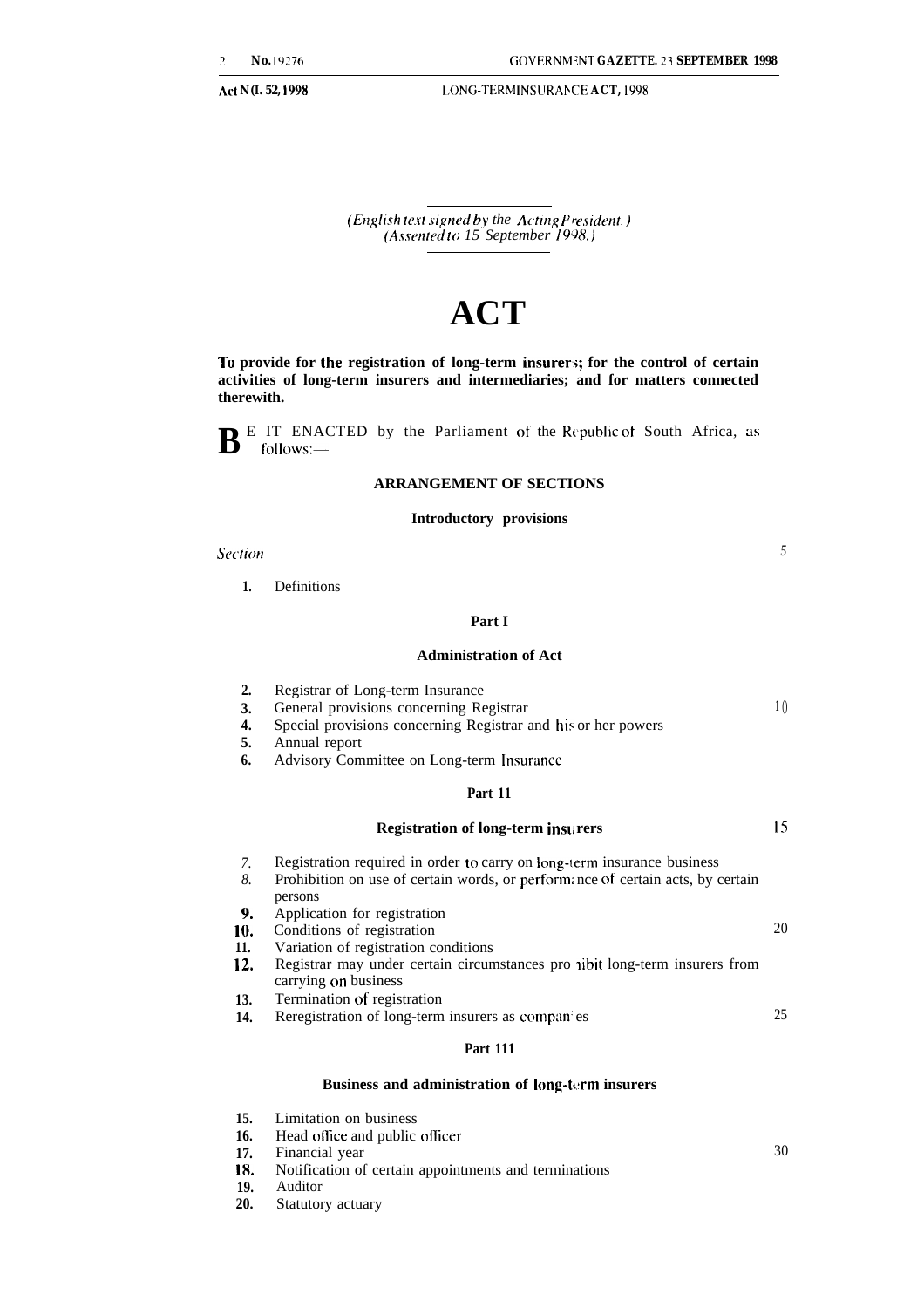*5*

30

**Act N(I. 52, 1998 [.GNG-TERM INSLIRAN CE ACT, 1998**

*(English te.rt signed by the Acting P~esidetzt. ) (A.wented to 15 September 1998.)*

## **ACT**

**To provide for the registration of long-term insurer;; for the control of certain activities of long-term insurers and intermediaries; and for matters connected therewith.**

**B**<sup>E</sup> IT ENACTED by the Parliament of the Republic of South Africa, as follows:follows:-

#### **ARRANGEMENT OF SECTIONS**

#### **Introductory provisions**

*Sectim*

**1.** Definitions

### **Part I**

#### **Administration of Act**

| 2.  | Registrar of Long-term Insurance                                                                    |                |
|-----|-----------------------------------------------------------------------------------------------------|----------------|
| 3.  | General provisions concerning Registrar                                                             | 1 <sub>0</sub> |
| 4.  | Special provisions concerning Registrar and his or her powers                                       |                |
| 5.  | Annual report                                                                                       |                |
| 6.  | Advisory Committee on Long-term Insurance                                                           |                |
|     | Part 11                                                                                             |                |
|     | <b>Registration of long-term insurers</b>                                                           | 15             |
| 7.  | Registration required in order to carry on long-term insurance business                             |                |
| 8.  | Prohibition on use of certain words, or performance of certain acts, by certain<br>persons          |                |
| 9.  | Application for registration                                                                        |                |
| 10. | Conditions of registration                                                                          | 20             |
| 11. | Variation of registration conditions                                                                |                |
| 12. | Registrar may under certain circumstances pro nibit long-term insurers from<br>carrying on business |                |
| 13. | Termination of registration                                                                         |                |
| 14. | Reregistration of long-term insurers as compan es                                                   | 25             |
|     | <b>Part 111</b>                                                                                     |                |

#### **Business and administration of long-term insurers**

- **15.** Limitation on business
- **16.** Head office and public officer
- **17.** Financial year
- **18.** Notification of certain appointments and terminations
- **19.** Auditor
- **20.** Statutory actuary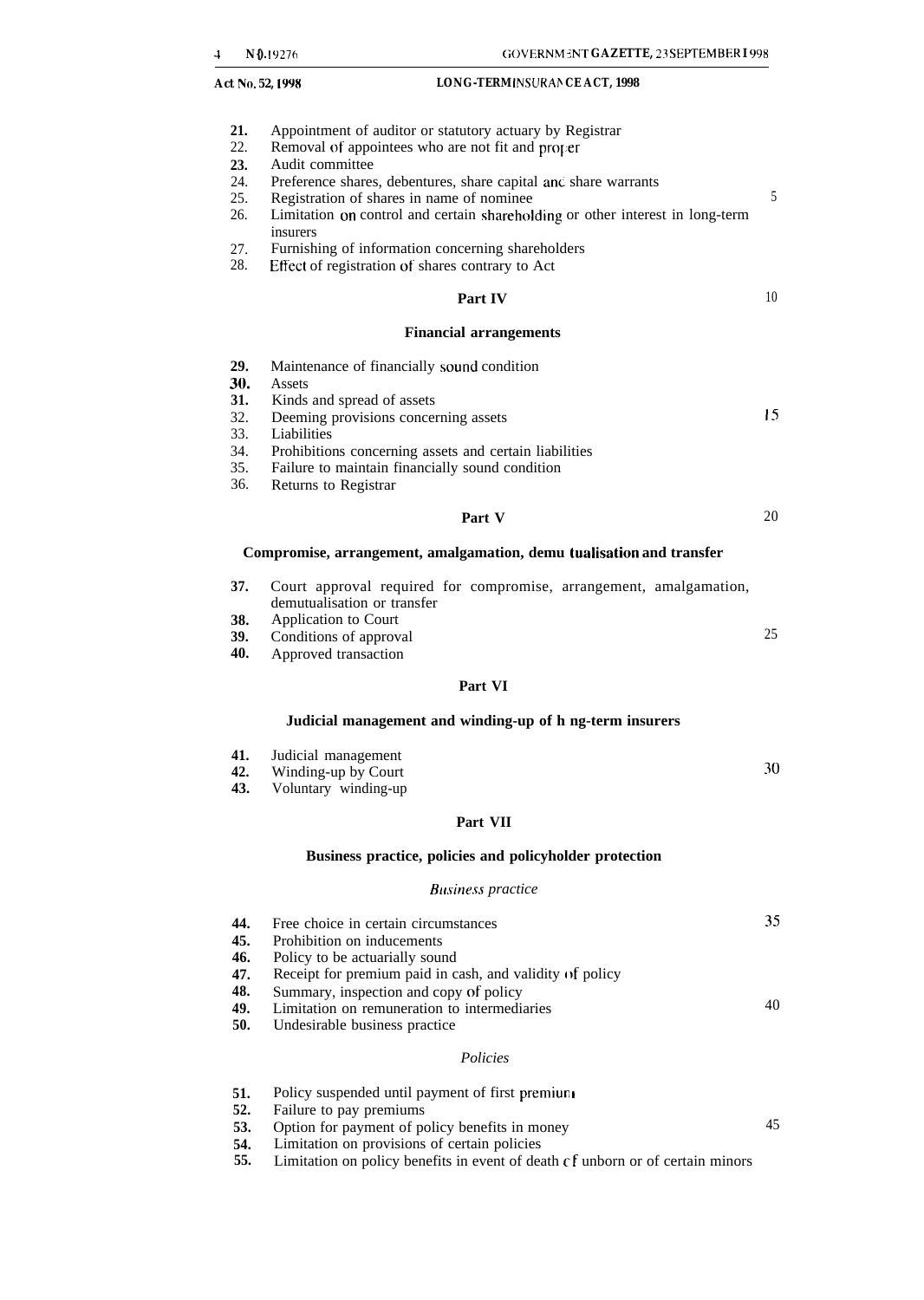- **21.** Appointment of auditor or statutory actuary by Registrar
- 22. Removal of appointees who are not fit and proper
- **23.** Audit committee
- 24. Preference shares, debentures, share capital and share warrants 25. Registration of shares in name of nominee
- **25. Registration of shares in name of nominee** 5
- 26. Limitation on control and certain shareholding or other interest in long-term insurers
- 27. Furnishing of information concerning shareholders
- 28. Effect of registration of shares contrary to Act

#### **Part IV**

#### **Financial arrangements**

- **29.** Maintenance of financially sound condition **30.** Assets **31.** Kinds **31.** Kinds and spread of assets 32. Deeming provisions concerned 32. Deeming provisions concerning assets Liabilities 34. Prohibitions concerning assets and certain liabilities 35. Failure to maintain financially sound condition Is
- 36. Returns to Registrar

#### **Part V** 20

**Compromise, arrangement, amalgamation, demu tualisation and transfer**

- **37.** Court approval required for compromise, arrangement, amalgamation, demutualisation or transfer
- **38.** Application to Court
- **39.** Conditions of approval
- **40.** Approved transaction

### **Part VI**

#### **Judicial management and winding-up of h ng-term insurers**

- **41. 42.** Judicial management Winding-up by Court
	- **43.** Voluntary winding-up

#### **Part VII**

#### **Business practice, policies and policyholder protection**

#### **Business practice**

| 44. | Free choice in certain circumstances                     | 35 |
|-----|----------------------------------------------------------|----|
| 45. | Prohibition on inducements                               |    |
| 46. | Policy to be actuarially sound                           |    |
| 47. | Receipt for premium paid in cash, and validity of policy |    |
| 48. | Summary, inspection and copy of policy                   |    |
| 49. | Limitation on remuneration to intermediaries             | 40 |
| 50. | Undesirable business practice                            |    |
|     | Policies                                                 |    |

- **51. 52.** Policy suspended until payment of first premiun Failure to pay premiums
- **53.** Option for payment of policy benefits in money
- **54.** Limitation on provisions of certain policies
- **55.** Limitation on policy benefits in event of death cf unborn or of certain minors

30

45

25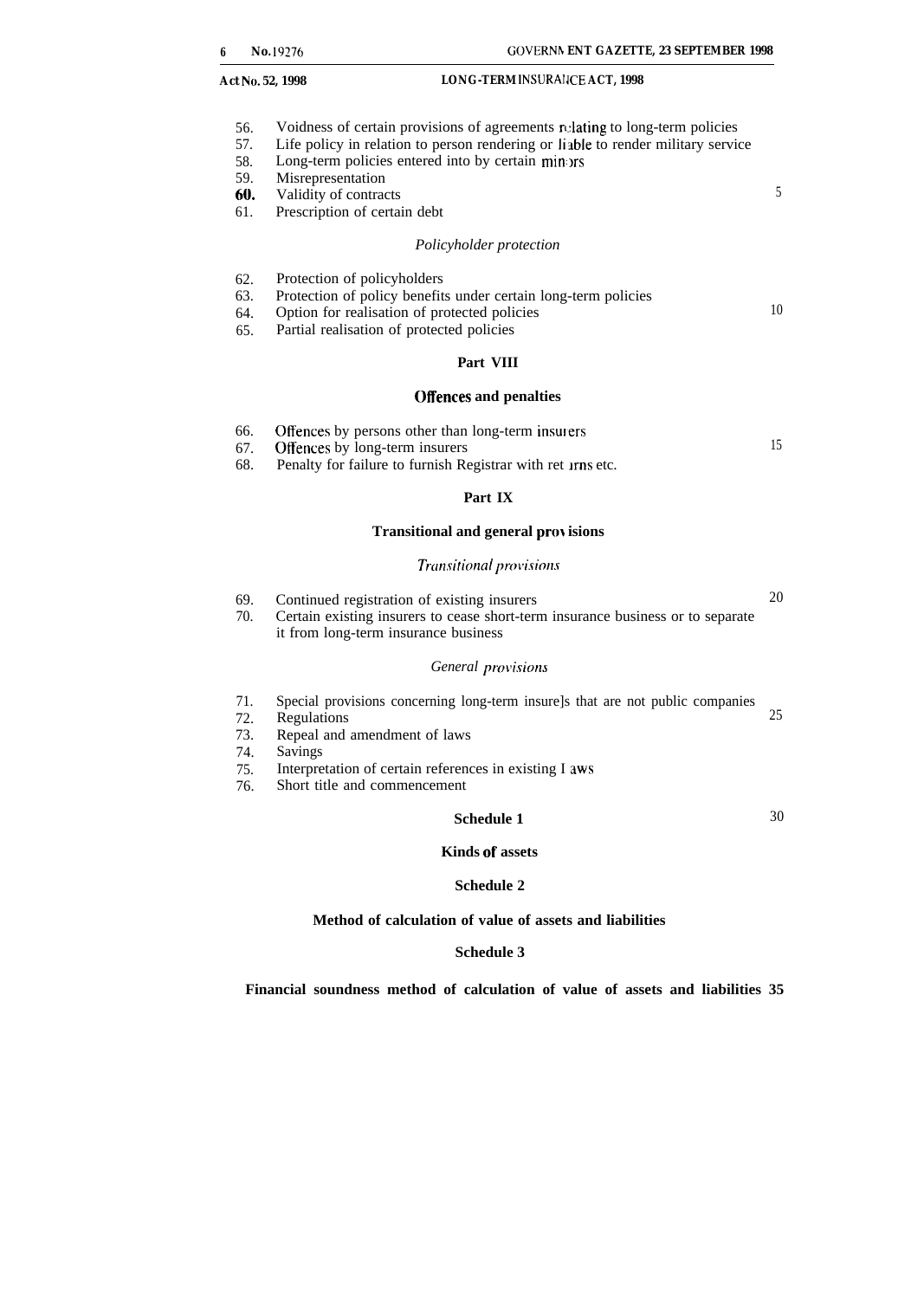- 56. Voidness of certain provisions of agreements relating to long-term policies
- 57. Life policy in relation to person rendering or liable to render military service
- 58. Long-term policies entered into by certain minors
- 59. Misrepresentation
- 60. Validity of contracts 5
- 61. Prescription of certain debt

#### *Policyholder protection*

- 62. Protection of policyholders
- 63. Protection of policy benefits under certain long-term policies
- 64. Option for realisation of protected policies
- 65. Partial realisation of protected policies

#### **Part VIII**

#### **Offences and penalties**

- 66. Offences by persons other than long-term insulers
- 67. Offences by long-term insurers
- 68. Penalty for failure to furnish Registrar with ret **Irns** etc.

#### **Part IX**

#### **Transitional and general provisions**

#### $Transitional$  *provisions*

69. 70. Continued registration of existing insurers 20 Certain existing insurers to cease short-term insurance business or to separate it from long-term insurance business

#### General provisions

- 71. Special provisions concerning long-term insure]s that are not public companies Regulations 25
- 72.
- 73. Repeal and amendment of laws
- 74. Savings
- 75. Interpretation of certain references in existing I aws
- 76. Short title and commencement

#### **Schedule 1** 30

10

15

#### **Kinds of assets**

#### **Schedule 2**

#### **Method of calculation of value of assets and liabilities**

#### **Schedule 3**

**Financial soundness method of calculation of value of assets and liabilities 35**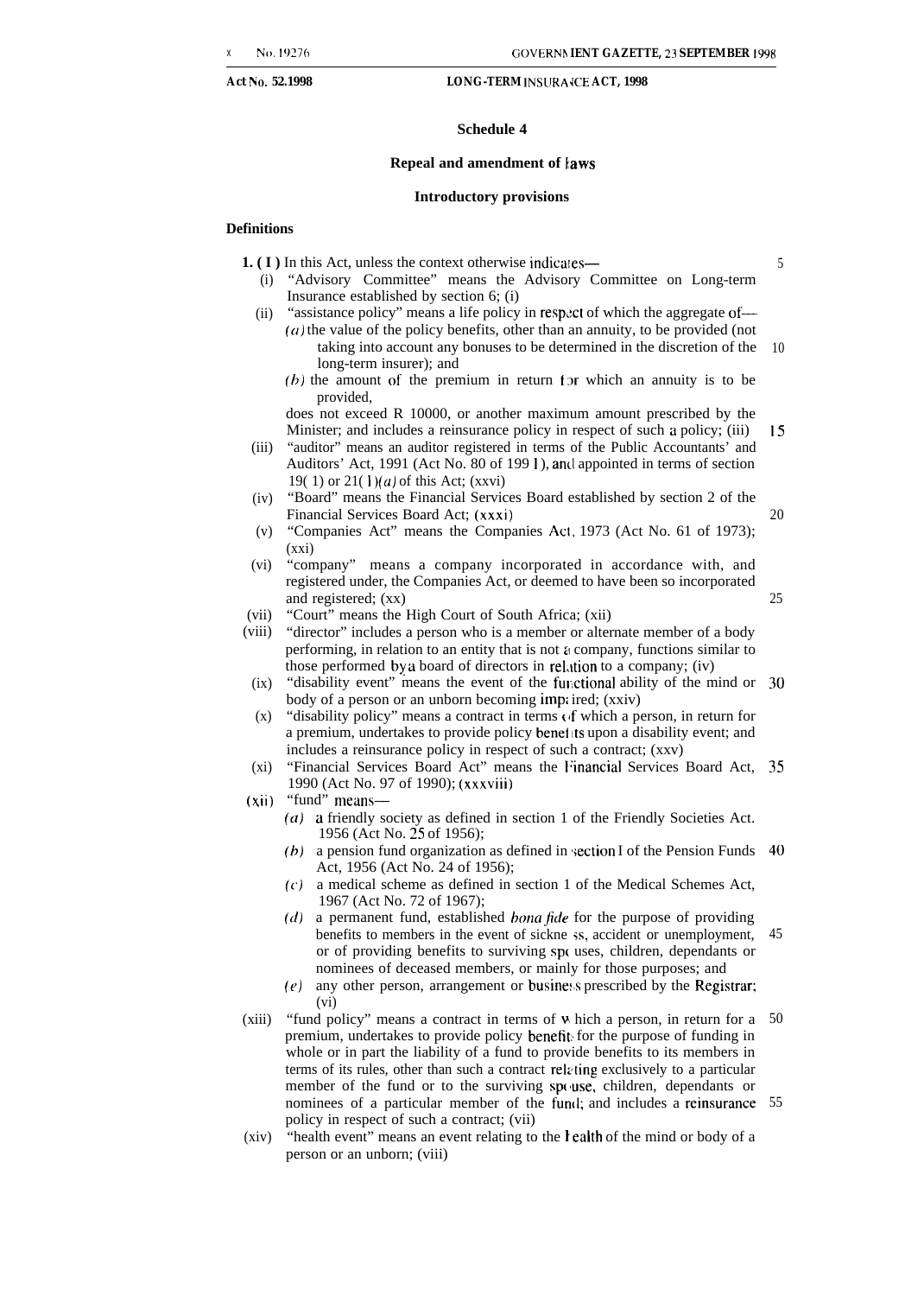5

15

20

25

#### **Act No. 52.1998 LONG-TERM INSURA <b>JCE ACT**, 1998

#### **Schedule 4**

#### **Repeal and amendment of iaws**

#### **Introductory provisions**

#### **Definitions**

**1.** (**I**) In this Act, unless the context otherwise indicates—

- (i) "Advisory Committee" means the Advisory Committee on Long-term Insurance established by section 6; (i)
- (ii) "assistance policy" means a life policy in respect of which the aggregate of—  $(a)$  the value of the policy benefits, other than an annuity, to be provided (not taking into account any bonuses to be determined in the discretion of the 10
	- long-term insurer); and  $(b)$  the amount of the premium in return for which an annuity is to be provided,

does not exceed R 10000, or another maximum amount prescribed by the Minister; and includes a reinsurance policy in respect of such a policy; (iii)

- (iii) "auditor" means an auditor registered in terms of the Public Accountants' and Auditors' Act, 1991 (Act No. 80 of 199 I ), aml appointed in terms of section 19( 1) or  $21(1)(a)$  of this Act; (xxvi)
- (iv) "Board" means the Financial Services Board established by section 2 of the Financial Services Board Act; (xxxi)
- (v) "Companies Act" means the Companies Act, 1973 (Act No. 61 of 1973); (xxi)
- (vi) "company" means a company incorporated in accordance with, and registered under, the Companies Act, or deemed to have been so incorporated and registered; (xx)
- (vii) "Court" means the High Court of South Africa; (xii)
- (viii) "director" includes a person who is a member or alternate member of a body performing, in relation to an entity that is not a company, functions similar to those performed by a board of directors in rel.ltion to a company; (iv)
- $(ix)$ "disability event" means the event of the functional ability of the mind or 30 body of a person or an unborn becoming imp; ired; (xxiv)
- (x) "disability policy" means a contract in terms (if which a person, in return for a premium, undertakes to provide policy benef ts upon a disability event; and includes a reinsurance policy in respect of such a contract; (xxv)
- (xi) "Financial Services Board Act" means the Financial Services Board Act, 35 1990 (Act No. 97 of 1990); (xxxviii)
- (xii) "fund" means—
	- $(a)$  a friendly society as defined in section 1 of the Friendly Societies Act. 1956 (Act No. 25 of 1956);
	- **(b)** a pension fund organization as defined in ;ection I of the Pension Funds 40 Act, 1956 (Act No. 24 of 1956);
	- **(c)** a medical scheme as defined in section 1 of the Medical Schemes Act, 1967 (Act No. 72 of 1967);
	- $(d)$  a permanent fund, established *bona fide* for the purpose of providing benefits to members in the event of sickne ;s, accident or unemployment, or of providing benefits to surviving sp( uses, children, dependants or nominees of deceased members, or mainly for those purposes; and 45
	- $(e)$ any other person, arrangement or business prescribed by the Registrar; (vi)
- $(xiii)$ "fund policy" means a contract in terms of v. hich a person, in return for a premium, undertakes to provide policy benefit for the purpose of funding in whole or in part the liability of a fund to provide benefits to its members in terms of its rules, other than such a contract relzting exclusively to a particular member of the fund or to the surviving spouse, children, dependants or nominees of a particular member of the fuml; and includes a reinsurance 55policy in respect of such a contract; (vii) 50
- (xiv) "health event" means an event relating to the lealth of the mind or body of a person or an unborn; (viii)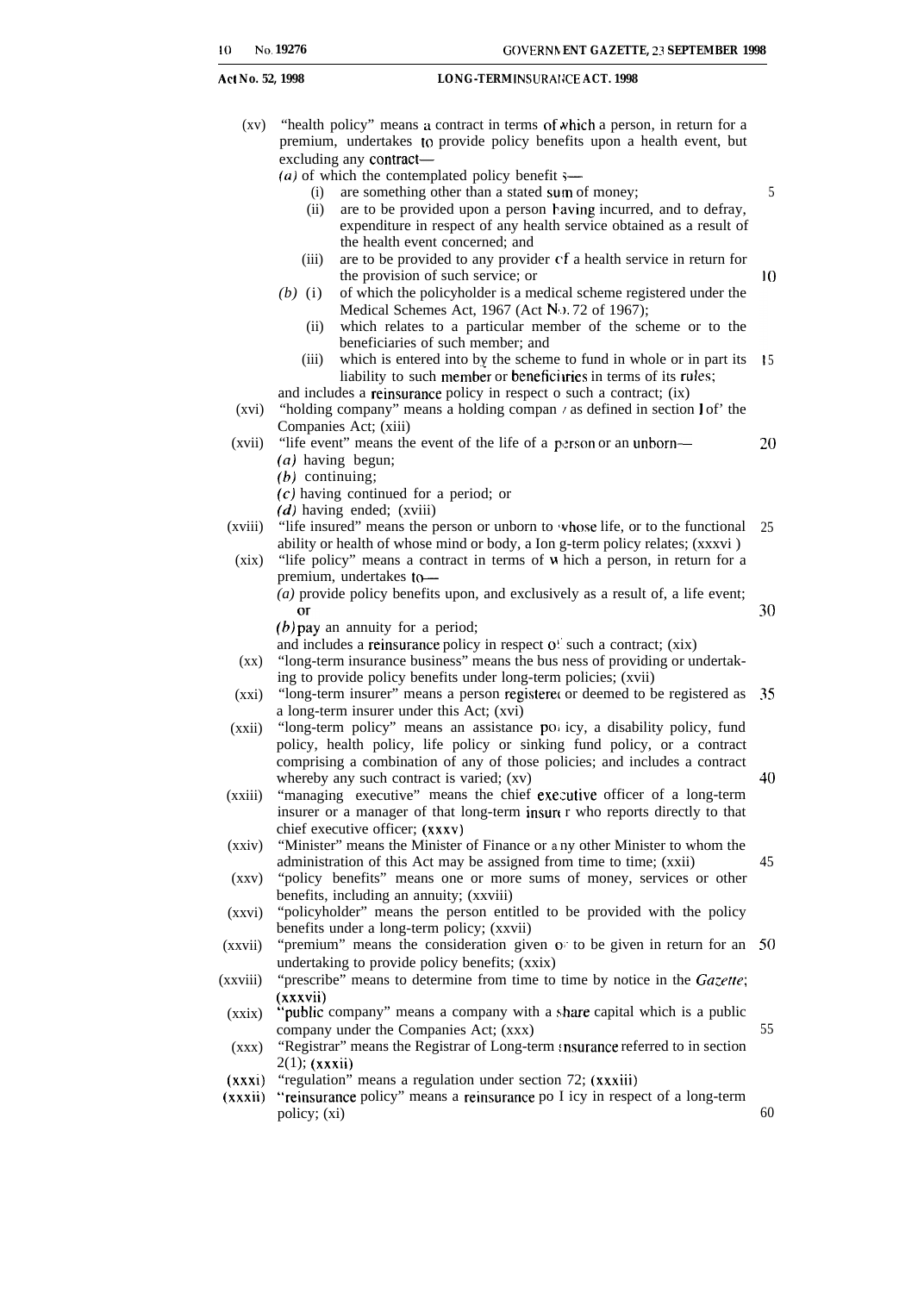$(xy)$ "health policy" means a contract in terms of which a person, in return for a premium, undertakes to provide policy benefits upon a health event, but excluding any contract—

 $(a)$  of which the contemplated policy benefit  $\longleftarrow$ 

- (i) are something other than a stated sum of money;
- (ii) are to be provided upon a person having incurred, and to defray, expenditure in respect of any health service obtained as a result of the health event concerned; and
- (iii) are to be provided to any provider cf a health service in return for the provision of such service; or
- *(b)* (i) of which the policyholder is a medical scheme registered under the Medical Schemes Act, 1967 (Act No. 72 of 1967);
	- (ii) which relates to a particular member of the scheme or to the beneficiaries of such member; and
	- $(iii)$ which is entered into by the scheme to fund in whole or in part its 15 liability to such member or beneficiaries in terms of its rules;

and includes a reinsurance policy in respect o such a contract; (ix)

- $(xvi)$ "holding company" means a holding compan  $\ell$  as defined in section  $1$  of' the Companies Act; (xiii)
- (xvii) "life event" means the event of the life of a person or an unborn— *(a)* having begun;
	- *(b)* continuing;
	- (c) having continued for a period; or
	- *(d)* having ended; (xviii)
- (xviii) "life insured" means the person or unborn to vhose life, or to the functional 25 ability or health of whose mind or body, a Ion g-term policy relates; (xxxvi )
- (xix) "life policy" means a contract in terms of u hich a person, in return for a premium, undertakes to-
	- *(a)* provide policy benefits upon, and exclusively as a result of, a life event; or

30

5

 $\overline{10}$ 

20

 $(b)$  pay an annuity for a period;

and includes a reinsurance policy in respect  $o'$  such a contract;  $(xix)$ 

- (xx) "long-term insurance business" means the bus ness of providing or undertaking to provide policy benefits under long-term policies; (xvii)
- $(xxi)$ "long-term insurer" means a person registere{ or deemed to be registered as 35 a long-term insurer under this Act; (xvi)
- (xxii) "long-term policy" means an assistance pot icy, a disability policy, fund policy, health policy, life policy or sinking fund policy, or a contract comprising a combination of any of those policies; and includes a contract whereby any such contract is varied; (xv) 40
- (xxiii) "managing executive" means the chief executive officer of a long-term insurer or a manager of that long-term insurt r who reports directly to that chief executive officer; (XXXV)
- (xxiv) "Minister" means the Minister of Finance or a ny other Minister to whom the administration of this Act may be assigned from time to time; (xxii)
- $(xxy)$ "policy benefits" means one or more sums of money, services or other benefits, including an annuity; (xxviii)
- (xxvi) "policyholder" means the person entitled to be provided with the policy benefits under a long-term policy; (xxvii)
- (xxvii) "premium" means the consideration given on to be given in return for an 50 undertaking to provide policy benefits; (xxix)
- (xxviii) "prescribe" means to determine from time to time by notice in the *Gazette*; (xxxvii)
- (xxix) "public company" means a company with a share capital which is a public company under the Companies Act; (xxx)

 $(xxx)$ "Registrar" means the Registrar of Long-term msurance referred to in section  $2(1)$ ; (xxxii)

- (xxxi) "regulation" means a regulation under section 72; (xxxiii)
- (xxxii) "reinsurance policy" means a reinsurance po I icy in respect of a long-term policy; (xi)

60

55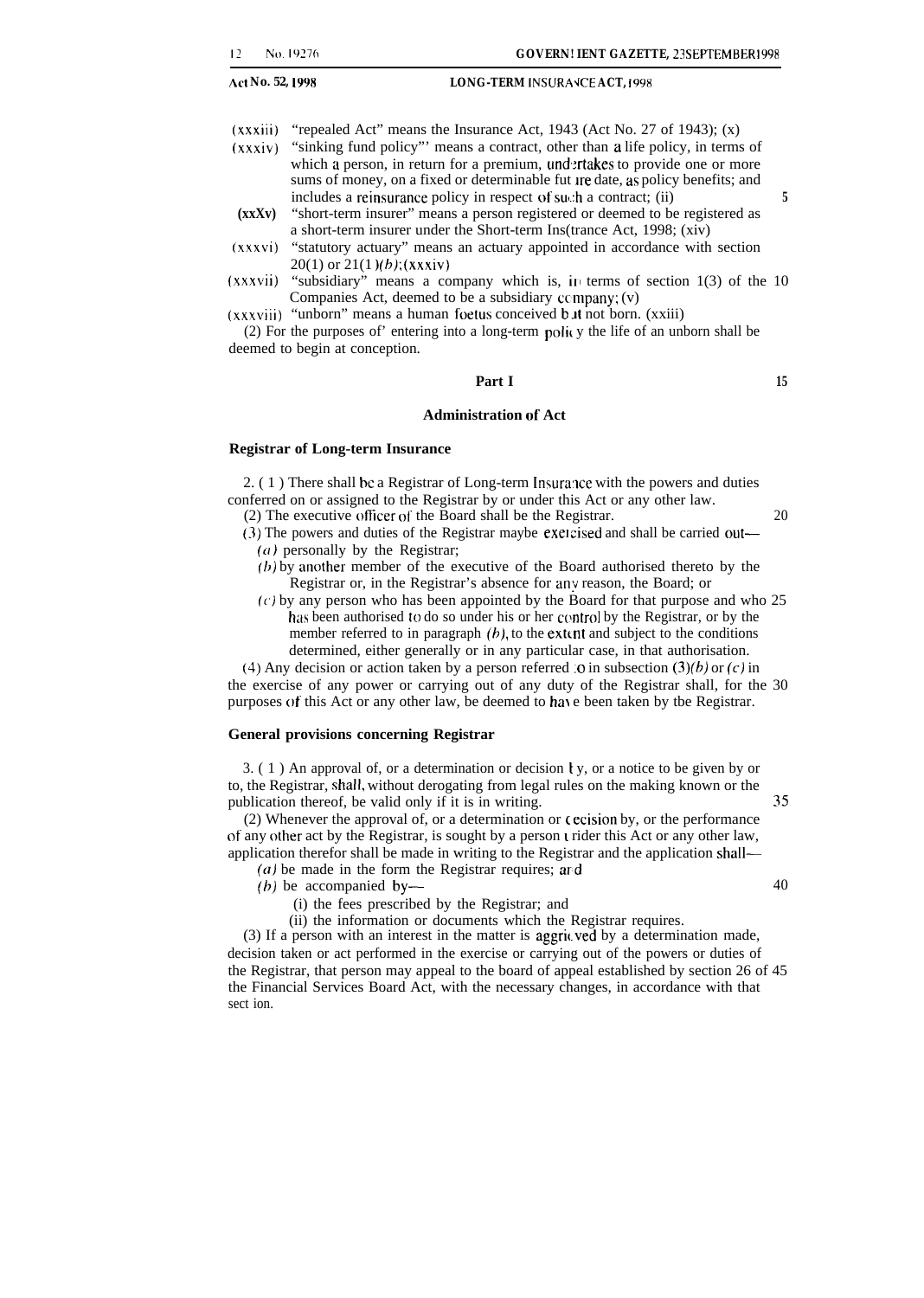$(xxxiii)$  "repealed Act" means the Insurance Act, 1943 (Act No. 27 of 1943);  $(x)$ 

- (xxxiv) "sinking fund policy"' means a contract, other than a life policy, in terms of which a person, in return for a premium, undertakes to provide one or more sums of money, on a fixed or determinable fut Ire date, as policy benefits; and includes a reinsurance policy in respect of such a contract; (ii) **5**
- **(xxXv)** "short-term insurer" means a person registered or deemed to be registered as a short-term insurer under the Short-term Ins(trance Act, 1998; (xiv)
- (xxxvi) "statutory actuary" means an actuary appointed in accordance with section  $20(1)$  or  $21(1)(b)$ ; (xxxiv)
- (xxxvii) "subsidiary" means a company which is,  $\mu$  terms of section 1(3) of the 10 Companies Act, deemed to be a subsidiary  $\mathfrak{c}$  company;  $(v)$
- (xxxviii) "unborn" means a human foetus conceived b.tt not born. (xxiii)

 $(2)$  For the purposes of' entering into a long-term policy the life of an unborn shall be deemed to begin at conception.

### **Part I 15**

### **Administration of Act**

#### **Registrar of Long-term Insurance**

 $2. (1)$  There shall be a Registrar of Long-term Insurance with the powers and duties conferred on or assigned to the Registrar by or under this Act or any other law.

- (2) The executive officer of the Board shall be the Registrar.  $20$
- (3) The powers and duties of the Registrar maybe exercised and shall be carried out—  $(a)$  personally by the Registrar;
	- $(h)$  by another member of the executive of the Board authorised thereto by the Registrar or, in the Registrar's absence for any reason, the Board; or
	- $(c)$  by any person who has been appointed by the Board for that purpose and who 25 has been authorised to do so under his or her control by the Registrar, or by the member referred to in paragraph  $(b)$ , to the extent and subject to the conditions determined, either generally or in any particular case, in that authorisation.

(4) Any decision or action taken by a person referred .o in subsection  $(3)(b)$  or  $(c)$  in the exercise of any power or carrying out of any duty of the Registrar shall, for the 30 purposes of this Act or any other law, be deemed to have been taken by tbe Registrar.

#### **General provisions concerning Registrar**

3. (1) An approval of, or a determination or decision  $y$ , or a notice to be given by or to, the Registrar, shall, without derogating from legal rules on the making known or the publication thereof, be valid only if it is in writing. 35

(2) Whenever the approval of, or a determination or  $\epsilon$  ecision by, or the performance of any other act by the Registrar, is sought by a person t rider this Act or any other law, application therefor shall be made in writing to the Registrar and the application shall—

- $(a)$  be made in the form the Registrar requires; and
- $(b)$  be accompanied by— $40$ 
	- (i) the fees prescribed by the Registrar; and
	- (ii) the information or documents which the Registrar requires.

(3) If a person with an interest in the matter is aggrit. ved by a determination made, decision taken or act performed in the exercise or carrying out of the powers or duties of the Registrar, that person may appeal to the board of appeal established by section 26 of 45 the Financial Services Board Act, with the necessary changes, in accordance with that sect ion.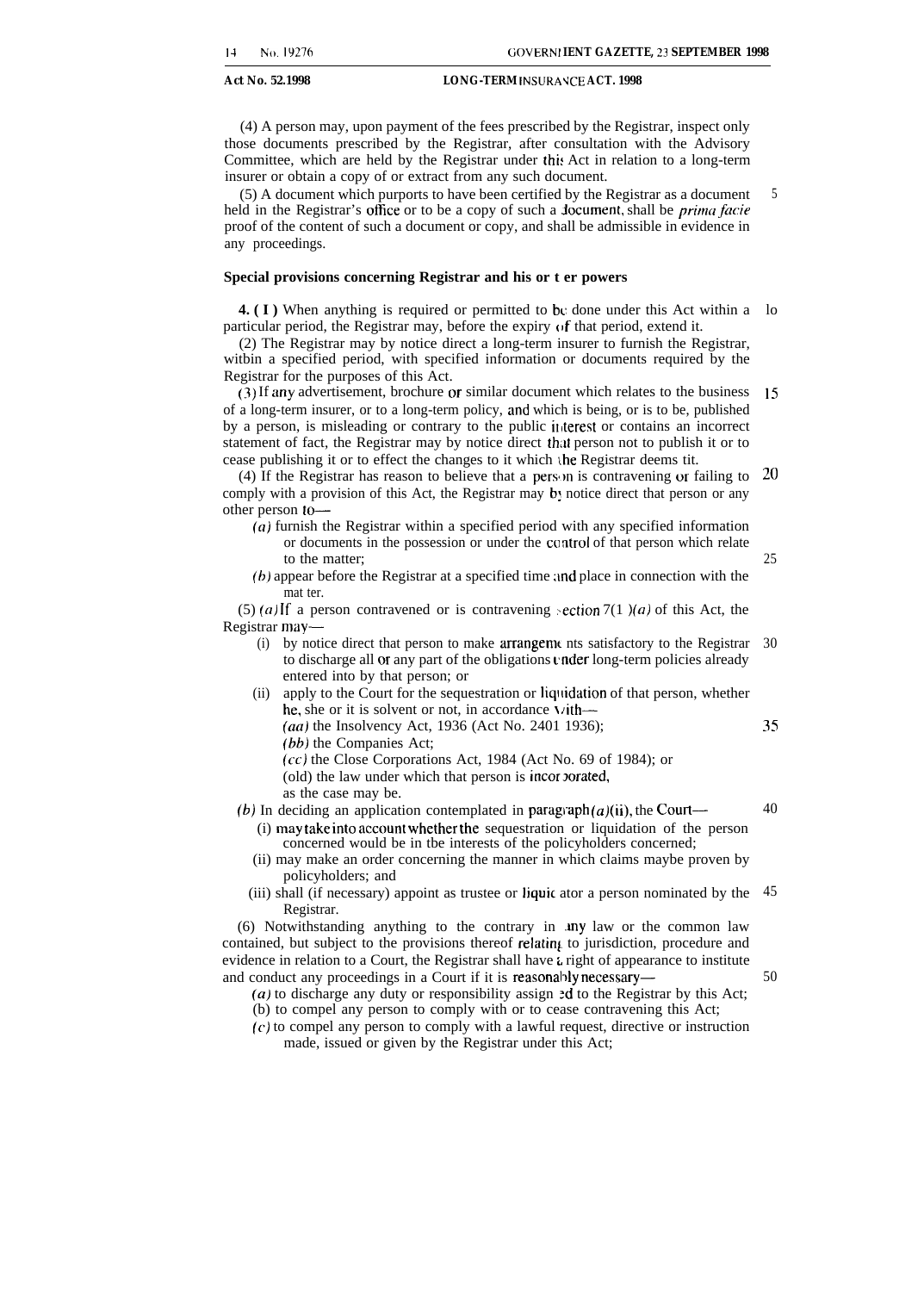(4) A person may, upon payment of the fees prescribed by the Registrar, inspect only those documents prescribed by the Registrar, after consultation with the Advisory Committee, which are held by the Registrar under this Act in relation to a long-term insurer or obtain a copy of or extract from any such document.

(5) A document which purports to have been certified by the Registrar as a document held in the Registrar's office or to be a copy of such a *document*, shall be *prima facie* proof of the content of such a document or copy, and shall be admissible in evidence in any proceedings. 5

#### **Special provisions concerning Registrar and his or t er powers**

**4. (I)** When anything is required or permitted to be done under this Act within a lo particular period, the Registrar may, before the expiry  $\alpha$  f that period, extend it.

(2) The Registrar may by notice direct a long-term insurer to furnish the Registrar, witbin a specified period, with specified information or documents required by the Registrar for the purposes of this Act.

(3) If any advertisement, brochure or similar document which relates to the business of a long-term insurer, or to a long-term policy, and which is being, or is to be, published by a person, is misleading or contrary to the public iliterest or contains an incorrect statement of fact, the Registrar may by notice direct that person not to publish it or to cease publishing it or to effect the changes to it which the Registrar deems tit. 15

(4) If the Registrar has reason to believe that a person is contravening or failing to 20 comply with a provision of this Act, the Registrar may  $b$  notice direct that person or any other person to—

- (a) furnish the Registrar within a specified period with any specified information or documents in the possession or under the control of that person which relate to the matter;
- $(b)$  appear before the Registrar at a specified time and place in connection with the mat ter.

(5) (a) If a person contravened or is contravening section  $7(1)(a)$  of this Act, the Registrar may—

- (i) by notice direct that person to make arrangemc nts satisfactory to the Registrar 30 to discharge all or any part of the obligations under long-term policies already entered into by that person; or
- (ii) apply to the Court for the sequestration or liquidation of that person, whether he, she or it is solvent or not, in accordance  $\mathbf{V}$ ith—

*(aa)* the Insolvency Act, 1936 (Act No. 2401 1936);

*(bb)* the Companies Act;

(cc) the Close Corporations Act, 1984 (Act No. 69 of 1984); or

(old) the law under which that person is incorporated,

as the case may be.

- *(b)* In deciding an application contemplated in paragraph $(a)(ii)$ , the Court—
	- (i) may take into account Whether the sequestration or liquidation of the person concerned would be in tbe interests of the policyholders concerned;
	- (ii) may make an order concerning the manner in which claims maybe proven by policyholders; and
	- (iii) shall (if necessary) appoint as trustee or liquic ator a person nominated by the 45 Registrar.

(6) Notwithstanding anything to the contrary in .my law or the common law contained, but subject to the provisions thereof relating to jurisdiction, procedure and evidence in relation to a Court, the Registrar shall have  $\iota$  right of appearance to institute and conduct any proceedings in a Court if it is reasonably necessary—

 $(a)$  to discharge any duty or responsibility assign  $ad$  to the Registrar by this Act; (b) to compel any person to comply with or to cease contravening this Act;

(c) to compel any person to comply with a lawful request, directive or instruction made, issued or given by the Registrar under this Act;

35

40

50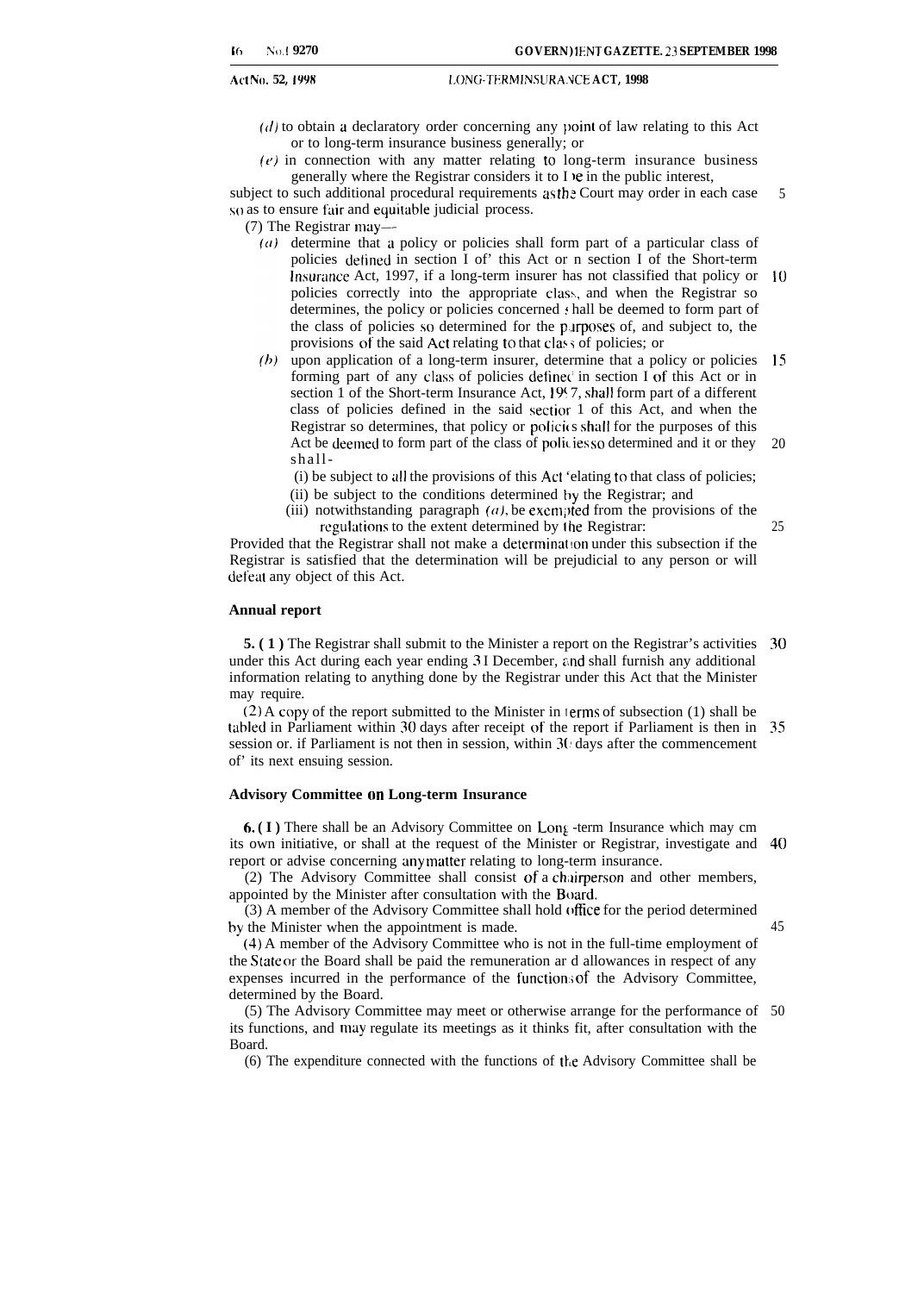#### Act N(I. **52, 1998 I.ONG-TERM INS LJRA.NCE ACT, 1998**

- $(d)$  to obtain a declaratory order concerning any point of law relating to this Act or to long-term insurance business generally; or
- $(e)$  in connection with any matter relating to long-term insurance business generally where the Registrar considers it to I )e in the public interest,

subject to such additional procedural requirements as the Court may order in each case so as to ensure fair and equitable judicial process. 5

- (7) The Registrar may-
	- $(a)$  determine that a policy or policies shall form part of a particular class of policies detined in section I of' this Act or n section I of the Short-term Imsurance Act, 1997, if a long-term insurer has not classified that policy or 10 policies correctly into the appropriate class, and when the Registrar so determines, the policy or policies concerned  $\pm$  hall be deemed to form part of the class of policies so determined for the plrposes of, and subject to, the provisions of the said Act relating to that class of policies; or
	- upon application of a long-term insurer, determine that a policy or policies 15 forming part of any class of policies definec' in section I of this Act or in section 1 of the Short-term Insurance Act, 1997, shall form part of a different class of policies defined in the said sectior 1 of this Act, and when the Registrar so determines, that policy or policies shall for the purposes of this Act be deemed to form part of the class of policies so determined and it or they shall- 20
		- (i) be subject to al] the provisions of this Act 'elating to that class of policies;
		- (ii) be subject to the conditions determined by the Registrar; and
		- (iii) notwithstanding paragraph  $(a)$ , be exempted from the provisions of the regulations to the extent determined by the Registrar:

Provided that the Registrar shall not make a determination under this subsection if the Registrar is satisfied that the determination will be prejudicial to any person or will defeat any object of this Act.

### **Annual report**

**5. (1)** The Registrar shall submit to the Minister a report on the Registrar's activities 30 under this Act during each year ending 3 I December, and shall furnish any additional information relating to anything done by the Registrar under this Act that the Minister may require.

(2) A copy of the report submitted to the Minister in lerms of subsection (1) shall be tabled in Parliament within 30 days after receipt of the report if Parliament is then in 35 session or. if Parliament is not then in session, within 3(' days after the commencement of' its next ensuing session.

#### **Advisory Committee on Long-term Insurance**

**6. (I)** There shall be an Advisory Committee on Long -term Insurance which may cm its own initiative, or shall at the request of the Minister or Registrar, investigate and 40 report or advise concerning any matter relating to long-term insurance.

(2) The Advisory Committee shall consist of a chairperson and other members, appointed by the Minister after consultation with the Board.

(3) A member of the Advisory Committee shall hold office for the period determined by the Minister when the appointment is made.

45

25

(4) A member of the Advisory Committee who is not in the full-time employment of the S[ate or the Board shall be paid the remuneration ar d allowances in respect of any expenses incurred in the performance of the function; of the Advisory Committee, determined by the Board.

(5) The Advisory Committee may meet or otherwise arrange for the performance of 50its functions, and may regulate its meetings as it thinks fit, after consultation with the Board.

(6) The expenditure connected with the functions of the Advisory Committee shall be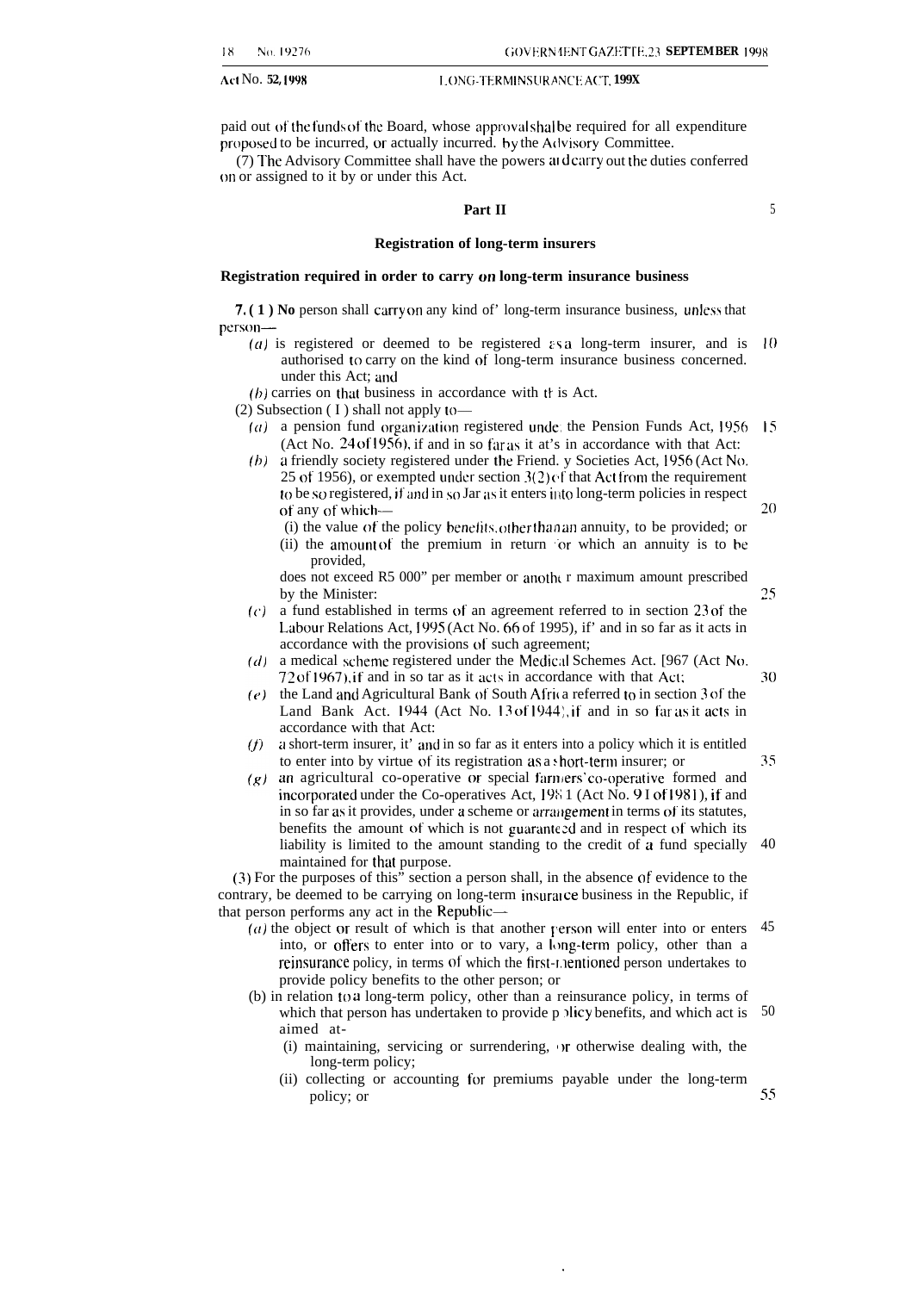Act No. **52, 1998 I. ON[;-TERM [NSLIRA ,NCE A(<T, 199X**

paid out of the funds of the Board, whose approval shal be required for all expenditure proposed to be incurred, or actually incurred. by the Advisory Committee.

(7) The Advisory Committee shall have the powers and carry out the duties conferred on or assigned to it by or under this Act.

#### **Part II**

#### **Registration of long-term insurers**

#### **Registration required in order to carry on long-term insurance business**

**7. (1) No person shall carry on any kind of' long-term insurance business, unless that** person-

- (a) is registered or deemed to be registered  $\epsilon$ s a long-term insurer, and is 10 authorised to carry on the kind of long-term insurance business concerned. under this Act; and
- $(h)$  carries on that business in accordance with the is Act.

(2) Subsection ( $I$ ) shall not apply to-

- (a) a pension fund organization registered unde; the Pension Funds Act, 1956 15 (Act No. 24 of 1956), if and in so far as it at's in accordance with that Act:
- (b) a friendly society registered under the Friend. y Societies Act, 1956 (Act No. 25 of 1956), or exempted under section  $3(2)$  of that Act from the requirement to be so registered, if and in so Jar as it enters into long-term policies in respect of any of which— 20
	- (i) the value of the policy benelits. other [hao an annuity, to be provided; or
	- (ii) the amount of the premium in return 'or which an annuity is to be provided,

does not exceed R5 000" per member or another r maximum amount prescribed by the Minister:

- **((')** a fund established in terms of an agreement referred to in section **23 of** the Labour Relations Act, 1995 (Act No. 66 of 1995), if' and in so far as it acts in accordance with the provisions of such agreement;
- $(d)$  a medical scheme registered under the Medical Schemes Act. [967 (Act No,  $72$  of 1967), if and in so tar as it acts in accordance with that Act;
- $(e)$  the Land and Agricultural Bank of South Africa referred to in section 3 of the Land Bank Act. 1944 (Act No. 13 of 1944), if and in so far as it acts in accordance with that Act:
- $(f)$ a short-term insurer, it' and in so far as it enters into a policy which it is entitled to enter into by virtue of its registration as a short-term insurer; or
- $(q)$  an agricultural co-operative or special farmers' co-operative formed and incorporated under the Co-operatives Act,  $1981$  (Act No. 9 I of 1981), if and in so far as it provides, under a scheme or arrangement in terms of its statutes, benefits the amount of which is not guaranteed and in respect of which its liability is limited to the amount standing to the credit of a fund specially maintained for that purpose. 40

(3) For the purposes of this" section a person shall, in the absence of evidence to the contrary, be deemed to be carrying on long-term insurance business in the Republic, if that person performs any act in the Republic—

- (a) the object or result of which is that another person will enter into or enters  $45$ into, or offers to enter into or to vary, a long-term policy, other than a reinsurance policy, in terms of which the first-mentioned person undertakes to provide policy benefits to the other person; or
- (b) in relation to a long-term policy, other than a reinsurance policy, in terms of which that person has undertaken to provide p plicy benefits, and which act is aimed at- 50
	- (i) maintaining, servicing or surrendering,  $\sigma$  otherwise dealing with, the long-term policy;
	- (ii) collecting or accounting for premiums payable under the long-term policy; or 55

5

25

30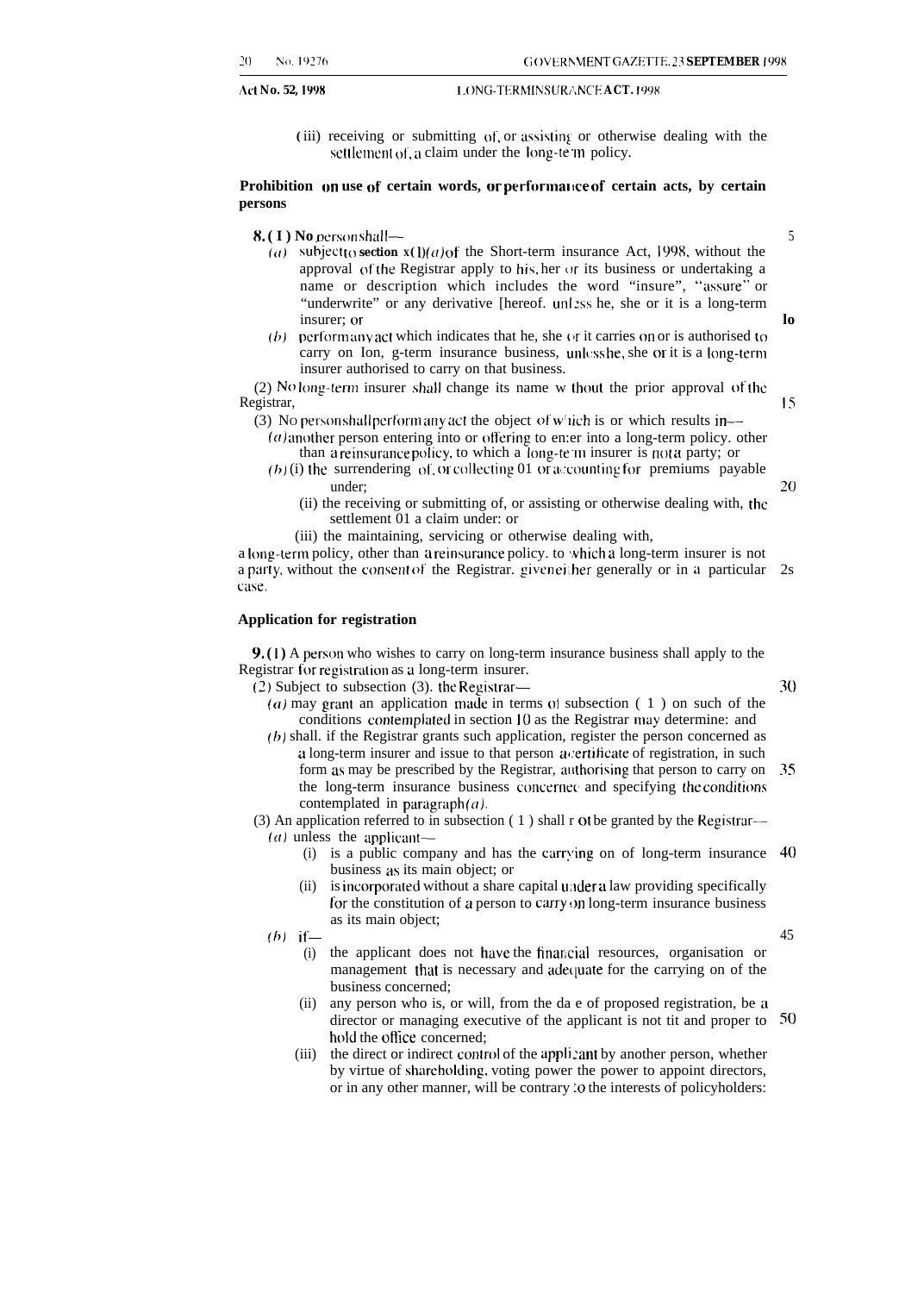#### **1,0NG-TERMINSURANCE ACT. 1998 1,0NG-TERMINSURANCE ACT. 1998**

(iii) receiving or submitting of or assisting or otherwise dealing with the settlement of, a claim under the long-te  $m$  policy.

#### **Prohibition on use of certain words, or performal Ice of certain acts, by certain persons**

**8. ( I ) No** person shall-

5

**lo**

Is

20

30

- $(a)$  subject to section  $\mathbf{x}(1)(a)$  of the Short-term insurance Act, 1998, without the approval of the Registrar apply to his, her  $\sigma r$  its business or undertaking a name or description which includes the word "insure", "assure" or "underwrite" or any derivative [hereof. unlass he, she or it is a long-term insurer; or
- (b) perform any act which indicates that he, she ( $\eta$  it carries on or is authorised to carry on Ion, g-term insurance business, unless he, she or it is a long-term insurer authorised to carry on that business.

 $(2)$  No long-term insurer shall change its name w thout the prior approval of the Registrar,

- (3) No personshall performany act the object of w<sup>1</sup>ich is or which results in—
	- $(a)$  another person entering into or offering to en:er into a long-term policy. other than a reinsurance policy, to which a Iong-te m insurer is not a party; or
	- $(h)$  (i) the surrendering of or collecting 01 or accounting for premiums payable under;
		- (ii) the receiving or submitting of, or assisting or otherwise dealing with, the settlement 01 a claim under: or
		- (iii) the maintaining, servicing or otherwise dealing with,

a long-term policy, other than a reinsurance policy. to which a long-term insurer is not a party. without the consent of' the Registrar. given ei:her generally or in a particular 2s *CilSt3,*

#### **Application for registration**

**9.** (1) A person who wishes to carry on long-term insurance business shall apply to the Registrar for registration as a long-term insurer.

- (2) Subject to subsection (3). the Registrar-
	- (a) may grant an application made in terms of subsection  $(1)$  on such of the conditions contemplated in section 10 as the Registrar may determine: and
	- $(b)$  shall. if the Registrar grants such application, register the person concerned as a long-term insurer and issue to that person a certificate of registration, in such form as may be prescribed by the Registrar, allthorising that person to carry on 35 the long-term insurance business concerned and specifying the conditions contemplated in paragraph( $a$ ).
- (3) An application referred to in subsection ( 1 ) shall r ot be granted by the Registrar—

(*a*) unless the applicant-

- (i) is a public company and has the carrying on of long-term insurance 40 business as its main object; or
- (ii) is incorporated without a share capital under a law providing specifically for the constitution of a person to carry on long-term insurance business as its main object;

 $(b)$  if—

- (i) the applicant does not have the financial resources, organisation or management that is necessary and adequate for the carrying on of the business concerned;
- $(ii)$ any person who is, or will, from the da e of proposed registration, be a director or managing executive of the applicant is not tit and proper to 50hold the office concerned;
- $(iii)$ the direct or indirect control of the appli :ant by another person, whether by virtue of shareholding, voting power the power to appoint directors, or in any other manner, will be contrary :0 the interests of policyholders: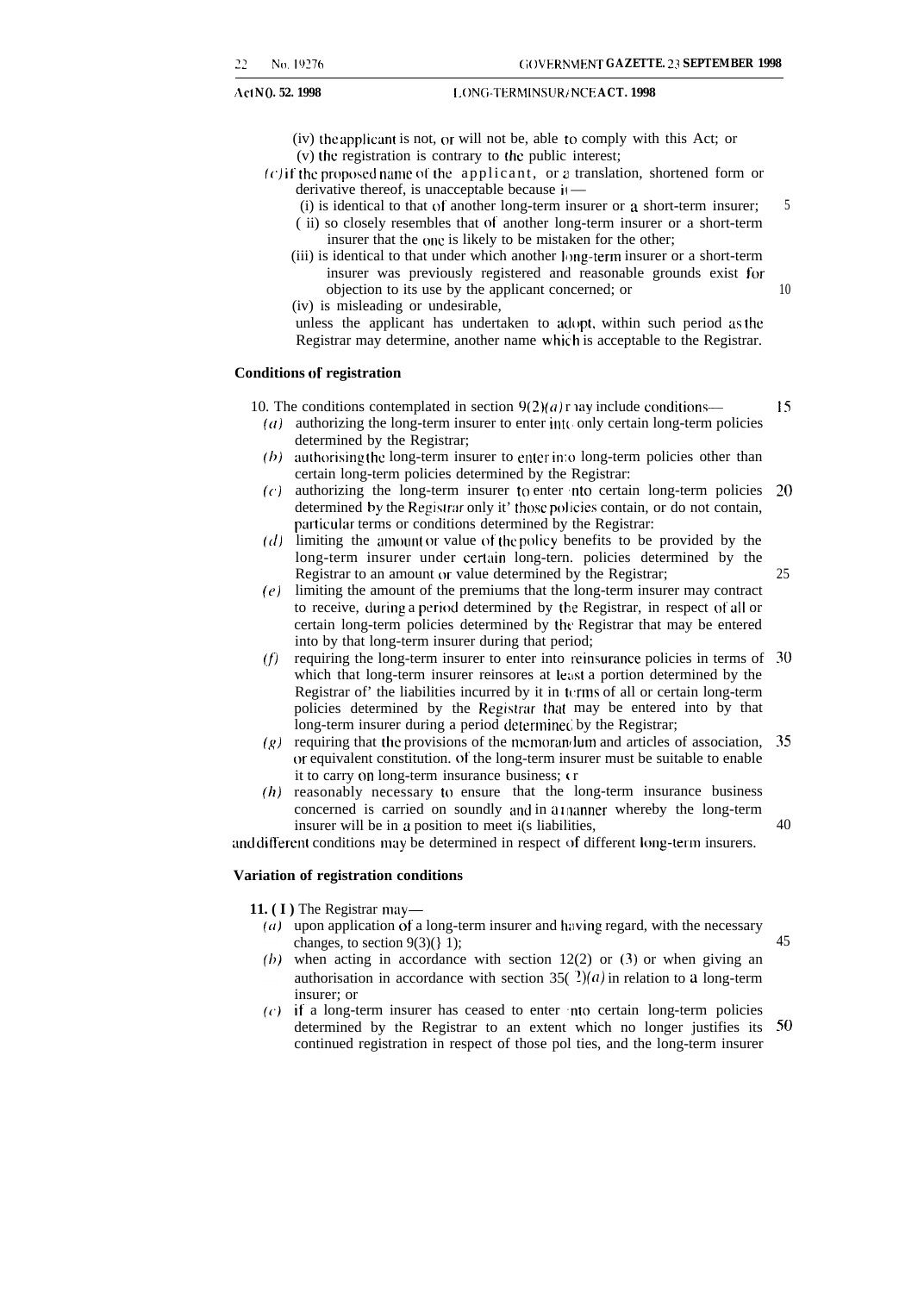**1. 1998 1. I.** ONG-TERMINSUR/NCE **ACT. 1998** 

- (iv) the applicant is not, or will not be, able to comply with this Act; or
- (v) the registration is contrary to the public interest;
- $(c)$  if the proposed name of the applicant, or a translation, shortened form or derivative thereof, is unacceptable because it-
	- (i) is identical to that of another long-term insurer or a short-term insurer; ( ii) so closely resembles that O( another long-term insurer or a short-term insurer that the one is likely to be mistaken for the other;
	- $(iii)$  is identical to that under which another long-term insurer or a short-term insurer was previously registered and reasonable grounds exist for objection to its use by the applicant concerned; or
	- (iv) is misleading or undesirable,

unless the applicant has undertaken to adopt, within such period as the Registrar may determine, another name which is acceptable to the Registrar.

#### **Conditions of registration**

10. The conditions contemplated in section  $9(2)(a)$  r ay include conditions--

- $(a)$  authorizing the long-term insurer to enter into only certain long-term policies determined by the Registrar;
- $(b)$  authorising the long-term insurer to enter into long-term policies other than certain long-term policies determined by the Registrar:
- **(c)** authorizing the long-term insurer to enter nto certain long-term policies determined by the Registrar only it' those policies contain, or do not contain, particular terms or conditions determined by the Registrar: Z()
- $(d)$  limiting the amount or value of the policy benefits to be provided by the long-term insurer under certain long-tern. policies determined by the Registrar to an amount or value determined by the Registrar;
- $(e)$  limiting the amount of the premiums that the long-term insurer may contract to receive, during a period determined by the Registrar, in respect of all or certain long-term policies determined by the Registrar that may be entered into by that long-term insurer during that period;
- $(f)$ requiring the long-term insurer to enter into reinsurance policies in terms of 30 which that long-term insurer reinsores at least a portion determined by the Registrar of' the liabilities incurred by it in  $t_{\text{crms}}$  of all or certain long-term policies determined by the Registrar that may be entered into by that long-term insurer during a period determined by the Registrar;
- $(g)$  requiring that the provisions of the memoran-lum and articles of association, (or equivalent constitution. of the long-term insurer must be suitable to enable it to carry on long-term insurance business; ( r 35
- *(h)* reasonably necessary to ensure that the long-term insurance business concerned is carried on soundly and in a thanner whereby the long-term insurer will be in a position to meet i(s liabilities,

and different conditions may be determined in respect of different long-term insurers.

#### **Variation of registration conditions**

**11.** ( $I$ ) The Registrar may—

- ( $a$ ) upon application of a long-term insurer and having regard, with the necessary changes, to section  $9(3)($ } 1);
- (b) when acting in accordance with section  $12(2)$  or (3) or when giving an authorisation in accordance with section 35( $2(a)$ ) in relation to a long-term insurer; or
- $(c)$  if a long-term insurer has ceased to enter nto certain long-term policies determined by the Registrar to an extent which no longer justifies its 50continued registration in respect of those pol ties, and the long-term insurer

Is

25

40

45

5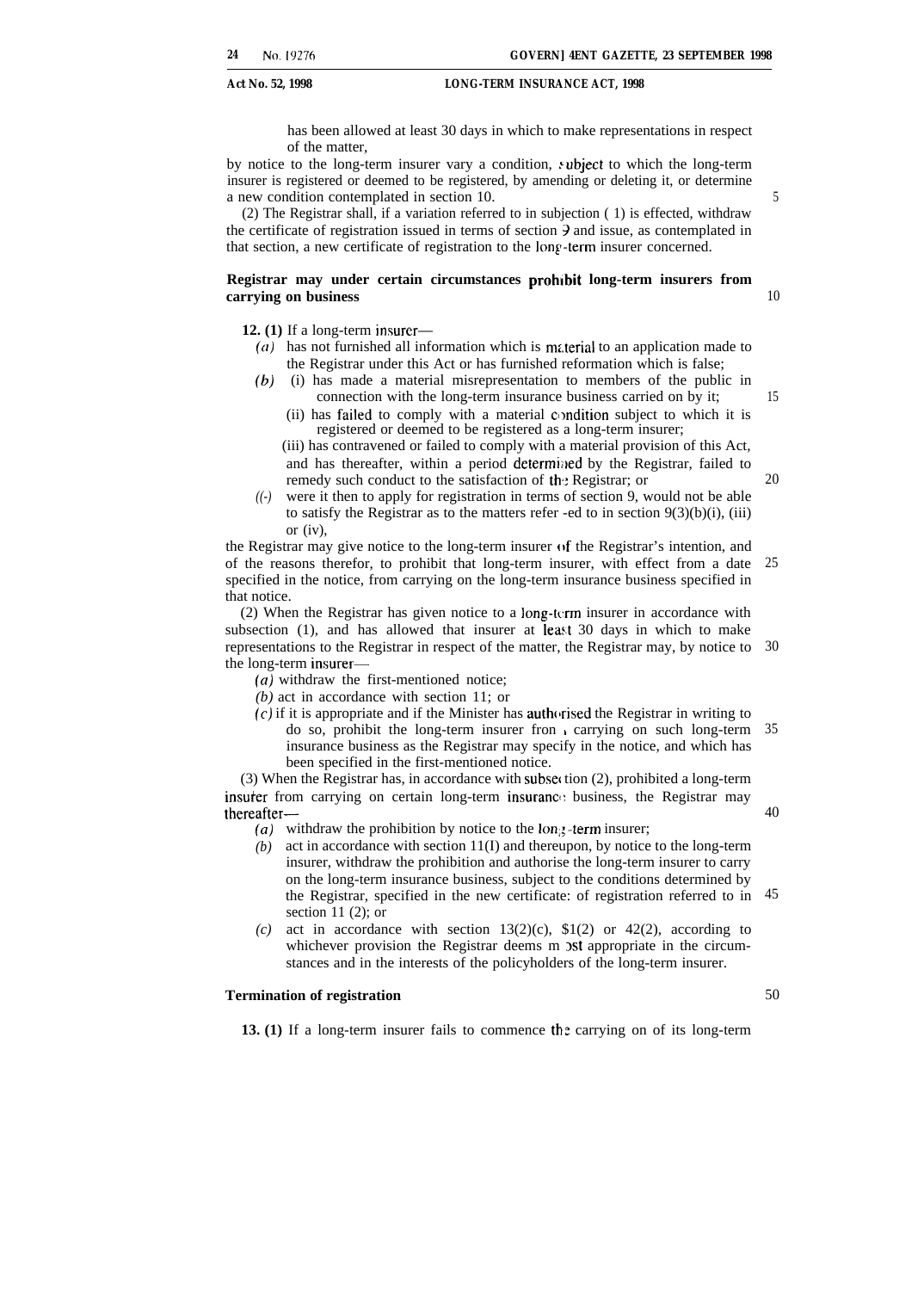has been allowed at least 30 days in which to make representations in respect of the matter,

by notice to the long-term insurer vary a condition, subject to which the long-term insurer is registered or deemed to be registered, by amending or deleting it, or determine a new condition contemplated in section 10.

(2) The Registrar shall, if a variation referred to in subjection ( 1) is effected, withdraw the certificate of registration issued in terms of section 9 and issue, as contemplated in that section, a new certificate of registration to the long-term insurer concerned.

#### **Registrar may under certain circumstances prohibit long-term insurers from carrying on business**

**12. (1)** If a long-term insurer—

- $(a)$  has not furnished all information which is material to an application made to the Registrar under this Act or has furnished reformation which is false;
- *(b)* (i) has made a material misrepresentation to members of the public in connection with the long-term insurance business carried on by it;
	- (ii) has failed to comply with a material condition subject to which it is registered or deemed to be registered as a long-term insurer;

(iii) has contravened or failed to comply with a material provision of this Act, and has thereafter, within a period determined by the Registrar, failed to remedy such conduct to the satisfaction of the Registrar; or

*((-)* were it then to apply for registration in terms of section 9, would not be able to satisfy the Registrar as to the matters refer -ed to in section  $9(3)(b)(i)$ , (iii) or (iv),

the Registrar may give notice to the long-term insurer of the Registrar's intention, and of the reasons therefor, to prohibit that long-term insurer, with effect from a date specified in the notice, from carrying on the long-term insurance business specified in that notice. 25

(2) When the Registrar has given notice to a long-krm insurer in accordance with subsection (1), and has allowed that insurer at least 30 days in which to make representations to the Registrar in respect of the matter, the Registrar may, by notice to 30 the long-term insurer—

(a) withdraw the first-mentioned notice;

*(b)* act in accordance with section 11; or

 $(c)$  if it is appropriate and if the Minister has authorised the Registrar in writing to do so, prohibit the long-term insurer fron carrying on such long-term 35 insurance business as the Registrar may specify in the notice, and which has been specified in the first-mentioned notice.

(3) When the Registrar has, in accordance with subset tion  $(2)$ , prohibited a long-term insurer from carrying on certain long-term insurance business, the Registrar may thereafter—

- (a) withdraw the prohibition by notice to the  $\text{lon}_{\mathcal{S}}$ -term insurer;
- *(b)* act in accordance with section 11(I) and thereupon, by notice to the long-term insurer, withdraw the prohibition and authorise the long-term insurer to carry on the long-term insurance business, subject to the conditions determined by the Registrar, specified in the new certificate: of registration referred to in 45 section 11 $(2)$ ; or
- *(c)* act in accordance with section  $13(2)(c)$ ,  $$1(2)$  or  $42(2)$ , according to whichever provision the Registrar deems m ost appropriate in the circumstances and in the interests of the policyholders of the long-term insurer.

#### **Termination of registration**

13. (1) If a long-term insurer fails to commence the carrying on of its long-term

20

40

50

15

5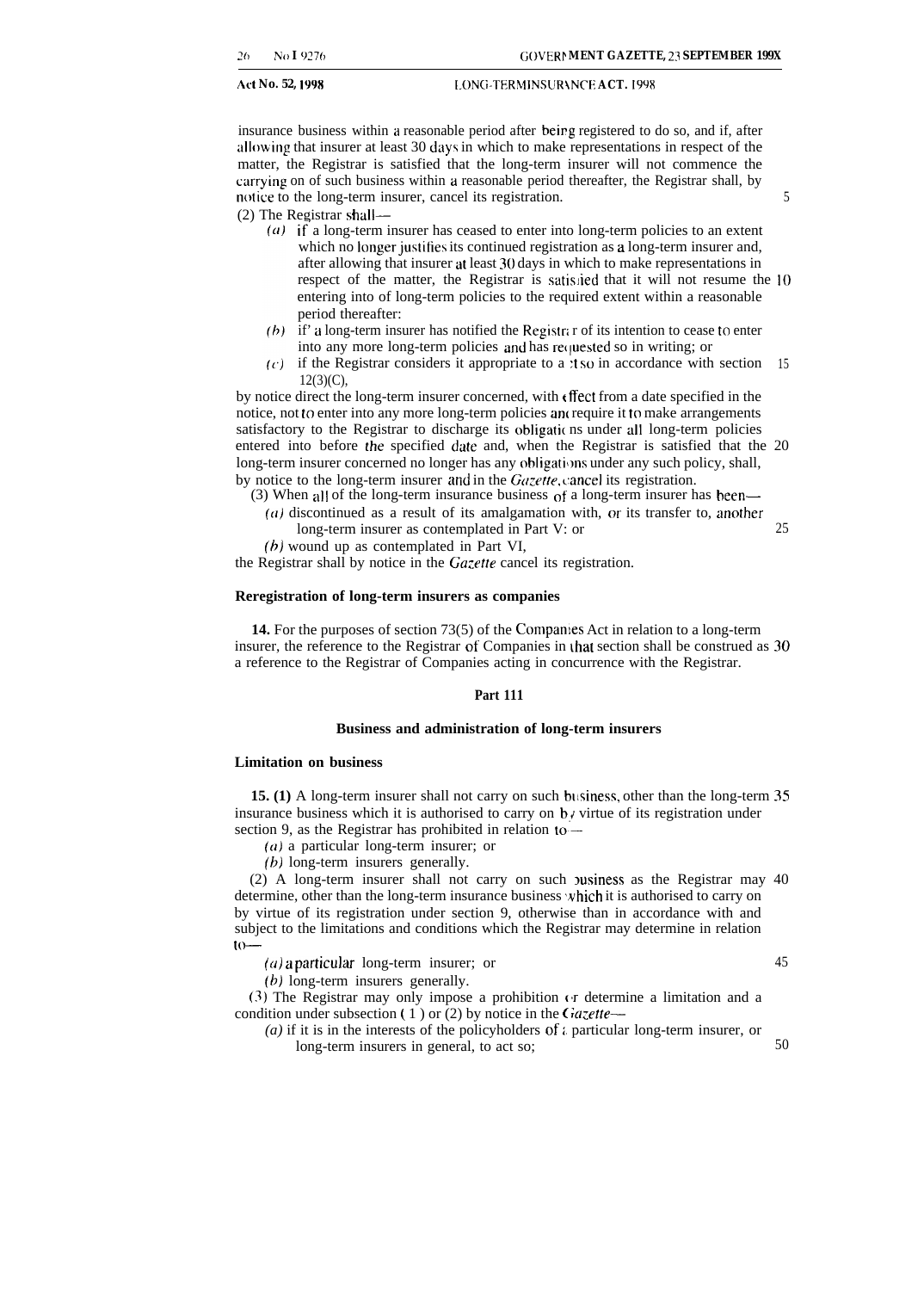insurance business within a reasonable period after beirg registered to do so, and if, after ullowing that insurer at least 30 days in which to make representations in respect of the matter, the Registrar is satisfied that the long-term insurer will not commence the corrying on of such business within a reasonable period thereafter, the Registrar shall, by notice to the long-term insurer, cancel its registration.  $\frac{5}{5}$ 

(2) The Registrar shall—

- $(a)$  if a long-term insurer has ceased to enter into long-term policies to an extent which no longer justifies its continued registration as a long-term insurer and, after allowing that insurer at least 30 days in which to make representations in respect of the matter, the Registrar is satislied that it will not resume the 10 entering into of long-term policies to the required extent within a reasonable period thereafter:
- (b) if' a long-term insurer has notified the Registra r of its intention to cease to enter into any more long-term policies and has requested so in writing; or
- $(c)$  if the Registrar considers it appropriate to a :t so in accordance with section 15  $12(3)(C)$ ,

by notice direct the long-term insurer concerned, with  $\epsilon$  ffect from a date specified in the notice, not to enter into any more long-term policies and require it to make arrangements satisfactory to the Registrar to discharge its obligatic ns under all long-term policies entered into before the specified date and, when the Registrar is satisfied that the 20 long-term insurer concerned no longer has any obligations under any such policy, shall, by notice to the long-term insurer and in the *Gazette*, cancel its registration.

(3) When all of the long-term insurance business of a long-term insurer has been—

- $(a)$  discontinued as a result of its amalgamation with, or its transfer to, another long-term insurer as contemplated in Part V: or
- $(b)$  wound up as contemplated in Part VI,

the Registrar shall by notice in the *Gazette* cancel its registration.

#### **Reregistration of long-term insurers as companies**

14. For the purposes of section 73(5) of the Companies Act in relation to a long-term insurer, the reference to the Registrar of Companies in that section shall be construed as 30 a reference to the Registrar of Companies acting in concurrence with the Registrar.

#### **Part 111**

#### **Business and administration of long-term insurers**

#### **Limitation on business**

**15. (1)** A long-term insurer shall not carry on such business, other than the long-term 35 insurance business which it is authorised to carry on  $\mathbf{b}$  *i* virtue of its registration under section 9, as the Registrar has prohibited in relation to -

(a) a particular long-term insurer; or

(b) long-term insurers generally.

(2) A long-term insurer shall not carry on such  $\nu$  values as the Registrar may 40 determine, other than the long-term insurance business which it is authorised to carry on by virtue of its registration under section 9, otherwise than in accordance with and subject to the limitations and conditions which the Registrar may determine in relation to-

 $(a)$  a particular long-term insurer; or

(b) long-term insurers generally.

(3) The Registrar may only impose a prohibition (r determine a limitation and a condition under subsection ( 1 ) or (2) by notice in the  $Gazette-$ 

(a) if it is in the interests of the policyholders of  $\iota$  particular long-term insurer, or long-term insurers in general, to act so; 50

25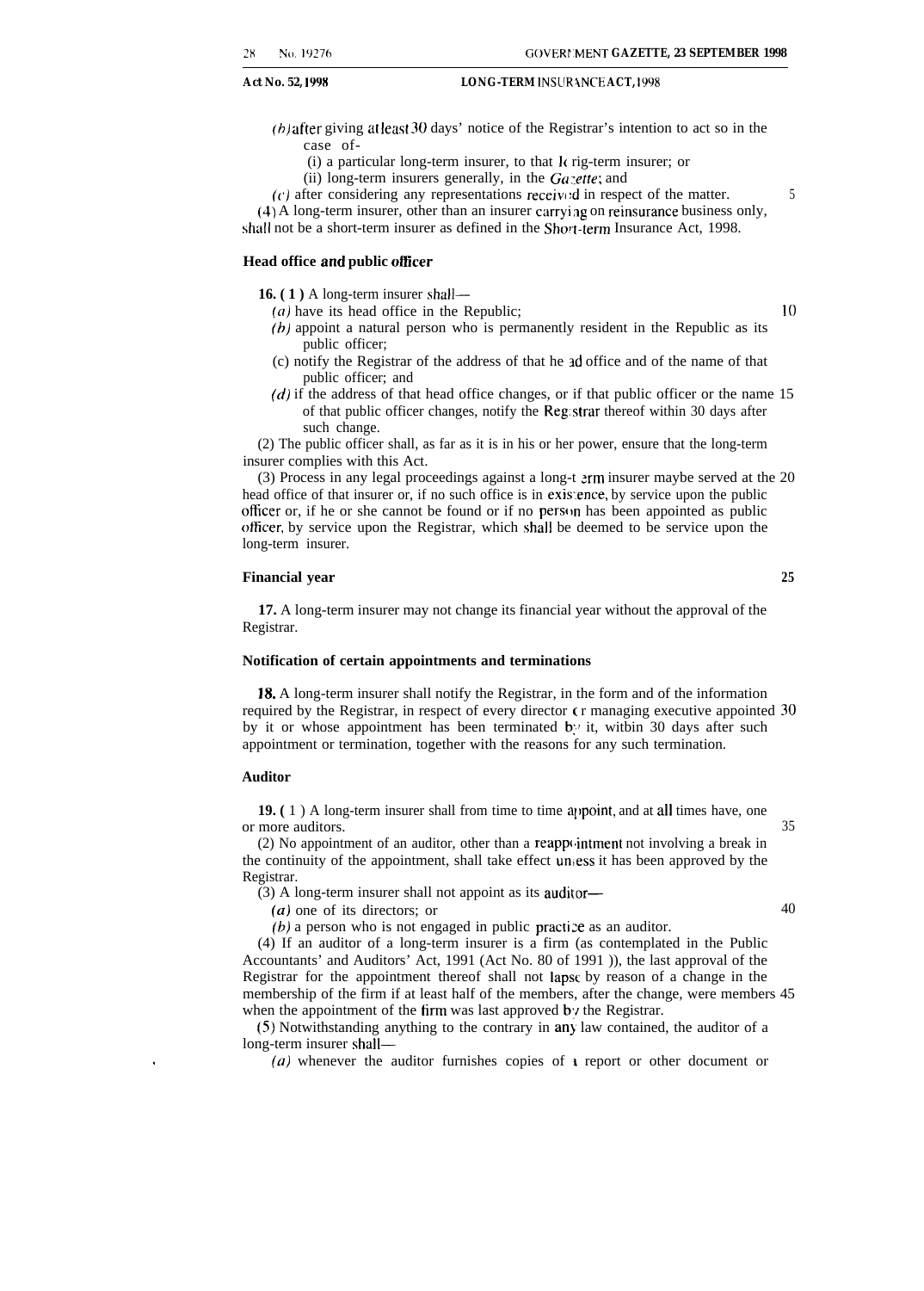$(b)$  after giving at least 30 days' notice of the Registrar's intention to act so in the case of-

- $(i)$  a particular long-term insurer, to that  $k$  rig-term insurer; or
- (ii) long-term insurers generally, in the  $Ga$  :ette; and

 $(c)$  after considering any representations received in respect of the matter.  $\frac{5}{2}$ 

 $(4)$  A long-term insurer, other than an insurer carrying on reinsurance business only, shall not be a short-term insurer as defined in the Short-term Insurance Act, 1998.

#### **Head office and public otficer**

**16. ( 1 )** A long-term insurer shall—

- $(a)$  have its head office in the Republic;  $10$
- $(b)$  appoint a natural person who is permanently resident in the Republic as its public officer;
- (c) notify the Registrar of the address of that he zd office and of the name of that public officer; and
- $(d)$  if the address of that head office changes, or if that public officer or the name 15 of that public officer changes, notify the Reg: strar thereof within 30 days after such change.

(2) The public officer shall, as far as it is in his or her power, ensure that the long-term insurer complies with this Act.

 $(3)$  Process in any legal proceedings against a long-t  $\text{arm}$  insurer maybe served at the 20 head office of that insurer or, if no such office is in existence, by service upon the public officer or, if he or she cannot be found or if no person has been appointed as public otlicer, by service upon the Registrar, which shall be deemed to be service upon the long-term insurer.

#### **Financial year 25**

**17.** A long-term insurer may not change its financial year without the approval of the Registrar.

#### **Notification of certain appointments and terminations**

18. A long-term insurer shall notify the Registrar, in the form and of the information required by the Registrar, in respect of every director  $\epsilon$ r managing executive appointed 30 by it or whose appointment has been terminated by it, within 30 days after such appointment or termination, together with the reasons for any such termination.

#### **Auditor**

**19.** (1) A long-term insurer shall from time to time appoint, and at all times have, one or more auditors. 35

(2) No appointment of an auditor, other than a reapp( ,intment not involving a break in the continuity of the appointment, shall take effect  $un_i$ ess it has been approved by the Registrar.

(3) A long-term insurer shall not appoint as its auditor—

 $(a)$  one of its directors; or  $40$ 

 $(b)$  a person who is not engaged in public practice as an auditor.

(4) If an auditor of a long-term insurer is a firm (as contemplated in the Public Accountants' and Auditors' Act, 1991 (Act No. 80 of 1991 )), the last approval of the Registrar for the appointment thereof shall not Iapsc by reason of a change in the membership of the firm if at least half of the members, after the change, were members 45 when the appointment of the firm was last approved by the Registrar.

(5) Notwithstanding anything to the contrary in any law contained, the auditor of a long-term insurer shall—

(a) whenever the auditor furnishes copies of  $\iota$  report or other document or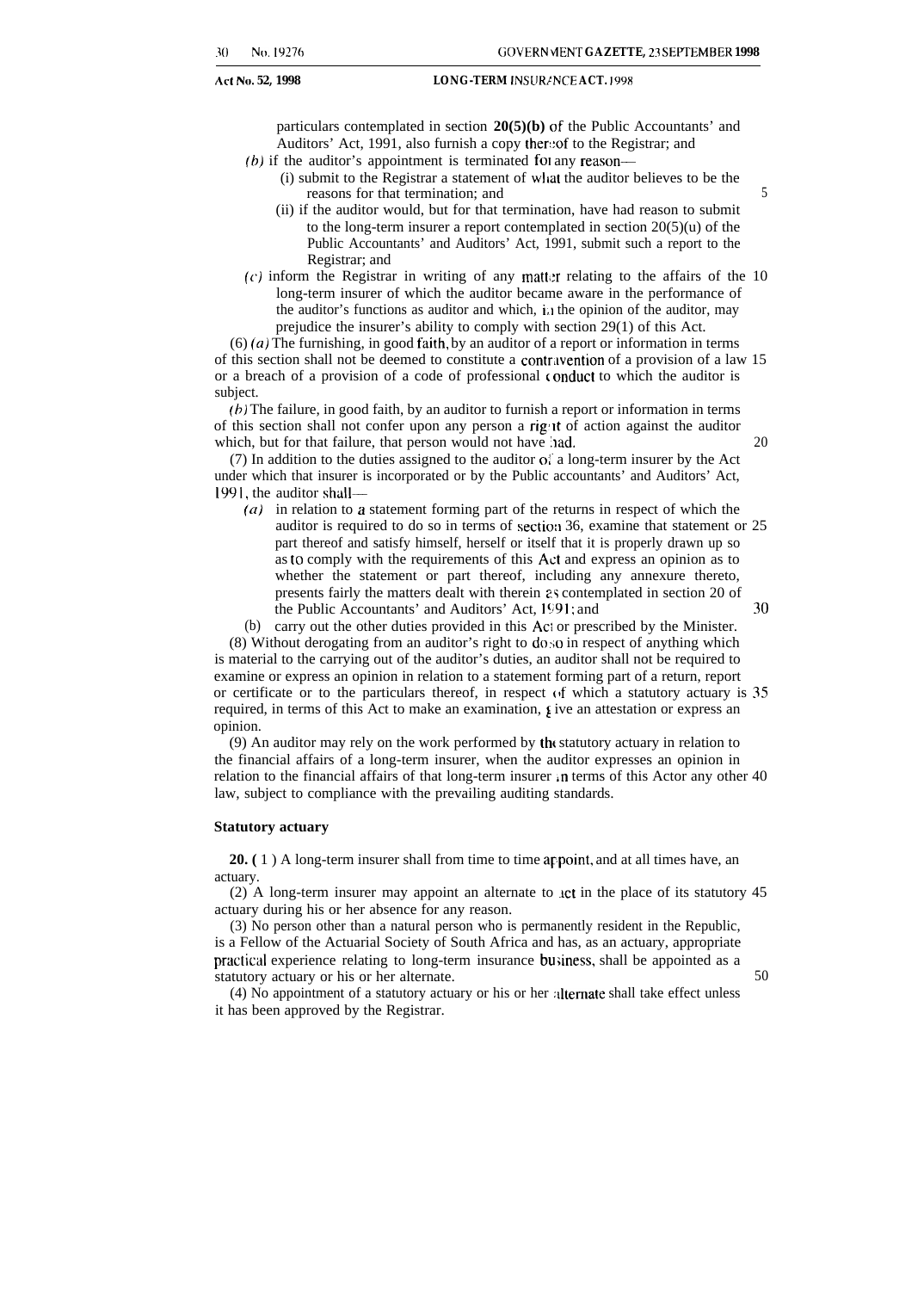particulars contemplated in section **20(5)(b)** of the Public Accountants' and Auditors' Act, 1991, also furnish a copy thereof to the Registrar; and

- $(b)$  if the auditor's appointment is terminated for any reason—
	- (i) submit to the Registrar a statement of wltat the auditor believes to be the reasons for that termination; and  $5$
	- (ii) if the auditor would, but for that termination, have had reason to submit to the long-term insurer a report contemplated in section  $20(5)(u)$  of the Public Accountants' and Auditors' Act, 1991, submit such a report to the Registrar; and
- $(c)$  inform the Registrar in writing of any matter relating to the affairs of the 10 long-term insurer of which the auditor became aware in the performance of the auditor's functions as auditor and which,  $i_{\mu}$  the opinion of the auditor, may prejudice the insurer's ability to comply with section 29(1) of this Act.

 $(6)$  (a) The furnishing, in good faith, by an auditor of a report or information in terms of this section shall not be deemed to constitute a contrilvention of a provision of a law 15 or a breach of a provision of a code of professional t onduct to which the auditor is subject.

(b) The failure, in good faith, by an auditor to furnish a report or information in terms of this section shall not confer upon any person a right of action against the auditor which, but for that failure, that person would not have lad. 20

(7) In addition to the duties assigned to the auditor of a long-term insurer by the Act under which that insurer is incorporated or by the Public accountants' and Auditors' Act, 1991, the auditor shall—

- *(a)* in relation to a statement forming part of the returns in respect of which the auditor is required to do so in terms of section 36, examine that statement or 25 part thereof and satisfy himself, herself or itself that it is properly drawn up so as to comply with the requirements of this Act and express an opinion as to whether the statement or part thereof, including any annexure thereto, presents fairly the matters dealt with therein 2s contemplated in section 20 of the Public Accountants' and Auditors' Act,  $1991$ ; and  $30$
- (b) carry out the other duties provided in this Ac: or prescribed by the Minister.

(8) Without derogating from an auditor's right to do so in respect of anything which is material to the carrying out of the auditor's duties, an auditor shall not be required to examine or express an opinion in relation to a statement forming part of a return, report or certificate or to the particulars thereof, in respect  $(f$  which a statutory actuary is 35 required, in terms of this Act to make an examination,  $\epsilon$  ive an attestation or express an opinion.

(9) An auditor may rely on the work performed by tht statutory actuary in relation to the financial affairs of a long-term insurer, when the auditor expresses an opinion in relation to the financial affairs of that long-term insurer in terms of this Actor any other 40 law, subject to compliance with the prevailing auditing standards.

#### **Statutory actuary**

**20.** ( 1 ) A long-term insurer shall from time to time appoint, and at all times have, an actuary.

(2) A long-term insurer may appoint an alternate to .lct in the place of its statutory 45 actuary during his or her absence for any reason.

(3) No person other than a natural person who is permanently resident in the Republic, is a Fellow of the Actuarial Society of South Africa and has, as an actuary, appropriate practical experience relating to long-term insurance business, shall be appointed as a statutory actuary or his or her alternate. 50

(4) No appointment of a statutory actuary or his or her :dtemate shall take effect unless it has been approved by the Registrar.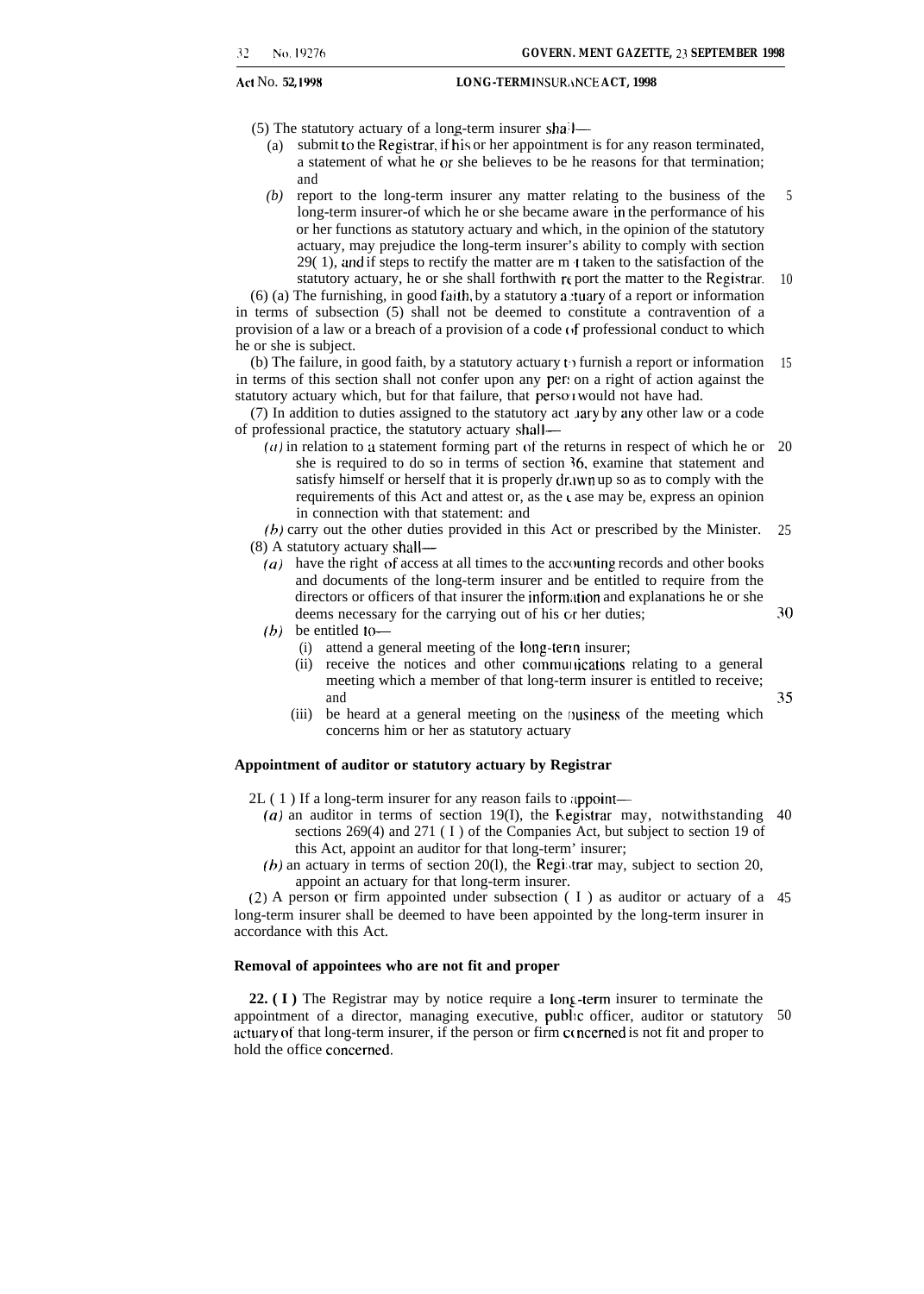- (5) The statutory actuary of a long-term insurer sha; l—
	- (a) submit to the Registrar, if his or her appointment is for any reason terminated, a statement of what he or she believes to be he reasons for that termination; and
	- *(b)* report to the long-term insurer any matter relating to the business of the long-term insurer-of which he or she became aware in the performance of his or her functions as statutory actuary and which, in the opinion of the statutory actuary, may prejudice the long-term insurer's ability to comply with section 29( 1), and if steps to rectify the matter are m t taken to the satisfaction of the statutory actuary, he or she shall forthwith  $r \in \text{port}$  the matter to the Registrar. 10 5

 $(6)$  (a) The furnishing, in good faith, by a statutory a tuary of a report or information in terms of subsection (5) shall not be deemed to constitute a contravention of a provision of a law or a breach of a provision of a code  $\theta$ f professional conduct to which he or she is subject.

(b) The failure, in good faith, by a statutory actuary to furnish a report or information in terms of this section shall not confer upon any per: on a right of action against the statutory actuary which, but for that failure, that perso **I** would not have had. 15

(7) In addition to duties assigned to the statutory act Jary by any other law or a code of professional practice, the statutory actuary shal l—

 $(a)$  in relation to a statement forming part of the returns in respect of which he or 20 she is required to do so in terms of section 36, examine that statement and satisfy himself or herself that it is properly dr, i win up so as to comply with the requirements of this Act and attest or, as the case may be, express an opinion in connection with that statement: and

(b) carry out the other duties provided in this Act or prescribed by the Minister. (8) A statutory actuary shall— 25

- $(a)$  have the right of access at all times to the accounting records and other books and documents of the long-term insurer and be entitled to require from the directors or officers of that insurer the information and explanations he or she deems necessary for the carrying out of his or her duties;
- *(h)* be entitled to—
	- (i) attend a general meeting of the long-term insurer;
	- (ii) receive the notices and other communications relating to a general meeting which a member of that long-term insurer is entitled to receive; and
	- (iii) be heard at a general meeting on the business of the meeting which concerns him or her as statutory actuary

#### **Appointment of auditor or statutory actuary by Registrar**

- $2L(1)$  If a long-term insurer for any reason fails to appoint-
	- $(a)$  an auditor in terms of section 19(I), the Registrar may, notwithstanding 40 sections 269(4) and 271 (I) of the Companies Act, but subject to section 19 of this Act, appoint an auditor for that long-term' insurer;
	- (b) an actuary in terms of section 20(1), the Registrar may, subject to section 20, appoint an actuary for that long-term insurer.

(2) A person or firm appointed under subsection  $(1)$  as auditor or actuary of a 45 long-term insurer shall be deemed to have been appointed by the long-term insurer in accordance with this Act.

#### **Removal of appointees who are not fit and proper**

**22. (I)** The Registrar may by notice require a long-term insurer to terminate the appointment of a director, managing executive, public officer, auditor or statutory 50 actuary of that long-term insurer, if the person or firm concerned is not fit and proper to hold the office concerned.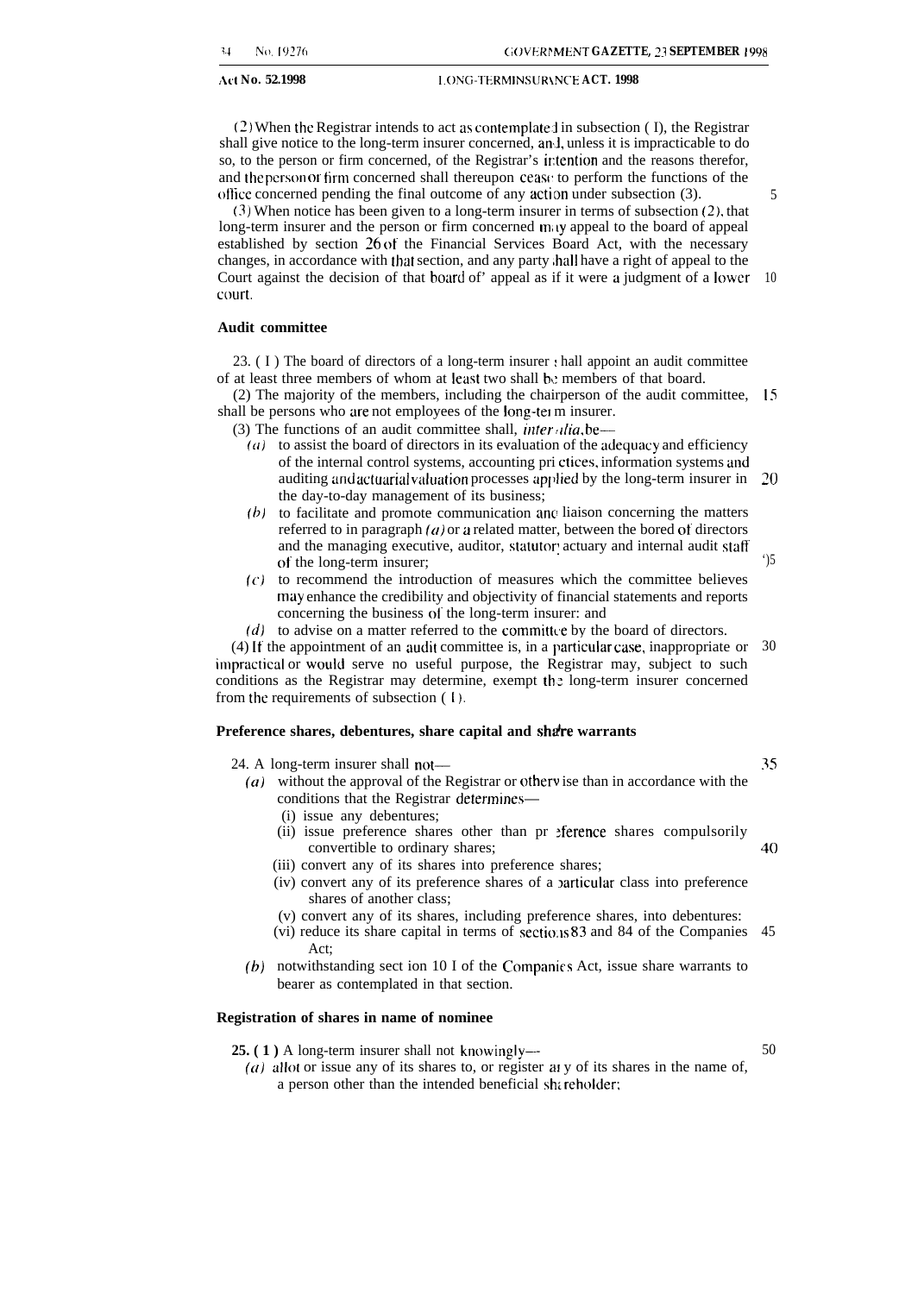#### **1.ONG-TERMINSURANCE ACT. 1998 I. I.ONG-TERMINSURANCE ACT. 1998**

 $(2)$  When the Registrar intends to act as contemplate: in subsection  $( I )$ , the Registrar shall give notice to the long-term insurer concerned, an.j, unless it is impracticable to do so, to the person or firm concerned, of the Registrar's irtention and the reasons therefor, and the person or firm concerned shall thereupon cease to perform the functions of the office concerned pending the final outcome of any action under subsection (3).

(3) When notice has been given to a long-term insurer in terms of subsection (2), that long-term insurer and the person or firm concerned may appeal to the board of appeal established by section 26 of the Financial Services Board Act, with the necessary changes, in accordance with that section, and any party ,hall have a right of appeal to the Court against the decision of that board of' appeal as if it were a judgment of a lower 10 court,

#### **Audit committee**

23.  $(1)$  The board of directors of a long-term insurer  $\cdot$  hall appoint an audit committee of at least three members of whom at least two shall be members of that board.

(2) The majority of the members, including the chairperson of the audit committee, 15 shall be persons who are not employees of the long-tel m insurer.

(3) The functions of an audit committee shall, *infer ~lia.* be—

- $(a)$  to assist the board of directors in its evaluation of the adequacy and efficiency of the internal control systems, accounting pri ctices, information systems and auditing and actuarial valuation processes applied by the long-term insurer in the day-to-day management of its business; 20
- (b) to facilitate and promote communication ane liaison concerning the matters referred to in paragraph  $(a)$  or a related matter, between the bored of directors and the managing executive, auditor, statutor actuary and internal audit staff of the long-term insurer;
- **(c)** to recommend the introduction of measures which the committee believes may enhance the credibility and objectivity of financial statements and reports concerning the business of the long-term insurer: and
- $(d)$  to advise on a matter referred to the committed by the board of directors.

 $(4)$  If the appointment of an audit committee is, in a particular case, inappropriate or 30 impmctical or would serve no useful purpose, the Registrar may, subject to such conditions as the Registrar may determine, exempt the long-term insurer concerned from the requirements of subsection ( I).

#### Preference shares, debentures, share capital and share warrants

24. A long-term insurer shall not-

- $(a)$  without the approval of the Registrar or otherwise than in accordance with the conditions that the Registrar determines—
	- (i) issue any debentures;
	- (ii) issue preference shares other than pr >ference shares compulsorily convertible to ordinary shares;
	- (iii) convert any of its shares into preference shares;
	- (iv) convert any of its preference shares of a >articuiar class into preference shares of another class;
	- (v) convert any of its shares, including preference shares, into debentures:
	- (vi) reduce its share capital in terms of sections 83 and 84 of the Companies Act; 45
- (b) notwithstanding sect ion 10 I of the Companies Act, issue share warrants to bearer as contemplated in that section.

#### **Registration of shares in name of nominee**

25. (1) A long-term insurer shall not knowingly-

50

( $a$ ) allot or issue any of its shares to, or register at y of its shares in the name of, a person other than the intended beneficial shareholder;

5

')5

35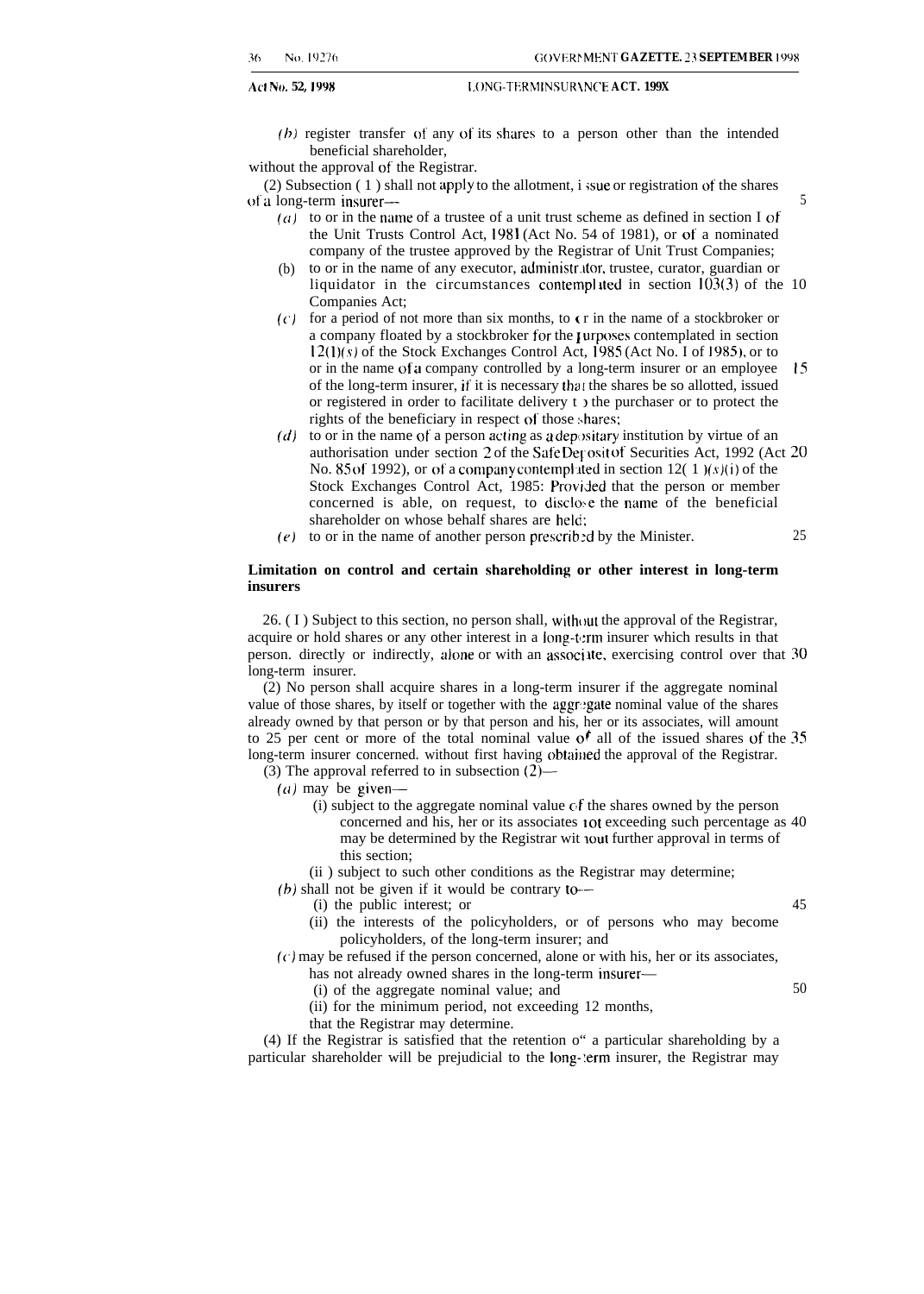Act No. 52, 1998 **[2006] EXECUTER IN LONG-TERMINSURANCE ACT. 199X** 

 $(b)$  register transfer of any of its shares to a person other than the intended beneficial shareholder,

without the approval of the Registrar.

(2) Subsection  $(1)$  shall not apply to the allotment, i sue or registration of the shares of a long-term insurer— 5

- $(a)$  to or in the name of a trustee of a unit trust scheme as defined in section I of the Unit Trusts Control Act, 1981 (Act No. 54 of 1981), or of a nominated company of the trustee approved by the Registrar of Unit Trust Companies;
- (b) to or in the name of any executor, administr.itor, trustee, curator, guardian or liquidator in the circumstances contemplated in section  $103(3)$  of the 10 Companies Act;
- $(c)$  for a period of not more than six months, to c r in the name of a stockbroker or a company floated by a stockbroker for the rurposes contemplated in section  $12(1)(s)$  of the Stock Exchanges Control Act, 1985 (Act No. I of 1985), or to or in the name of a company controlled by a long-term insurer or an employee 15 of the long-term insurer, if it is necessary that the shares be so allotted, issued or registered in order to facilitate delivery t ) the purchaser or to protect the rights of the beneficiary in respect of those shares;
- (d) to or in the name of a person acting as a depositary institution by virtue of an authorisation under section 2 of the Safe Deposit of Securities Act, 1992 (Act 20 No. 85 of 1992), or of a company contemplated in section  $12(1)$ (s)(i) of the Stock Exchanges Control Act, 1985: Provided that the person or member concerned is able, on request, to disclose the name of the beneficial shareholder on whose behalf shares are held:
- (e) to or in the name of another person prescribed by the Minister.  $25$

#### **Limitation on control and certain shareholding or other interest in long-term insurers**

 $26.$  ( I ) Subject to this section, no person shall, without the approval of the Registrar, acquire or hold shares or any other interest in a Iong-t:rm insurer which results in that person. directly or indirectly, alone or with an associ lte, exercising control over that 30 long-term insurer.

(2) No person shall acquire shares in a long-term insurer if the aggregate nominal value of those shares, by itself or together with the aggr:gate nominal value of the shares already owned by that person or by that person and his, her or its associates, will amount to 25 per cent or more of the total nominal value of all of the issued shares of the 35 long-term insurer concerned. without first having obtained the approval of the Registrar.

(3) The approval referred to in subsection  $(2)$ –

(a) may be given—

- (i) subject to the aggregate nominal value  $cf$  the shares owned by the person concerned and his, her or its associates I ot exceeding such percentage as 40 may be determined by the Registrar wit iout further approval in terms of this section;
- (ii ) subject to such other conditions as the Registrar may determine;
- (b) shall not be given if it would be contrary to—
	- (i) the public interest; or 45
	- (ii) the interests of the policyholders, or of persons who may become policyholders, of the long-term insurer; and
- $(c)$  may be refused if the person concerned, alone or with his, her or its associates, has not already owned shares in the long-term insurer—
	- (i) of the aggregate nominal value; and 50
	- (ii) for the minimum period, not exceeding 12 months,
	- that the Registrar may determine.

(4) If the Registrar is satisfied that the retention o" a particular shareholding by a particular shareholder will be prejudicial to the Iong-:erm insurer, the Registrar may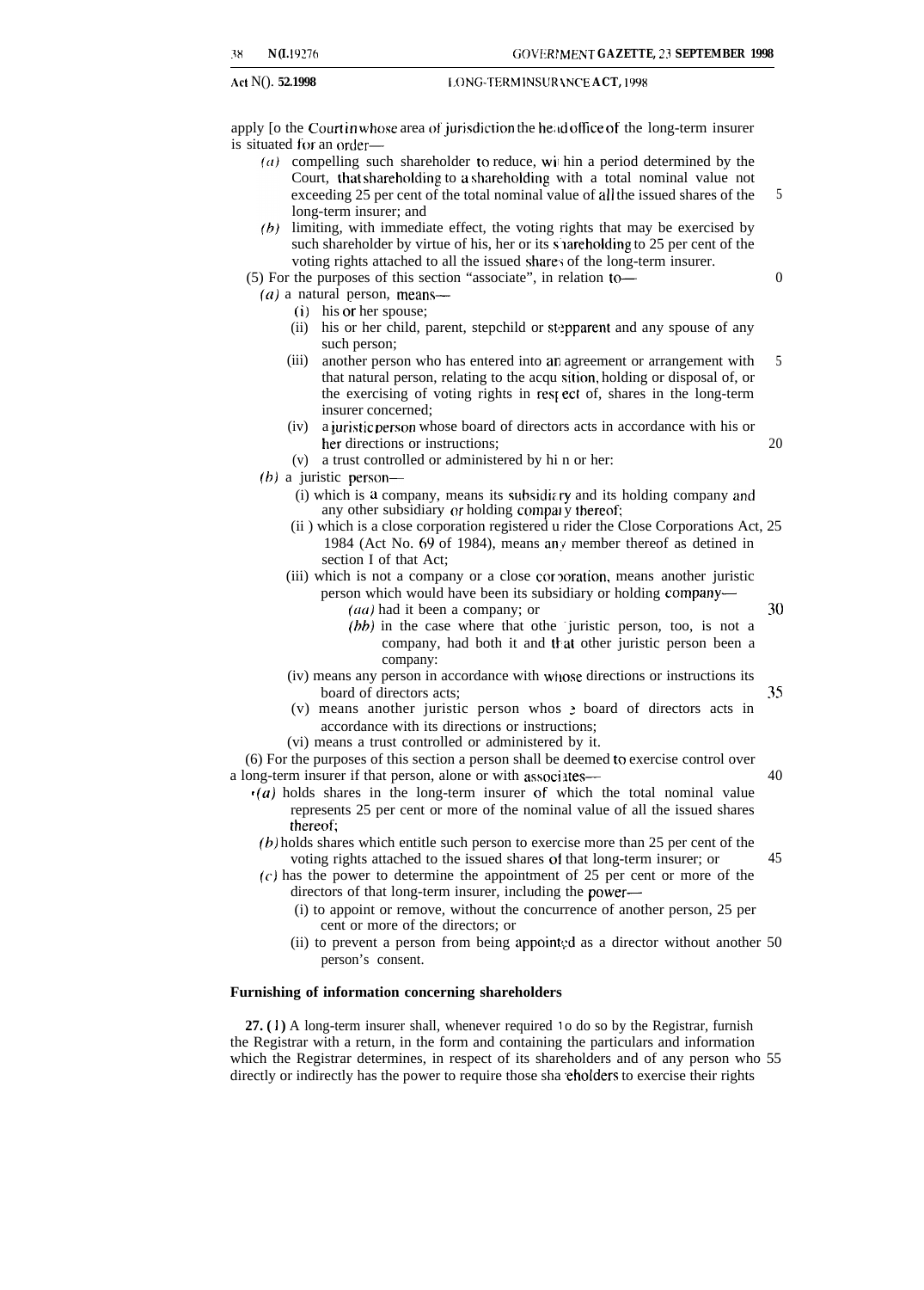Act N(). **52.1998 IMPLIFERMINSURANCE ACT. 1998** 

apply [o the Court in whose area of jurisdiction the head office of the long-term insurer is situated for an order-

- (a) compelling such shareholder to reduce, will hin a period determined by the Court, that shareholding to a shareholding with a total nominal value not exceeding 25 per cent of the total nominal value of all the issued shares of the long-term insurer; and 5
- $\langle b \rangle$  limiting, with immediate effect, the voting rights that may be exercised by such shareholder by virtue of his, her or its s areholding to 25 per cent of the voting rights attached to all the issued shares of the long-term insurer.

(5) For the purposes of this section "associate", in relation to—

- $(a)$  a natural person, means—
	- (i) his or her spouse;
		- (ii) his or her child, parent, stepchild or stepparent and any spouse of any such person;
	- (iii) another person who has entered into an agreement or arrangement with that natural person, relating to the acqu sition, holding or disposal of, or the exercising of voting rights in resr ect of, shares in the long-term insurer concerned; 5
	- (iv) a juristic person whose board of directors acts in accordance with his or her directions or instructions; 20
	- (v) a trust controlled or administered by hi n or her:
- (b) a juristic person—
	- $(i)$  which is a company, means its subsidiary and its holding company and any other subsidiary or holding compary thereof:
	- (ii ) which is a close corporation registered u rider the Close Corporations Act, 25 1984 (Act No. 69 of 1984), means any member thereof as detined in section I of that Act;
	- (iii) which is not a company or a close corporation, means another juristic person which would have been its subsidiary or holding company—
		- $(a\alpha)$  had it been a company; or  $30$
		- $(hh)$  in the case where that othe juristic person, too, is not a company, had both it and that other juristic person been a company:
	- (iv) means any person in accordance with whose directions or instructions its board of directors acts; 35
	- (v) means another juristic person whos  $\geq$  board of directors acts in accordance with its directions or instructions;
	- (vi) means a trust controlled or administered by it.

(6) For the purposes of this section a person shall be deemed to exercise control over a long-term insurer if that person, alone or with associates— 40

- $\cdot$ (a) holds shares in the long-term insurer of which the total nominal value represents 25 per cent or more of the nominal value of all the issued shares thereot
- (b) holds shares which entitle such person to exercise more than 25 per cent of the voting rights attached to the issued shares of that long-term insurer; or 45
- (c) has the power to determine the appointment of 25 per cent or more of the directors of that long-term insurer, including the power—
	- (i) to appoint or remove, without the concurrence of another person, 25 per cent or more of the directors; or
	- (ii) to prevent a person from being appointed as a director without another  $50$ person's consent.

#### **Furnishing of information concerning shareholders**

27. (1) A long-term insurer shall, whenever required 10 do so by the Registrar, furnish the Registrar with a return, in the form and containing the particulars and information which the Registrar determines, in respect of its shareholders and of any person who 55 directly or indirectly has the power to require those sha eholders to exercise their rights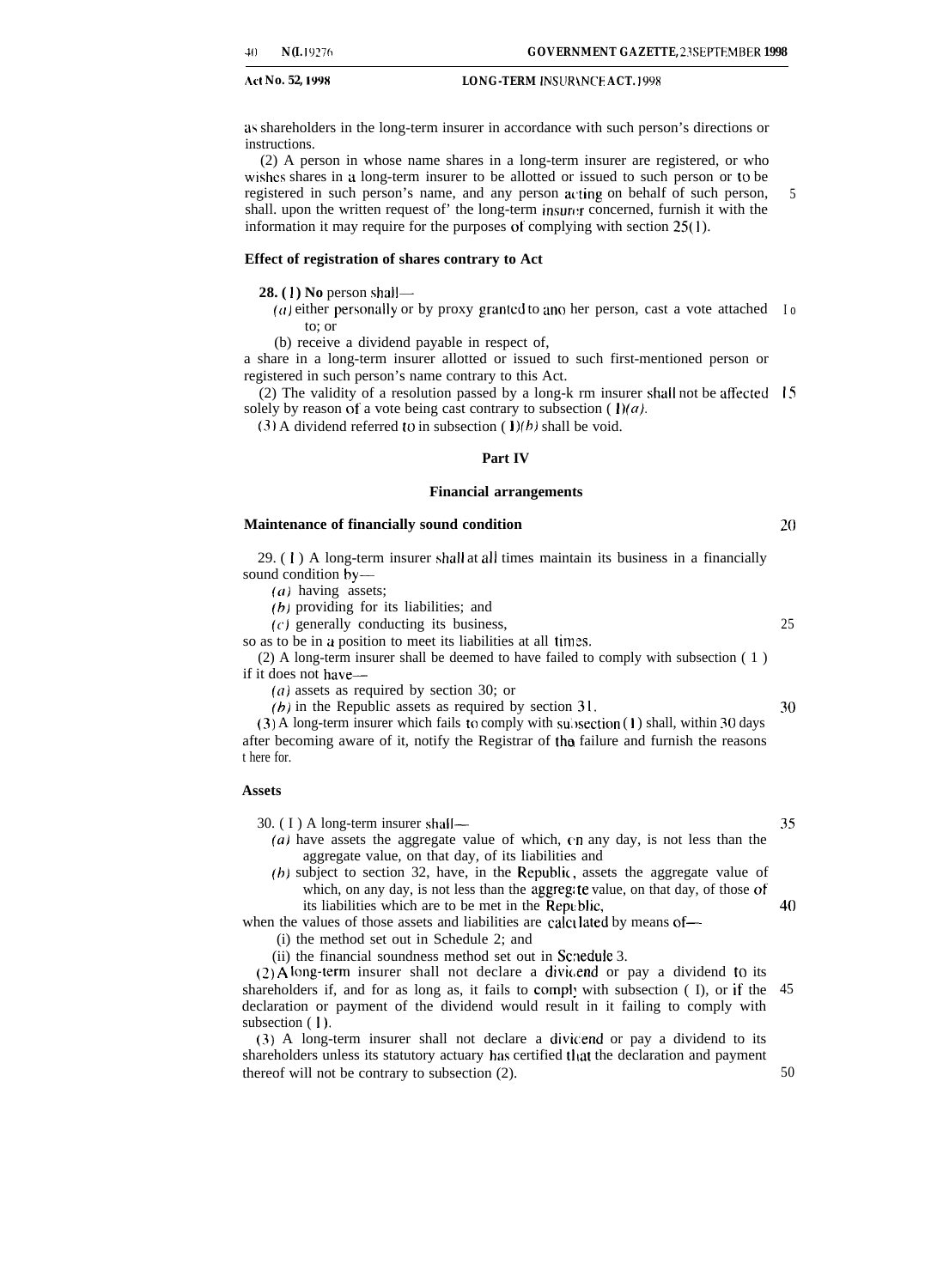as shareholders in the long-term insurer in accordance with such person's directions or instructions.

(2) A person in whose name shares in a long-term insurer are registered, or who wishes shares in a long-term insurer to be allotted or issued to such person or to be registered in such person's name, and any person acting on behalf of such person, shall, upon the written request of the long-term insure:  $r$  concerned, furnish it with the information it may require for the purposes of complying with section **25(1** ). 5

#### **Effect of registration of shares contrary to Act**

**28. (1) No person shall—** 

( $a$ ) either personally or by proxy granted to ano her person, cast a vote attached  $I_0$ to; or

(b) receive a dividend payable in respect of,

a share in a long-term insurer allotted or issued to such first-mentioned person or registered in such person's name contrary to this Act.

 $(2)$  The validity of a resolution passed by a long-k rm insurer shall not be affected 15 solely by reason of a vote being cast contrary to subsection ( $1$ )(*a*).

(3) A dividend referred to in subsection ( $\mathbf{1}$ )(b) shall be void.

#### **Part IV**

#### **Financial arrangements**

#### **Maintenance of financially sound condition**

29. ( 1 ) A long-term insurer shall at all times maintain its business in a financially sound condition by—

 $(a)$  having assets;

(b) providing for its liabilities; and

 $(c)$  generally conducting its business,

so as to be in a position to meet its liabilities at all times.

(2) A long-term insurer shall be deemed to have failed to comply with subsection ( 1 ) if it does not have—

 $(a)$  assets as required by section 30; or

*(b)* in the Republic assets as required by section 31.

(3) A long-term insurer which fails to comply with subsection  $(1)$  shall, within 30 days after becoming aware of it, notify the Registrar of tha failure and furnish the reasons t here for.

#### **Assets**

30. ( I ) A long-term insurer shall—

(a) have assets the aggregate value of which,  $\epsilon$ n any day, is not less than the aggregate value, on that day, of its liabilities and

 $(b)$  subject to section 32, have, in the Republic, assets the aggregate value of which, on any day, is not less than the aggreg: te value, on that day, of those of its liabilities which are to be met in the Rept:blic,

when the values of those assets and liabilities are calculated by means of—

(i) the method set out in Schedule 2; and

(ii) the financial soundness method set out in Scnedule 3.

 $(2)$  A long-term insurer shall not declare a dividend or pay a dividend to its shareholders if, and for as long as, it fails to comply with subsection (I), or if the 45 declaration or payment of the dividend would result in it failing to comply with subsection ( I).

(3) A long-term insurer shall not declare a dividend or pay a dividend to its shareholders unless its statutory actuary has certified that the declaration and payment thereof will not be contrary to subsection (2).

30

25

20

35

40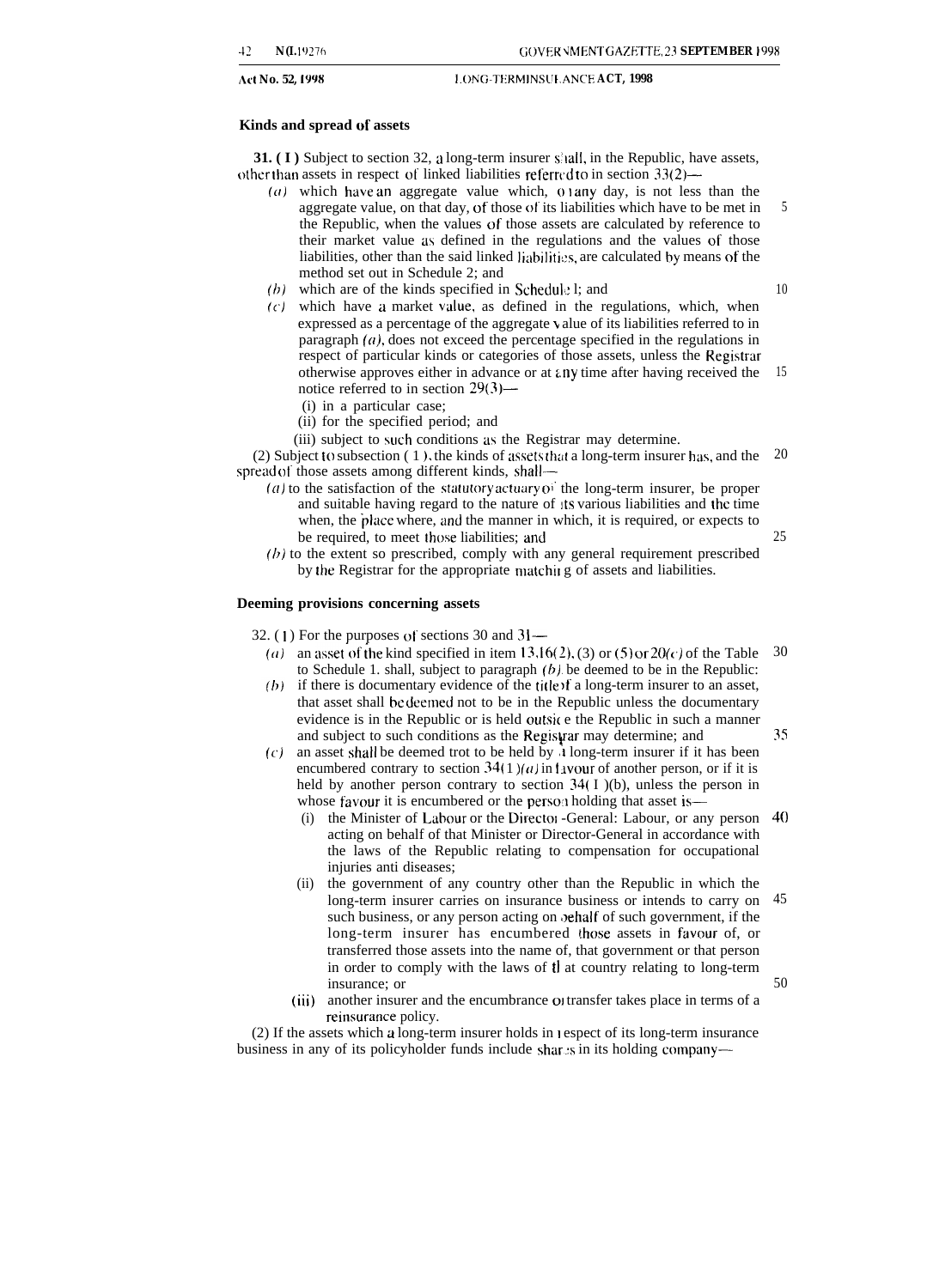#### **Ad No. 52, 1998 J. ONG-TERM INSIII.ANCE ACT, 1998**

#### **Kinds and spread of assets**

**31. (I)** Subject to section 32, a long-term insurer s'all, in the Republic, have assets, other than assets in respect of linked liabilities referred to in section  $33(2)$ —

- $(a)$  which have an aggregate value which,  $01$  any day, is not less than the aggregate value, on that day, of those of its liabilities which have to be met in the Republic, when the values of those assets are calculated by reference to their market value as defined in the regulations and the values of those liabilities, other than the said linked liabilities, are calculated by means of the method set out in Schedule 2; and 5
- $(b)$  which are of the kinds specified in Schedule 1; and
- $(c)$  which have a market value, as defined in the regulations, which, when expressed as a percentage of the aggregate \ alue of its liabilities referred to in paragraph  $(a)$ , does not exceed the percentage specified in the regulations in respect of particular kinds or categories of those assets, unless the Registrar otherwise approves either in advance or at t.ny time after having received the 15 notice referred to in section 29(3)—
	- (i) in a particular case;
	- (ii) for the specified period; and

(iii) subject to such conditions as the Registrar may determine.

(2) Subject to subsection  $(1)$ , the kinds of assets that a long-term insurer has, and the spread ot those assets among different kinds, shall— 20

- (a) to the satisfaction of the statutory actuary  $o^{\dagger}$  the long-term insurer, be proper and suitable having regard to the nature of its various liabilities and the time when, the place where, and the manner in which, it is required, or expects to be required, to meet those liabilities; and
- $(h)$  to the extent so prescribed, comply with any general requirement prescribed by the Registrar for the appropriate matchir g of assets and liabilities.

#### **Deeming provisions concerning assets**

32. (1) For the purposes of sections 30 and  $31-$ 

- (a) an asset of the kind specified in item 13,16(2), (3) or (5) or  $20(c)$  of the Table to Schedule 1. shall, subject to paragraph  $(b)$  be deemed to be in the Republic: 30
- $(b)$  if there is documentary evidence of the title of a long-term insurer to an asset, that asset shall he deemed not to be in the Republic unless the documentary evidence is in the Republic or is held outsite the Republic in such a manner and subject to such conditions as the Registrar may determine; and
- $(c)$  an asset shall be deemed trot to be held by  $\lambda$  long-term insurer if it has been encumbered contrary to section 34(1)(a) in t vour of another person, or if it is held by another person contrary to section  $34(1)$ (b), unless the person in whose favour it is encumbered or the person holding that asset is—
	- (i) the Minister of Labour or the Director -General: Labour, or any person 40 acting on behalf of that Minister or Director-General in accordance with the laws of the Republic relating to compensation for occupational injuries anti diseases;
	- (ii) the government of any country other than the Republic in which the long-term insurer carries on insurance business or intends to carry on such business, or any person acting on *pehalf* of such government, if the long-term insurer has encumbered those assets in favour of, or transferred those assets into the name of, that government or that person in order to comply with the laws of that country relating to long-term insurance; or 45 50
	- (iii) another insurer and the encumbrance of transfer takes place in terms of a reinsurance policy.

(2) If the assets which a long-term insurer holds in I espect of its long-term insurance business in any of its policyholder funds include shares in its holding company10

25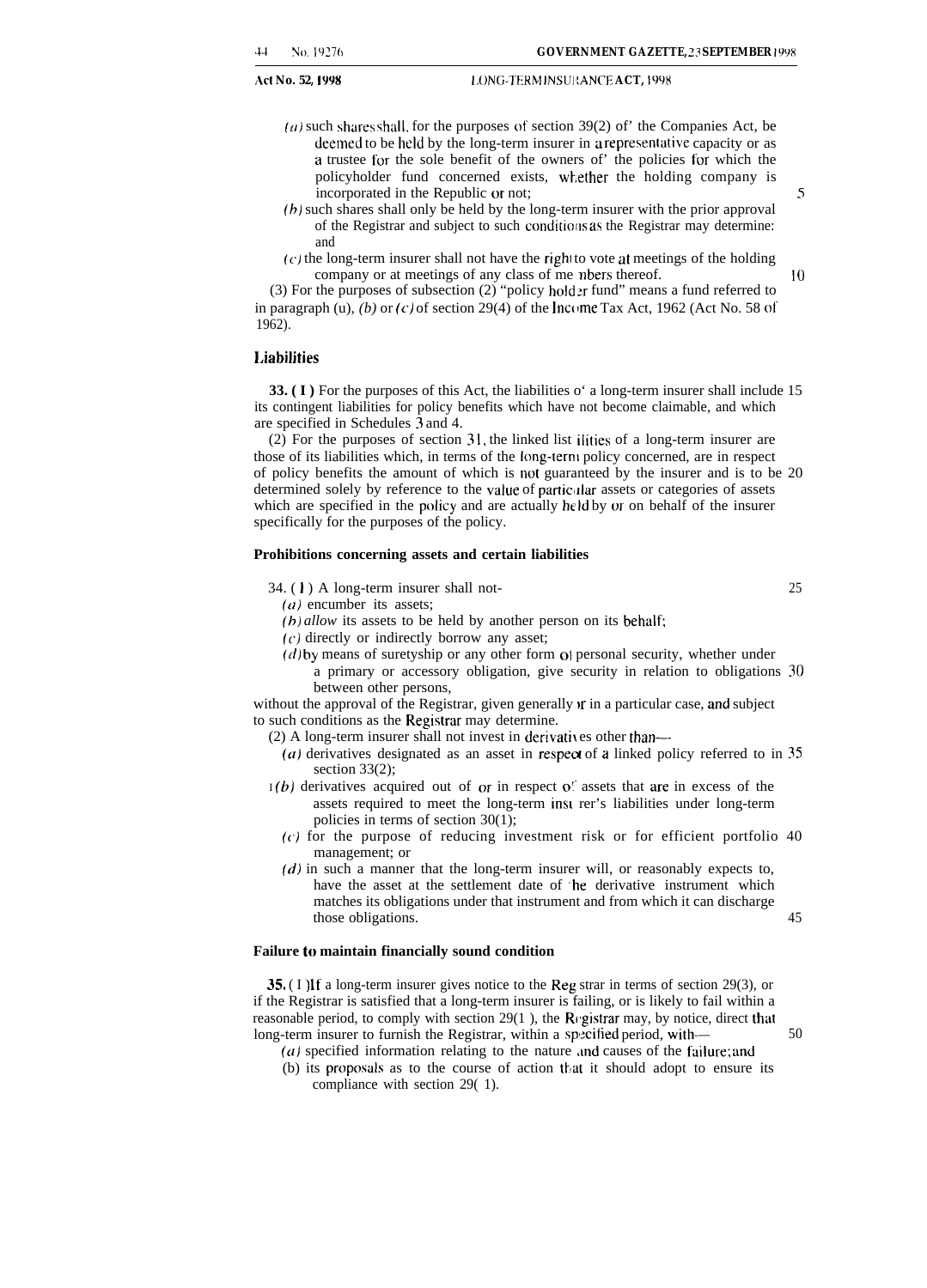- $(a)$  such shares shall, for the purposes of section 39(2) of' the Companies Act, be deemed to be held by the long-term insurer in a representative capacity or as a trustee for the sole benefit of the owners of' the policies for which the policyholder fund concerned exists, whether the holding company is incorporated in the Republic or not; 5
- *(b)* such shares shall only be held by the long-term insurer with the prior approval of the Registrar and subject to such conditions as the Registrar may determine: and
- $(c)$  the long-term insurer shall not have the right to vote at meetings of the holding company or at meetings of any class of me nbers thereof. 10

(3) For the purposes of subsection (2) "policy holder fund" means a fund referred to in paragraph (u), *(b)* or *(c)* of section 29(4) of the Income Tax Act, 1962 (Act No. 58 of 1962).

#### **I.iabilities**

**33. (I)** For the purposes of this Act, the liabilities o' a long-term insurer shall include 15 its contingent liabilities for policy benefits which have not become claimable, and which are specified in Schedules 3 and 4.

(2) For the purposes of section 31, the linked list ilities of a long-term insurer are those of its liabilities which, in terms of the Iong-terni policy concerned, are in respect of policy benefits the amount of which is not guaranteed by the insurer and is to be 20 determined solely by reference to the value of particular assets or categories of assets which are specified in the policy and are actually held by or on behalf of the insurer specifically for the purposes of the policy.

#### **Prohibitions concerning assets and certain liabilities**

 $34. (1)$  A long-term insurer shall not- 25

 $(a)$  encumber its assets;

- *(b) allow its assets to be held by another person on its behalf;*
- $(c)$  directly or indirectly borrow any asset;
- $(d)$  by means of suretyship or any other form of personal security, whether under a primary or accessory obligation, give security in relation to obligations 30 between other persons,

without the approval of the Registrar, given generally  $\bf{v}$  in a particular case, and subject to such conditions as the Registrar may determine.

- $(2)$  A long-term insurer shall not invest in derivatives other than—
- ( $a$ ) derivatives designated as an asset in respect of a linked policy referred to in 35 section 33(2);
- $I(b)$  derivatives acquired out of or in respect of assets that are in excess of the assets required to meet the long-term insl rer's liabilities under long-term policies in terms of section 30(1);
	- (c) for the purpose of reducing investment risk or for efficient portfolio 40 management; or
	- $(d)$  in such a manner that the long-term insurer will, or reasonably expects to, have the asset at the settlement date of 'he derivative instrument which matches its obligations under that instrument and from which it can discharge those obligations. 45

#### **Failure to maintain financially sound condition**

35. (I) If a long-term insurer gives notice to the Reg strar in terms of section 29(3), or if the Registrar is satisfied that a long-term insurer is failing, or is likely to fail within a reasonable period, to comply with section  $29(1)$ , the Registrar may, by notice, direct that long-term insurer to furnish the Registrar, within a specified period, with—  $50$ 

- ( $a$ ) specified information relating to the nature and causes of the failure; and
- $(b)$  its proposals as to the course of action that it should adopt to ensure its compliance with section 29( 1).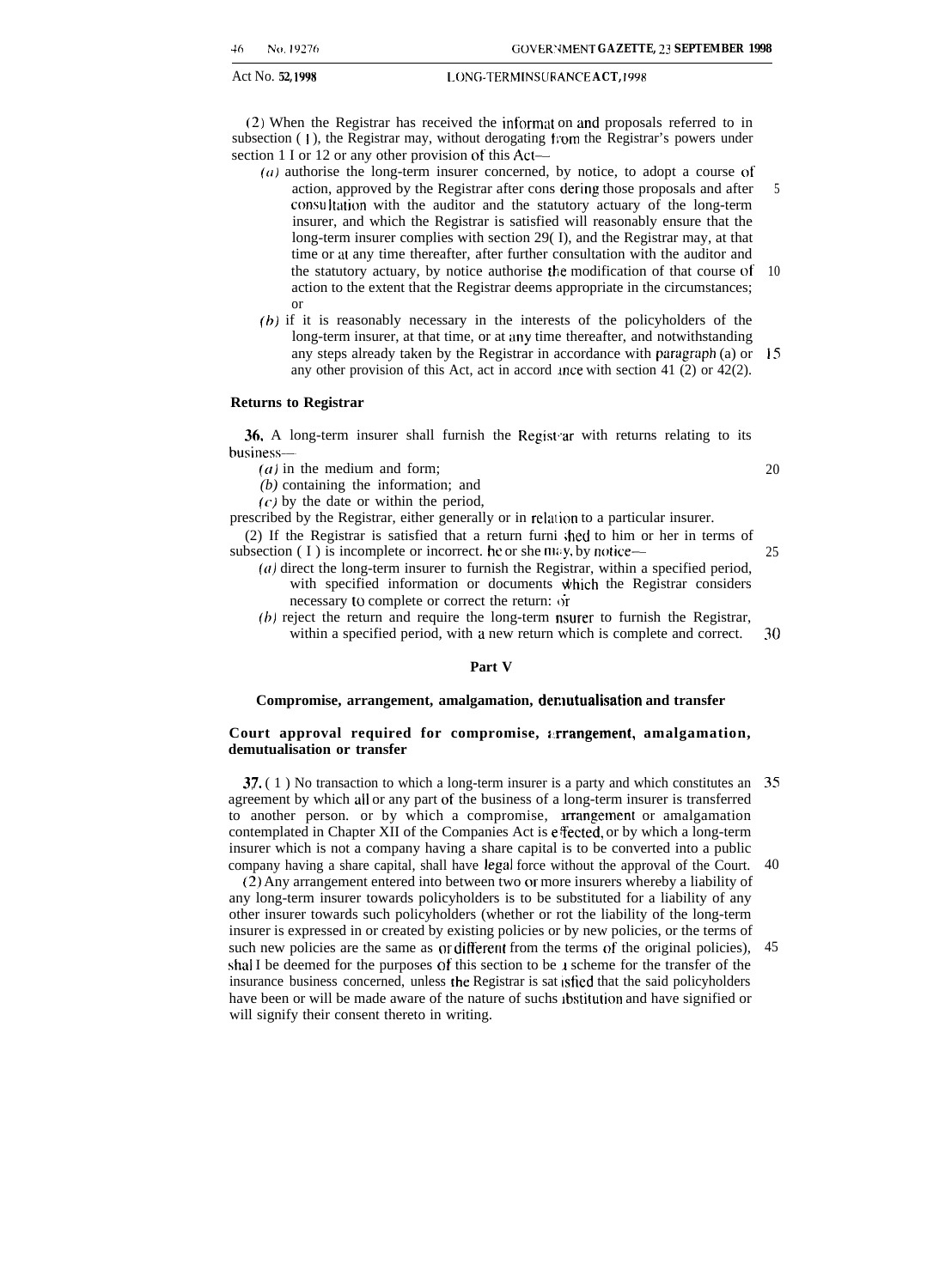#### Act No. **52, 1998 I. ONG-TERMINS(JR ANCE ACT, 1998**

(2) When the Registrar has received the informat on and proposals referred to in subsection (1), the Registrar may, without derogating from the Registrar's powers under section 1 I or 12 or any other provision of this Act—

- $(a)$  authorise the long-term insurer concerned, by notice, to adopt a course of action, approved by the Registrar after cons dering those proposals and after consultation with the auditor and the statutory actuary of the long-term insurer, and which the Registrar is satisfied will reasonably ensure that the long-term insurer complies with section 29( I), and the Registrar may, at that time or at any time thereafter, after further consultation with the auditor and the statutory actuary, by notice authorise the modification of that course of' action to the extent that the Registrar deems appropriate in the circumstances; or 5 10
- (b) if it is reasonably necessary in the interests of the policyholders of the long-term insurer, at that time, or at any time thereafter, and notwithstanding any steps already taken by the Registrar in accordance with paragrzph (a) or 15 any other provision of this Act, act in accord ance with section 41 (2) or 42(2).

#### **Returns to Registrar**

36. A long-term insurer shall furnish the Regist ar with returns relating to its business—

 $(a)$  in the medium and form;

*(b)* containing the information; and

 $(c)$  by the date or within the period,

prescribed by the Registrar, either generally or in relation to a particular insurer. (2) If the Registrar is satisfied that a return furni ;hed to him or her in terms of

subsection (I) is incomplete or incorrect. he or she may, by notice-- $(a)$  direct the long-term insurer to furnish the Registrar, within a specified period, 25

- with specified information or documents which the Registrar considers necessary to complete or correct the return:  $\dot{\text{or}}$
- (b) reject the return and require the long-term nsurer to furnish the Registrar, within a specified period, with a new return which is complete and correct. 30

#### **Part V**

#### **Compromise, arrangement, amalgamation, demutualisation and transfer**

#### **Court approval required for compromise, :.rrangement, amalgamation, demutualisation or transfer**

37. ( 1 ) No transaction to which a long-term insurer is a party and which constitutes an 35 agreement by which all or any part of the business of a long-term insurer is transferred to another person. or by which a compromise, arrangement or amalgamation contemplated in Chapter XII of the Companies Act is efected, or by which a long-term insurer which is not a company having a share capital is to be converted into a public company having a share capital, shall have legal force without the approval of the Court. 40

(2) Any arrangement entered into between two or more insurers whereby a liability of any long-term insurer towards policyholders is to be substituted for a liability of any other insurer towards such policyholders (whether or rot the liability of the long-term insurer is expressed in or created by existing policies or by new policies, or the terms of such new policies are the same as or different from the terms of the original policies), shal I be deemed for the purposes of this section to be 1 scheme for the transfer of the insurance business concerned, unless the Registrar is sat isfied that the said policyholders have been or will be made aware of the nature of suchs ibstitution and have signified or will signify their consent thereto in writing. 45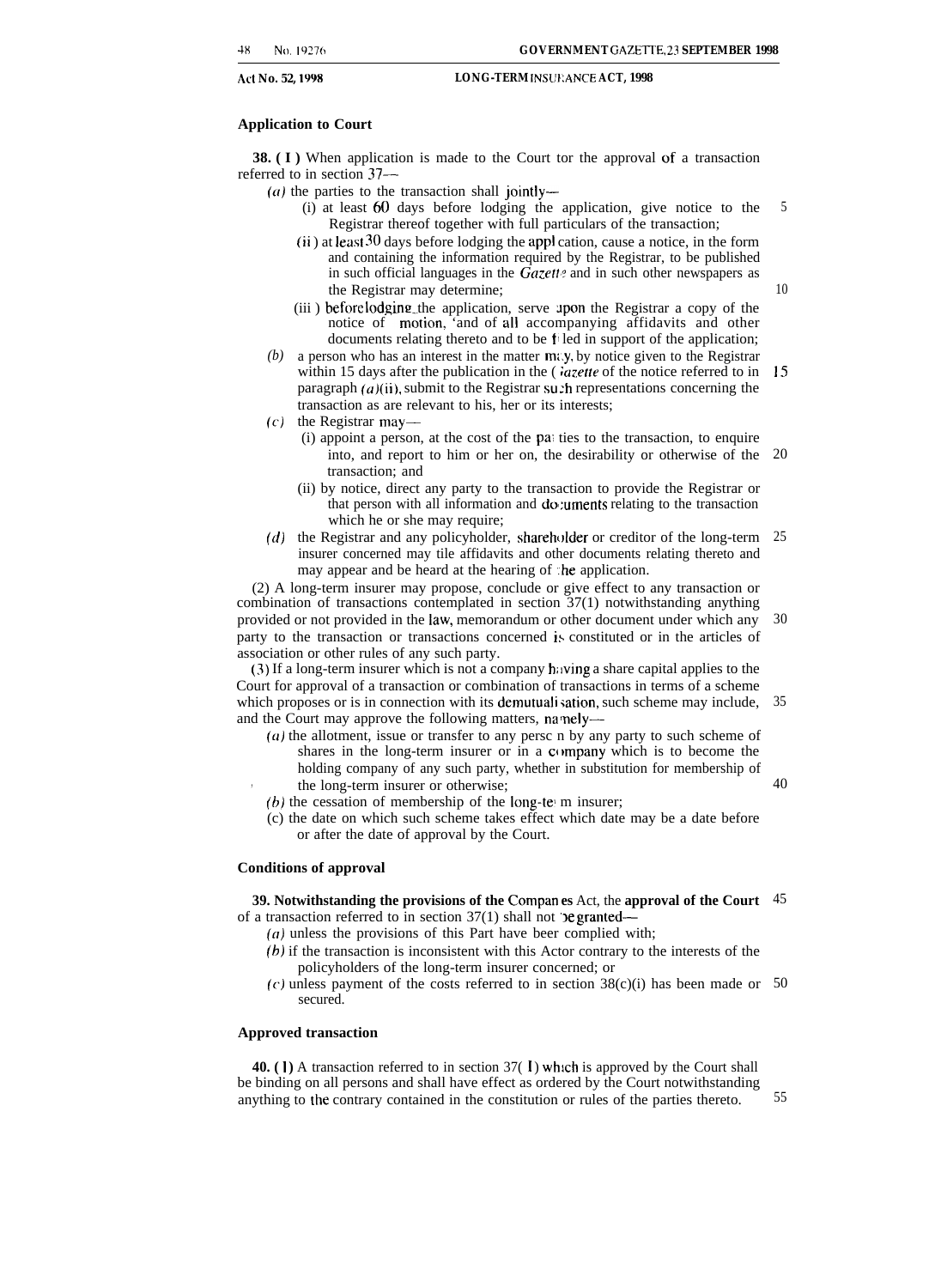#### **Application to Court**

**38. (I)** When application is made to the Court tor the approval of a transaction referred to in section 37—

- (*a*) the parties to the transaction shall jointly—
	- (i) at least 60 days before lodging the application, give notice to the Registrar thereof together with full particulars of the transaction; 5
	- (ii ) at least 30 days before lodging the appl cation, cause a notice, in the form and containing the information required by the Registrar, to be published in such official languages in the  $\bar{G}$ *azett*<sup>2</sup> and in such other newspapers as the Registrar may determine;
	- (iii) before lodging\_the application, serve upon the Registrar a copy of the notice of motion, and of all accompanying affidavits and other documents relating thereto and to be  $f_i$  led in support of the application;
- *(b)* a person who has an interest in the matter *mi.y,* by notice given to the Registrar within 15 days after the publication in the  $\binom{a}{z}$  at the notice referred to in 15 paragraph  $(a)(ii)$ , submit to the Registrar su :h representations concerning the transaction as are relevant to his, her or its interests;
- *(c)* the Registrar may—
	- (i) appoint a person, at the cost of the palties to the transaction, to enquire into, and report to him or her on, the desirability or otherwise of the 20 transaction; and
	- (ii) by notice, direct any party to the transaction to provide the Registrar or that person with all information and do uments relating to the transaction which he or she may require;
- (d) the Registrar and any policyholder, shareholder or creditor of the long-term 25 insurer concerned may tile affidavits and other documents relating thereto and may appear and be heard at the hearing of  $\Delta$  the application.

(2) A long-term insurer may propose, conclude or give effect to any transaction or combination of transactions contemplated in section 37(1) notwithstanding anything provided or not provided in the law, memorandum or other document under which any party to the transaction or transactions concerned is constituted or in the articles of association or other rules of any such party. 30

(3) If a long-term insurer which is not a company having a share capital applies to the Court for approval of a transaction or combination of transactions in terms of a scheme which proposes or is in connection with its demutuali sation, such scheme may include, and the Court may approve the following matters, namely— 35

- $(a)$  the allotment, issue or transfer to any persc n by any party to such scheme of shares in the long-term insurer or in a  $\mathfrak{c}$  company which is to become the holding company of any such party, whether in substitution for membership of the long-term insurer or otherwise;
- (b) the cessation of membership of the long-te m insurer;
- (c) the date on which such scheme takes effect which date may be a date before or after the date of approval by the Court.

#### **Conditions of approval**

**39. Notwithstanding the provisions of the Compan es** Act, the **approval of the Court** 45 of a transaction referred to in section  $37(1)$  shall not **be granted**—

- (a) unless the provisions of this Part have beer complied with;
- $(b)$  if the transaction is inconsistent with this Actor contrary to the interests of the policyholders of the long-term insurer concerned; or
- (c) unless payment of the costs referred to in section 38(c)(i) has been made or 50 secured.

#### **Approved transaction**

**40.** (1) A transaction referred to in section 37(1) which is approved by the Court shall be binding on all persons and shall have effect as ordered by the Court notwithstanding anything to the contrary contained in the constitution or rules of the parties thereto. 55

10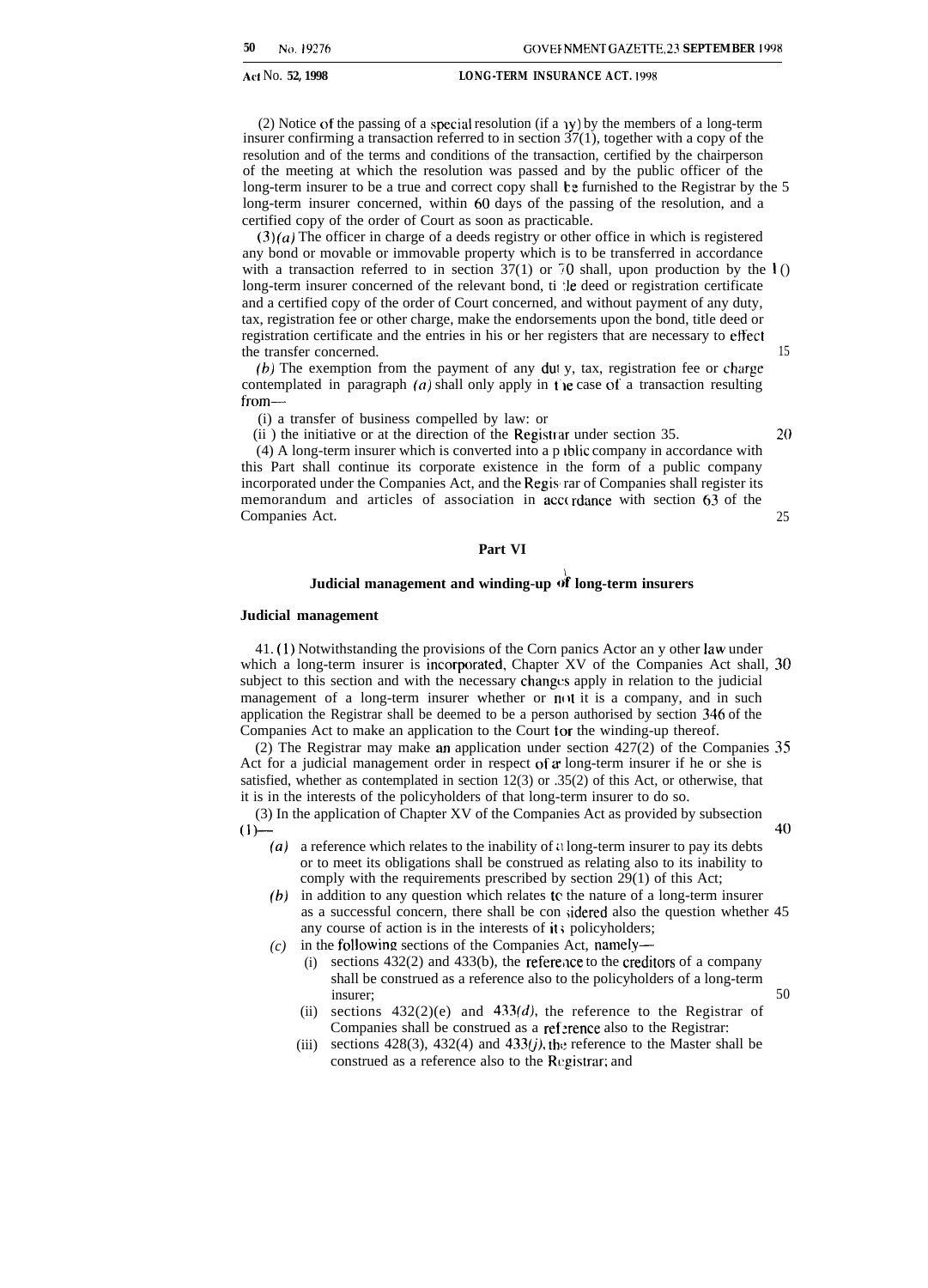(2) Notice of the passing of a special resolution (if a  $\gamma$ ) by the members of a long-term insurer confirming a transaction referred to in section 37(1), together with a copy of the resolution and of the terms and conditions of the transaction, certified by the chairperson of the meeting at which the resolution was passed and by the public officer of the long-term insurer to be a true and correct copy shall be furnished to the Registrar by the 5 long-term insurer concerned, within 60 days of the passing of the resolution, and a certified copy of the order of Court as soon as practicable.

 $(3)(a)$  The officer in charge of a deeds registry or other office in which is registered any bond or movable or immovable property which is to be transferred in accordance with a transaction referred to in section 37(1) or 70 shall, upon production by the  $\bf{l}$  () long-term insurer concerned of the relevant bond, ti :le deed or registration certificate and a certified copy of the order of Court concerned, and without payment of any duty, tax, registration fee or other charge, make the endorsements upon the bond, title deed or registration certificate and the entries in his or her registers that are necessary to effect the transfer concerned. 15

(b) The exemption from the payment of any dui y, tax, registration fee or charge contemplated in paragraph  $(a)$  shall only apply in the case of a transaction resulting from—

(i) a transfer of business compelled by law: or

(ii) the initiative or at the direction of the Registrar under section 35.  $20$ 

(4) A long-term insurer which is converted into a p Iblic company in accordance with this Part shall continue its corporate existence in the form of a public company incorporated under the Companies Act, and the Regis rar of Companies shall register its memorandum and articles of association in acc( rdance with section 63 of the Companies Act. 25

#### **Part VI**

#### **Judicial management and winding-up d'f long-term insurers**

#### **Judicial management**

41. (1) Notwithstanding the provisions of the Corn panics Actor an y other law under which a long-term insurer is incorporated, Chapter XV of the Companies Act shall, 30 subject to this section and with the necessary changes apply in relation to the judicial management of a long-term insurer whether or not it is a company, and in such application the Registrar shall be deemed to be a person authorised by section 346 of the Companies Act to make an application to the Court for the winding-up thereof.

(2) The Registrar may make an application under section 427(2) of the Companies 35 Act for a judicial management order in respect of  $\alpha$  long-term insurer if he or she is satisfied, whether as contemplated in section 12(3) or .35(2) of this Act, or otherwise, that it is in the interests of the policyholders of that long-term insurer to do so.

(3) In the application of Chapter XV of the Companies Act as provided by subsection  $(1)$ 

- (a) a reference which relates to the inability of a long-term insurer to pay its debts or to meet its obligations shall be construed as relating also to its inability to comply with the requirements prescribed by section 29(1) of this Act;
- *(b)* in addition to any question which relates te the nature of a long-term insurer as a successful concern, there shall be con sidered also the question whether 45 any course of action is in the interests of it; policyholders;
- *(c)* in the following sections of the Companies Act, namely—
	- $(i)$  sections 432(2) and 433(b), the reference to the creditors of a company shall be construed as a reference also to the policyholders of a long-term insurer; 50
	- (ii) sections  $432(2)(e)$  and  $433(d)$ , the reference to the Registrar of Companies shall be construed as a reference also to the Registrar:
	- (iii) sections 428(3), 432(4) and 433(*j*), the reference to the Master shall be construed as a reference also to the Registrar; and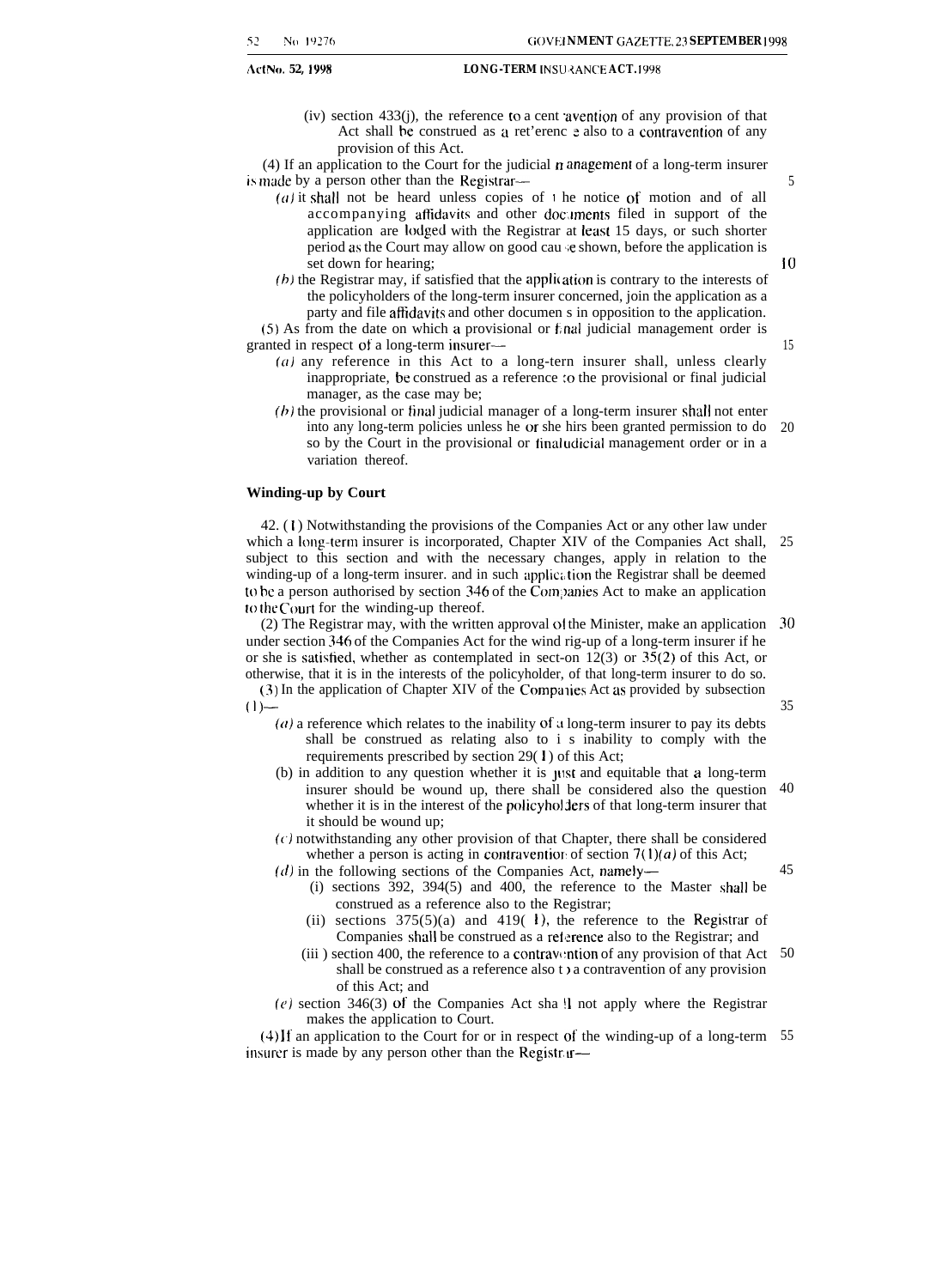(iv) section 433(j), the reference to a cent "avention of any provision of that Act shall be construed as a ret'erenc e also to a contravention of any provision of this Act.

(4) If an application to the Court for the judicial n anagement of a long-term insurer is made by a person other than the Registrar—

- (a) it shall not be heard unless copies of  $\iota$  he notice of motion and of all accompanying affidavits and other documents filed in support of the application are lodged with the Registrar at least 15 days, or such shorter period as the Court may allow on good cau ie shown, before the application is set down for hearing;
- $(b)$  the Registrar may, if satisfied that the application is contrary to the interests of the policyholders of the long-term insurer concerned, join the application as a party and file affidavits and other documen s in opposition to the application.

(5) As from the date on which a provisional or f,nal judicial management order is granted in respect of a long-term insurer—

- $(a)$  any reference in this Act to a long-tern insurer shall, unless clearly inappropriate, be construed as a reference to the provisional or final judicial manager, as the case may be;
- $(b)$  the provisional or final judicial manager of a long-term insurer shall not enter into any long-term policies unless he or she hirs been granted permission to do so by the Court in the provisional or final udicial management order or in a variation thereof. 20

#### **Winding-up by Court**

42. ( 1 ) Notwithstanding the provisions of the Companies Act or any other law under which a long-term insurer is incorporated, Chapter XIV of the Companies Act shall, subject to this section and with the necessary changes, apply in relation to the winding-up of a long-term insurer. and in such application the Registrar shall be deemed to be a person authorised by section 346 of the Com)>anies Act to make an application to the Court for the winding-up thereof. 25

(2) The Registrar may, with the written approval ot the Minister, make an application under section 346 of the Companies Act for the wind rig-up of a long-term insurer if he or she is satistied, whether as contemplated in sect-on 12(3) or 35(2) of this Act, or otherwise, that it is in the interests of the policyholder, of that long-term insurer to do so. 30

(3) In the application of Chapter XIV of the Compa lies Act as provided by subsection  $(1)$ —

- $(a)$  a reference which relates to the inability of a long-term insurer to pay its debts shall be construed as relating also to i s inability to comply with the requirements prescribed by section 29(1) of this Act;
- (b) in addition to any question whether it is ylst and equitable that a long-term insurer should be wound up, there shall be considered also the question whether it is in the interest of the policyholders of that long-term insurer that it should be wound up; 40
- $(c)$  notwithstanding any other provision of that Chapter, there shall be considered whether a person is acting in contravention of section  $7(1)(a)$  of this Act;

 $(d)$  in the following sections of the Companies Act, namely-

- (i) sections 392, 394(5) and 400, the reference to the Master shall be construed as a reference also to the Registrar;
- (ii) sections  $375(5)(a)$  and  $419(1)$ , the reference to the Registrar of Companies shall be construed as a reference also to the Registrar; and
- (iii) section 400, the reference to a contravention of any provision of that Act  $50$ shall be construed as a reference also t  $\lambda$  a contravention of any provision of this Act; and
- $(e)$  section 346(3) of the Companies Act sha! I not apply where the Registrar makes the application to Court.

(4) It' an application to the Court for or in respect of the winding-up of a long-term 55insurer is made by any person other than the Registr  $r$ —

10

15

5

35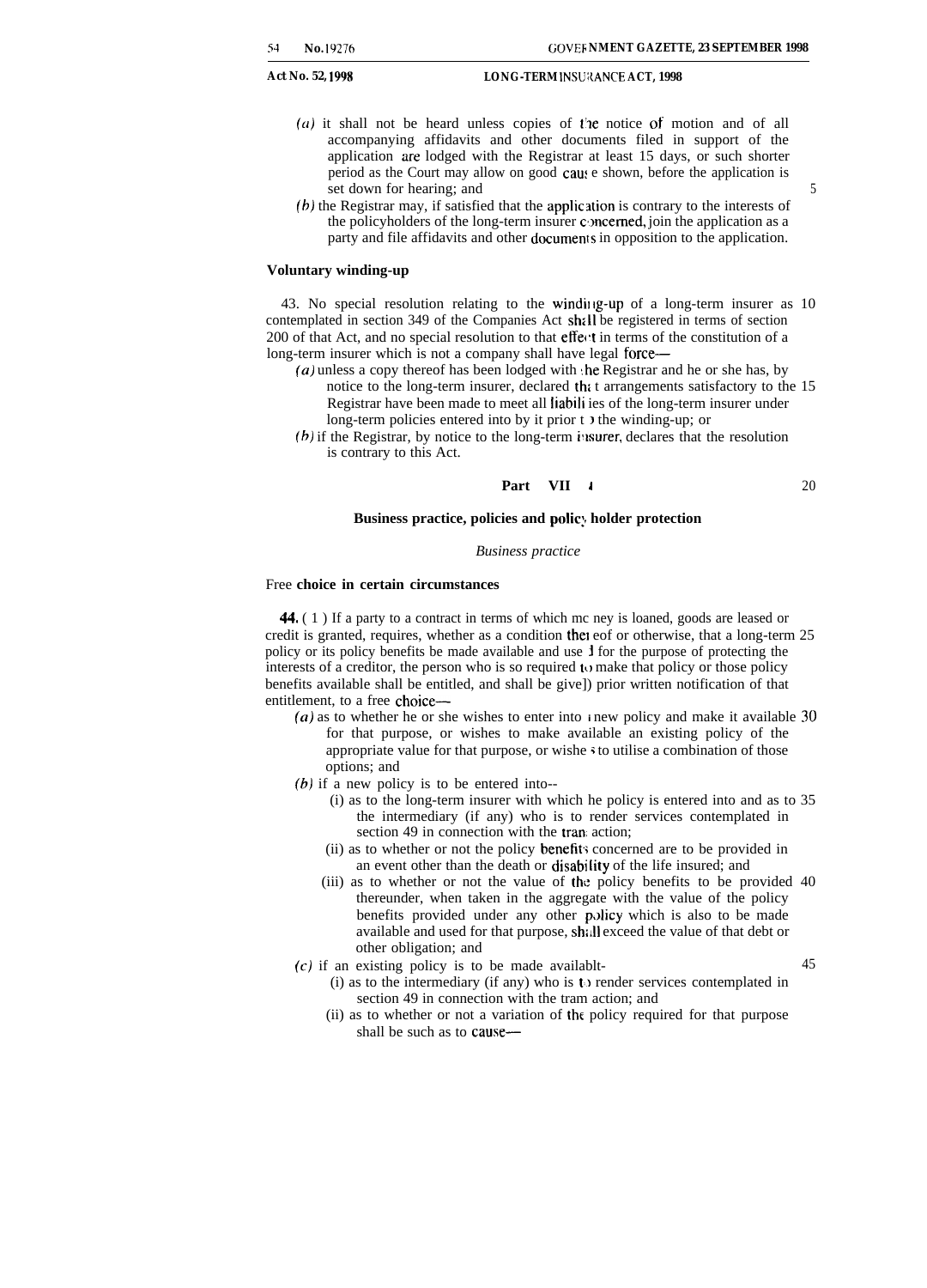- $(a)$  it shall not be heard unless copies of the notice of motion and of all accompanying affidavits and other documents filed in support of the application are lodged with the Registrar at least 15 days, or such shorter period as the Court may allow on good caus e shown, before the application is set down for hearing; and 5
- (b) the Registrar may, if satisfied that the applic ation is contrary to the interests of the policyholders of the long-term insurer concerned, join the application as a party and file affidavits and other documents in opposition to the application.

#### **Voluntary winding-up**

43. No special resolution relating to the winding-up of a long-term insurer as 10 contemplated in section 349 of the Companies Act shall be registered in terms of section 200 of that Act, and no special resolution to that effect in terms of the constitution of a long-term insurer which is not a company shall have legal force—

- (a) unless a copy thereof has been lodged with the Registrar and he or she has, by notice to the long-term insurer, declared thi t arrangements satisfactory to the 15 Registrar have been made to meet all liabili ies of the long-term insurer under long-term policies entered into by it prior t ) the winding-up; or
- (b) if the Registrar, by notice to the long-term insurer, declares that the resolution is contrary to this Act.

$$
Part VII i 
$$
20
$$
$$

#### **Business practice, policies and polic:, holder protection**

#### *Business practice*

#### Free **choice in certain circumstances**

44. ( 1 ) If a party to a contract in terms of which mc ney is loaned, goods are leased or credit is granted, requires, whether as a condition thel eof or otherwise, that a long-term 25 policy or its policy benefits be made available and use J for the purpose of protecting the interests of a creditor, the person who is so required to make that policy or those policy benefits available shall be entitled, and shall be give]) prior written notification of that entitlement, to a free choice—

- *(a)* as to whether he or she wishes to enter into *i* new policy and make it available 30 for that purpose, or wishes to make available an existing policy of the appropriate value for that purpose, or wishe \$ to utilise a combination of those options; and
- $(b)$  if a new policy is to be entered into--
	- (i) as to the long-term insurer with which he policy is entered into and as to 35 the intermediary (if any) who is to render services contemplated in section 49 in connection with the tran: action;
	- (ii) as to whether or not the policy benefits concerned are to be provided in an event other than the death or disabi Iity of the life insured; and
	- (iii) as to whether or not the value of the policy benefits to be provided 40 thereunder, when taken in the aggregate with the value of the policy benefits provided under any other policy which is also to be made available and used for that purpose, sh;,|| exceed the value of that debt or other obligation; and
- $(c)$  if an existing policy is to be made availablt-  $45$ 
	-
	- (i) as to the intermediary (if any) who is t) render services contemplated in section 49 in connection with the tram action; and
		- (ii) as to whether or not a variation of the policy required for that purpose shall be such as to cause—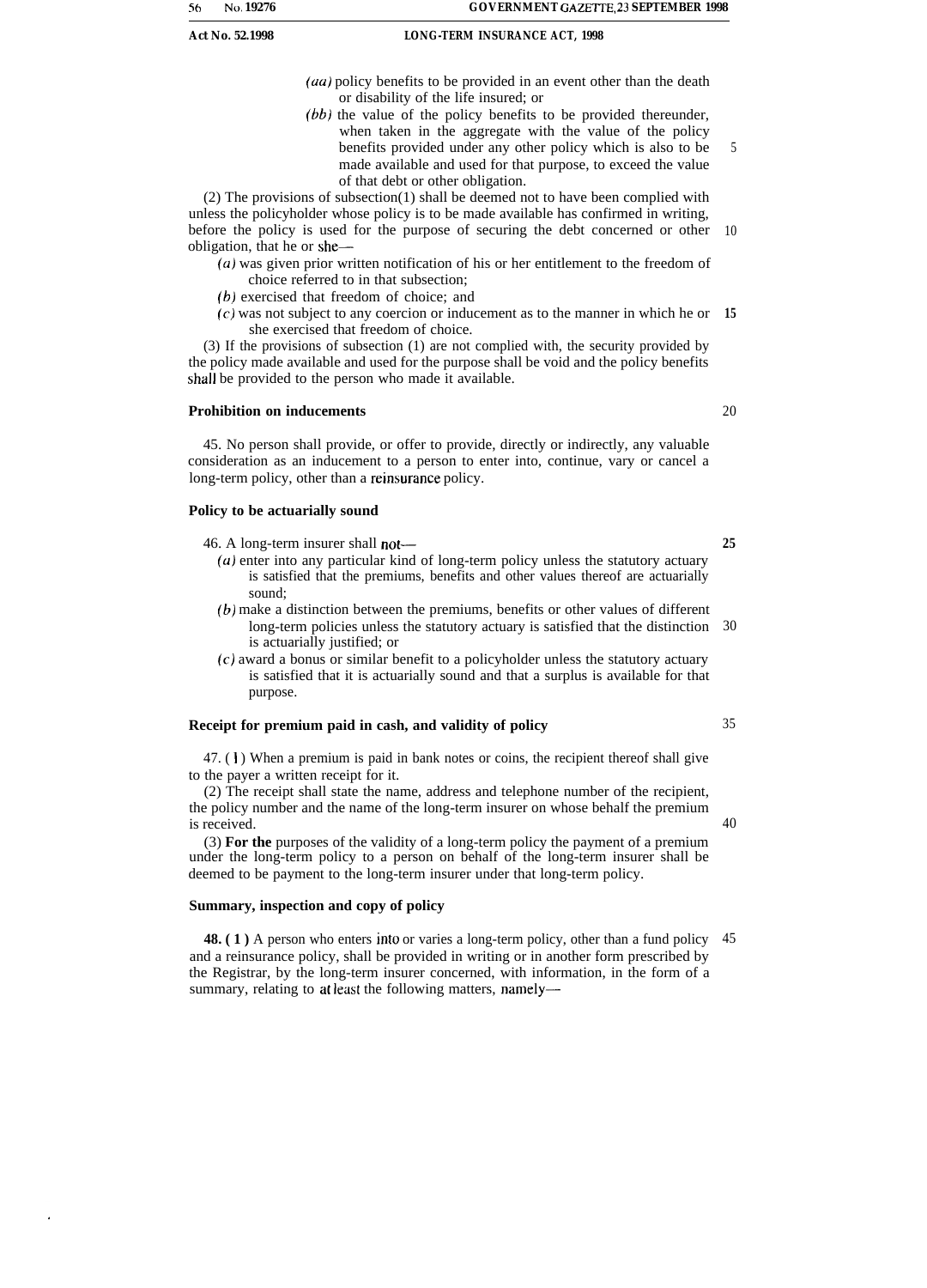$(aa)$  policy benefits to be provided in an event other than the death or disability of the life insured; or

 $(bb)$  the value of the policy benefits to be provided thereunder, when taken in the aggregate with the value of the policy benefits provided under any other policy which is also to be made available and used for that purpose, to exceed the value of that debt or other obligation. 5

(2) The provisions of subsection(1) shall be deemed not to have been complied with unless the policyholder whose policy is to be made available has confirmed in writing, before the policy is used for the purpose of securing the debt concerned or other 10 obligation, that he or she—

- *(a)* was given prior written notification of his or her entitlement to the freedom of choice referred to in that subsection;
- *(b,)* exercised that freedom of choice; and
- (c) was not subject to any coercion or inducement as to the manner in which he or **15** she exercised that freedom of choice.

(3) If the provisions of subsection (1) are not complied with, the security provided by the policy made available and used for the purpose shall be void and the policy benefits shall be provided to the person who made it available.

#### **Prohibition on inducements**

45. No person shall provide, or offer to provide, directly or indirectly, any valuable consideration as an inducement to a person to enter into, continue, vary or cancel a long-term policy, other than a reinsurance policy.

#### **Policy to be actuarially sound**

46. A long-term insurer shall not—

- $(u)$  enter into any particular kind of long-term policy unless the statutory actuary is satisfied that the premiums, benefits and other values thereof are actuarially sound;
- *(b)* make a distinction between the premiums, benefits or other values of different long-term policies unless the statutory actuary is satisfied that the distinction 30 is actuarially justified; or
- (c) award a bonus or similar benefit to a policyholder unless the statutory actuary is satisfied that it is actuarially sound and that a surplus is available for that purpose.

#### **Receipt for premium paid in cash, and validity of policy**

 $47.$  (1) When a premium is paid in bank notes or coins, the recipient thereof shall give to the payer a written receipt for it.

(2) The receipt shall state the name, address and telephone number of the recipient, the policy number and the name of the long-term insurer on whose behalf the premium is received.

(3) **For the** purposes of the validity of a long-term policy the payment of a premium under the long-term policy to a person on behalf of the long-term insurer shall be deemed to be payment to the long-term insurer under that long-term policy.

#### **Summary, inspection and copy of policy**

**48.** (1) A person who enters into or varies a long-term policy, other than a fund policy 45 and a reinsurance policy, shall be provided in writing or in another form prescribed by the Registrar, by the long-term insurer concerned, with information, in the form of a summary, relating to at least the following matters, namely-

20

**25**

40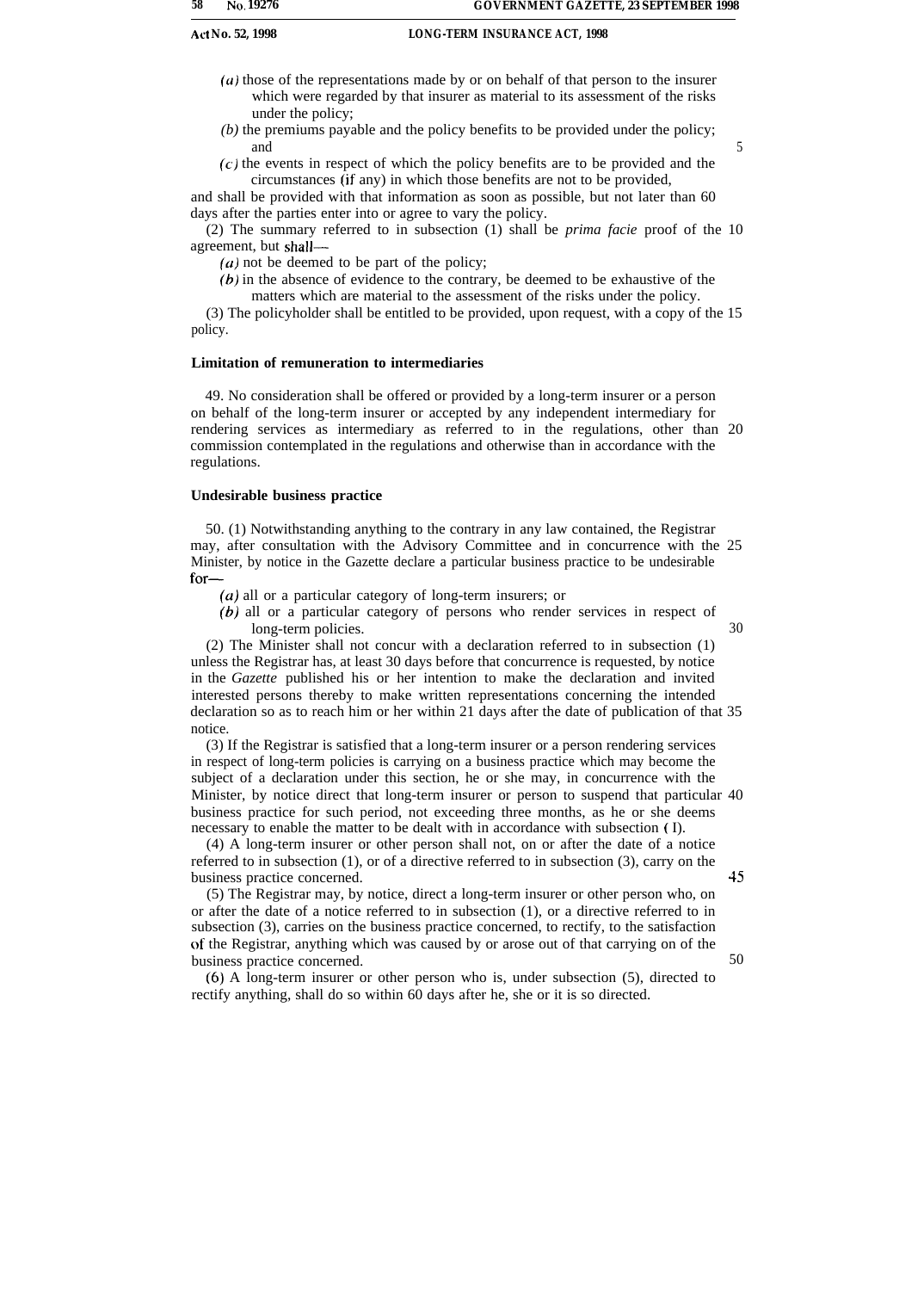- (u) those of the representations made by or on behalf of that person to the insurer which were regarded by that insurer as material to its assessment of the risks under the policy;
- *(b)* the premiums payable and the policy benefits to be provided under the policy; and 5
- (c) the events in respect of which the policy benefits are to be provided and the circumstances (if any) in which those benefits are not to be provided,

and shall be provided with that information as soon as possible, but not later than 60 days after the parties enter into or agree to vary the policy.

(2) The summary referred to in subsection (1) shall be *prima facie* proof of the 10 agreement, but shall—

*(a)* not be deemed to be part of the policy;

*(b)* in the absence of evidence to the contrary, be deemed to be exhaustive of the matters which are material to the assessment of the risks under the policy.

(3) The policyholder shall be entitled to be provided, upon request, with a copy of the 15 policy.

#### **Limitation of remuneration to intermediaries**

49. No consideration shall be offered or provided by a long-term insurer or a person on behalf of the long-term insurer or accepted by any independent intermediary for rendering services as intermediary as referred to in the regulations, other than 20 commission contemplated in the regulations and otherwise than in accordance with the regulations.

#### **Undesirable business practice**

50. (1) Notwithstanding anything to the contrary in any law contained, the Registrar may, after consultation with the Advisory Committee and in concurrence with the 25 Minister, by notice in the Gazette declare a particular business practice to be undesirable for—

- $(a)$  all or a particular category of long-term insurers; or
- *(b)* all or a particular category of persons who render services in respect of long-term policies. 30

(2) The Minister shall not concur with a declaration referred to in subsection (1) unless the Registrar has, at least 30 days before that concurrence is requested, by notice in the *Gazette* published his or her intention to make the declaration and invited interested persons thereby to make written representations concerning the intended declaration so as to reach him or her within 21 days after the date of publication of that 35 notice.

(3) If the Registrar is satisfied that a long-term insurer or a person rendering services in respect of long-term policies is carrying on a business practice which may become the subject of a declaration under this section, he or she may, in concurrence with the Minister, by notice direct that long-term insurer or person to suspend that particular 40 business practice for such period, not exceeding three months, as he or she deems necessary to enable the matter to be dealt with in accordance with subsection ( I).

(4) A long-term insurer or other person shall not, on or after the date of a notice referred to in subsection (1), or of a directive referred to in subsection (3), carry on the business practice concerned. 45

(5) The Registrar may, by notice, direct a long-term insurer or other person who, on or after the date of a notice referred to in subsection (1), or a directive referred to in subsection (3), carries on the business practice concerned, to rectify, to the satisfaction of the Registrar, anything which was caused by or arose out of that carrying on of the business practice concerned. 50

(6) A long-term insurer or other person who is, under subsection (5), directed to rectify anything, shall do so within 60 days after he, she or it is so directed.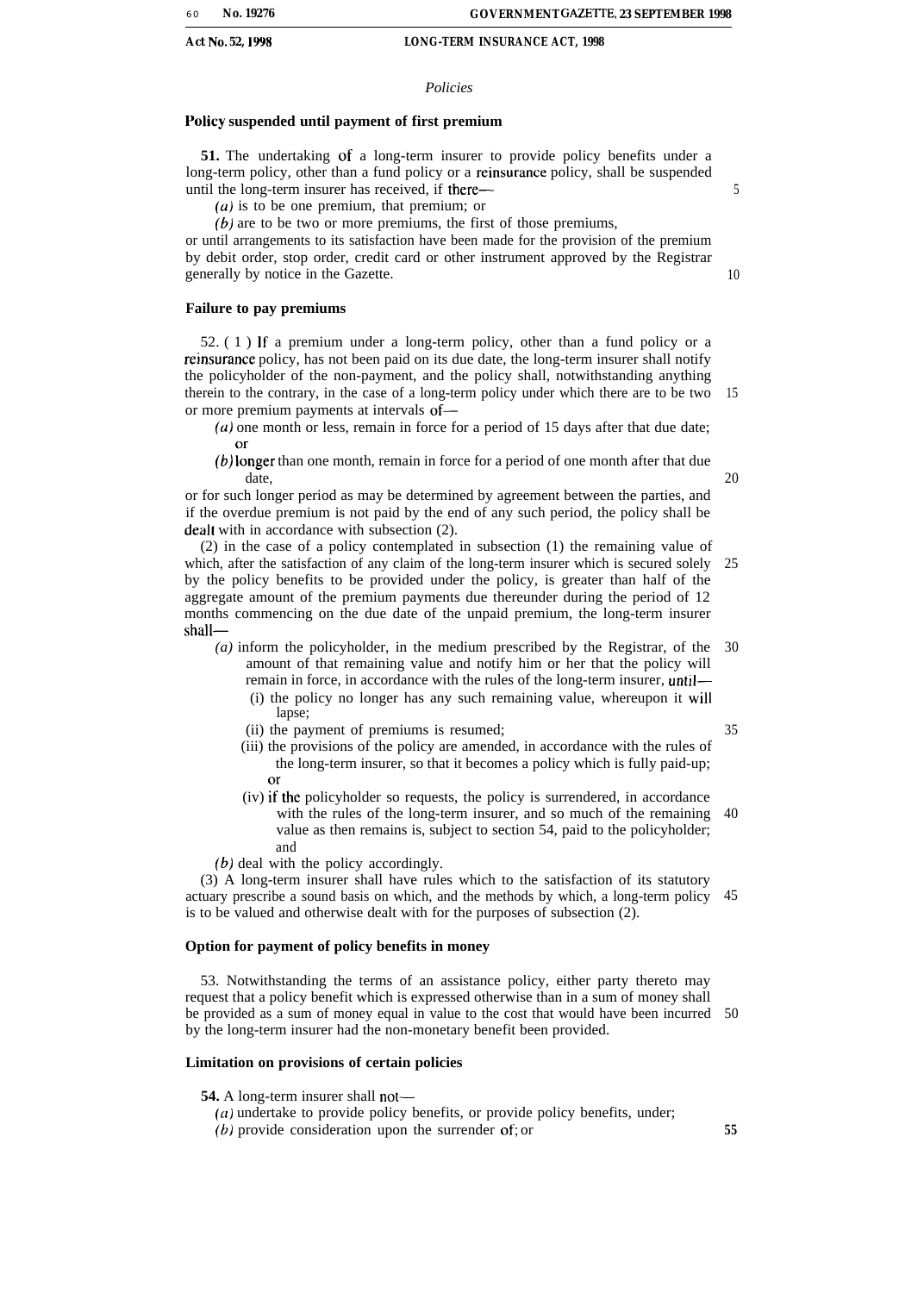#### *Policies*

#### Policy suspended until payment of first premium

**51.** The undertaking of a long-term insurer to provide policy benefits under a long-term policy, other than a fund policy or a reinsurance policy, shall be suspended until the long-term insurer has received, if there—

 $(a)$  is to be one premium, that premium; or

 $(b)$  are to be two or more premiums, the first of those premiums,

or until arrangements to its satisfaction have been made for the provision of the premium by debit order, stop order, credit card or other instrument approved by the Registrar generally by notice in the Gazette.

#### **Failure to pay premiums**

52. ( 1 ) If a premium under a long-term policy, other than a fund policy or a reinsurance policy, has not been paid on its due date, the long-term insurer shall notify the policyholder of the non-payment, and the policy shall, notwithstanding anything therein to the contrary, in the case of a long-term policy under which there are to be two or more premium payments at intervals of— 15

 $(a)$  one month or less, remain in force for a period of 15 days after that due date;  $\alpha$ r

 $(b)$  longer than one month, remain in force for a period of one month after that due date,

or for such longer period as may be determined by agreement between the parties, and if the overdue premium is not paid by the end of any such period, the policy shall be dealt with in accordance with subsection (2).

(2) in the case of a policy contemplated in subsection (1) the remaining value of which, after the satisfaction of any claim of the long-term insurer which is secured solely by the policy benefits to be provided under the policy, is greater than half of the aggregate amount of the premium payments due thereunder during the period of 12 months commencing on the due date of the unpaid premium, the long-term insurer shall— 25

*(a)* inform the policyholder, in the medium prescribed by the Registrar, of the amount of that remaining value and notify him or her that the policy will remain in force, in accordance with the rules of the long-term insurer, until— (i) the policy no longer has any such remaining value, whereupon it will lapse; 30

- (ii) the payment of premiums is resumed;
- (iii) the provisions of the policy are amended, in accordance with the rules of the long-term insurer, so that it becomes a policy which is fully paid-up;  $\alpha$ r
- $(iv)$  if the policyholder so requests, the policy is surrendered, in accordance with the rules of the long-term insurer, and so much of the remaining 40 value as then remains is, subject to section 54, paid to the policyholder; and
- (b) deal with the policy accordingly.

(3) A long-term insurer shall have rules which to the satisfaction of its statutory actuary prescribe a sound basis on which, and the methods by which, a long-term policy is to be valued and otherwise dealt with for the purposes of subsection (2). 45

#### **Option for payment of policy benefits in money**

53. Notwithstanding the terms of an assistance policy, either party thereto may request that a policy benefit which is expressed otherwise than in a sum of money shall be provided as a sum of money equal in value to the cost that would have been incurred 50 by the long-term insurer had the non-monetary benefit been provided.

#### **Limitation on provisions of certain policies**

**54.** A long-term insurer shall not—

- (a) undertake to provide policy benefits, or provide policy benefits, under;
- $(b)$  provide consideration upon the surrender of; or

35

5

10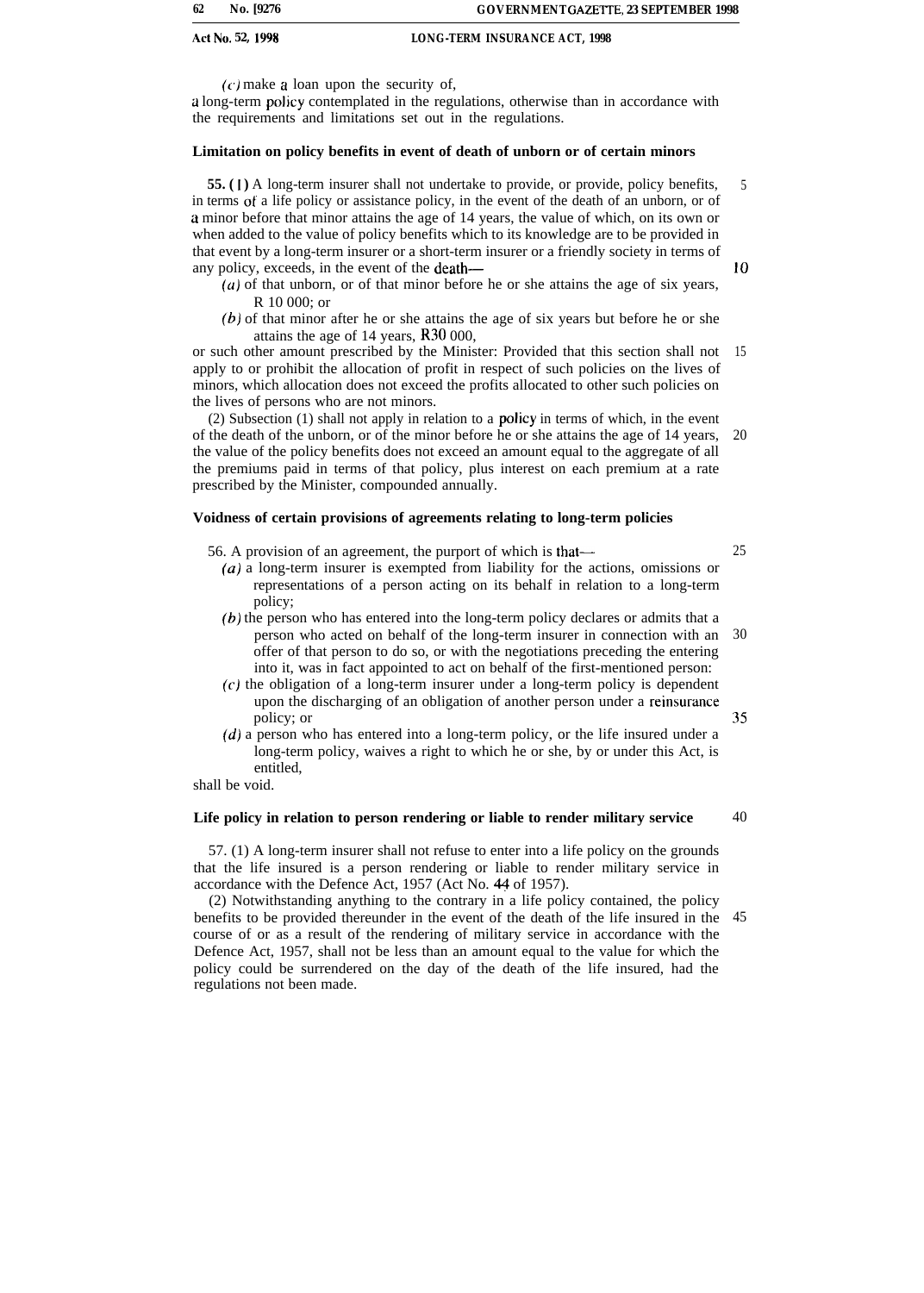$(c)$  make a loan upon the security of,

a long-term policy contemplated in the regulations, otherwise than in accordance with the requirements and limitations set out in the regulations.

#### **Limitation on policy benefits in event of death of unborn or of certain minors**

**55. ( 1 )** A long-term insurer shall not undertake to provide, or provide, policy benefits, in terms of a life policy or assistance policy, in the event of the death of an unborn, or of a minor before that minor attains the age of 14 years, the value of which, on its own or when added to the value of policy benefits which to its knowledge are to be provided in that event by a long-term insurer or a short-term insurer or a friendly society in terms of any policy, exceeds, in the event of the death— 5 10

- $(u)$  of that unborn, or of that minor before he or she attains the age of six years, R 10 000; or
- (b) of that minor after he or she attains the age of six years but before he or she attains the age of 14 years, R30 000,

or such other amount prescribed by the Minister: Provided that this section shall not apply to or prohibit the allocation of profit in respect of such policies on the lives of minors, which allocation does not exceed the profits allocated to other such policies on the lives of persons who are not minors. 15

(2) Subsection (1) shall not apply in relation to a policy in terms of which, in the event of the death of the unborn, or of the minor before he or she attains the age of 14 years, the value of the policy benefits does not exceed an amount equal to the aggregate of all the premiums paid in terms of that policy, plus interest on each premium at a rate prescribed by the Minister, compounded annually. 20

#### **Voidness of certain provisions of agreements relating to long-term policies**

56. A provision of an agreement, the purport of which is that—

- *(a)* a long-term insurer is exempted from liability for the actions, omissions or representations of a person acting on its behalf in relation to a long-term policy;
- (b) the person who has entered into the long-term policy declares or admits that a person who acted on behalf of the long-term insurer in connection with an offer of that person to do so, or with the negotiations preceding the entering into it, was in fact appointed to act on behalf of the first-mentioned person: 30
- (c) the obligation of a long-term insurer under a long-term policy is dependent upon the discharging of an obligation of another person under a reinsurance policy; or
- $(d)$  a person who has entered into a long-term policy, or the life insured under a long-term policy, waives a right to which he or she, by or under this Act, is entitled,

shall be void.

#### **Life policy in relation to person rendering or liable to render military service**

57. (1) A long-term insurer shall not refuse to enter into a life policy on the grounds that the life insured is a person rendering or liable to render military service in accordance with the Defence Act, 1957 (Act No. 44 of 1957).

(2) Notwithstanding anything to the contrary in a life policy contained, the policy benefits to be provided thereunder in the event of the death of the life insured in the 45course of or as a result of the rendering of military service in accordance with the Defence Act, 1957, shall not be less than an amount equal to the value for which the policy could be surrendered on the day of the death of the life insured, had the regulations not been made.

25

35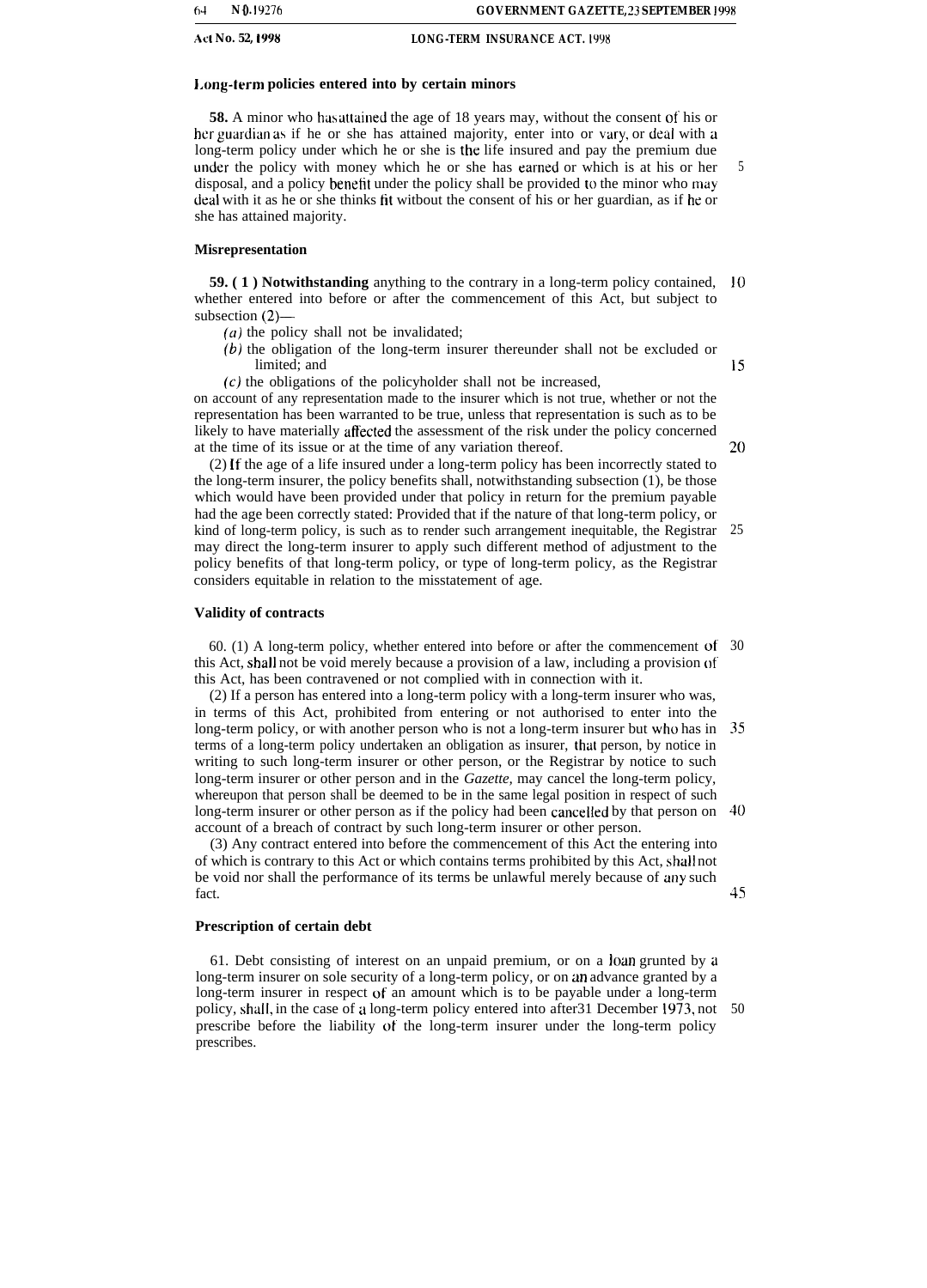#### **I.ong-term policies entered into by certain minors**

**58.** A minor who has attained the age of 18 years may, without the consent of his or her guardian as if he or she has attained majority, enter into or vary, or deal with a long-term policy under which he or she is the life insured and pay the premium due under the policy with money which he or she has earned or which is at his or her disposal, and a policy benefit under the policy shall be provided to the minor who may deal with it as he or she thinks fit witbout the consent of his or her guardian, as if he or she has attained majority.

#### **Misrepresentation**

**59. ( 1 ) Notwithstanding** anything to the contrary in a long-term policy contained, 10 whether entered into before or after the commencement of this Act, but subject to subsection (2)—

- $(a)$  the policy shall not be invalidated;
- *(b)* the obligation of the long-term insurer thereunder shall not be excluded or limited; and
- $(c)$  the obligations of the policyholder shall not be increased,

on account of any representation made to the insurer which is not true, whether or not the representation has been warranted to be true, unless that representation is such as to be likely to have materially affected the assessment of the risk under the policy concerned at the time of its issue or at the time of any variation thereof.

20

15

5

(2) If the age of a life insured under a long-term policy has been incorrectly stated to the long-term insurer, the policy benefits shall, notwithstanding subsection (1), be those which would have been provided under that policy in return for the premium payable had the age been correctly stated: Provided that if the nature of that long-term policy, or kind of long-term policy, is such as to render such arrangement inequitable, the Registrar may direct the long-term insurer to apply such different method of adjustment to the policy benefits of that long-term policy, or type of long-term policy, as the Registrar considers equitable in relation to the misstatement of age. 25

#### **Validity of contracts**

60. (1) A long-term policy, whether entered into before or after the commencement of 30 this Act, shall not be void merely because a provision of a law, including a provision of this Act, has been contravened or not complied with in connection with it.

(2) If a person has entered into a long-term policy with a long-term insurer who was, in terms of this Act, prohibited from entering or not authorised to enter into the long-term policy, or with another person who is not a long-term insurer but who has in 35 terms of a long-term policy undertaken an obligation as insurer, thut person, by notice in writing to such long-term insurer or other person, or the Registrar by notice to such long-term insurer or other person and in the *Gazette,* may cancel the long-term policy, whereupon that person shall be deemed to be in the same legal position in respect of such long-term insurer or other person as if the policy had been cancelled by that person on 40 account of a breach of contract by such long-term insurer or other person.

(3) Any contract entered into before the commencement of this Act the entering into of which is contrary to this Act or which contains terms prohibited by this Act, shall not be void nor shall the performance of its terms be unlawful merely because of any such fact.

#### **Prescription of certain debt**

61. Debt consisting of interest on an unpaid premium, or on a loan grunted by a long-term insurer on sole security of a long-term policy, or on an advance granted by a long-term insurer in respect of an amount which is to be payable under a long-term policy, shall, in the case of a long-term policy entered into after31 December 1973, not 50prescribe before the liability of the long-term insurer under the long-term policy prescribes.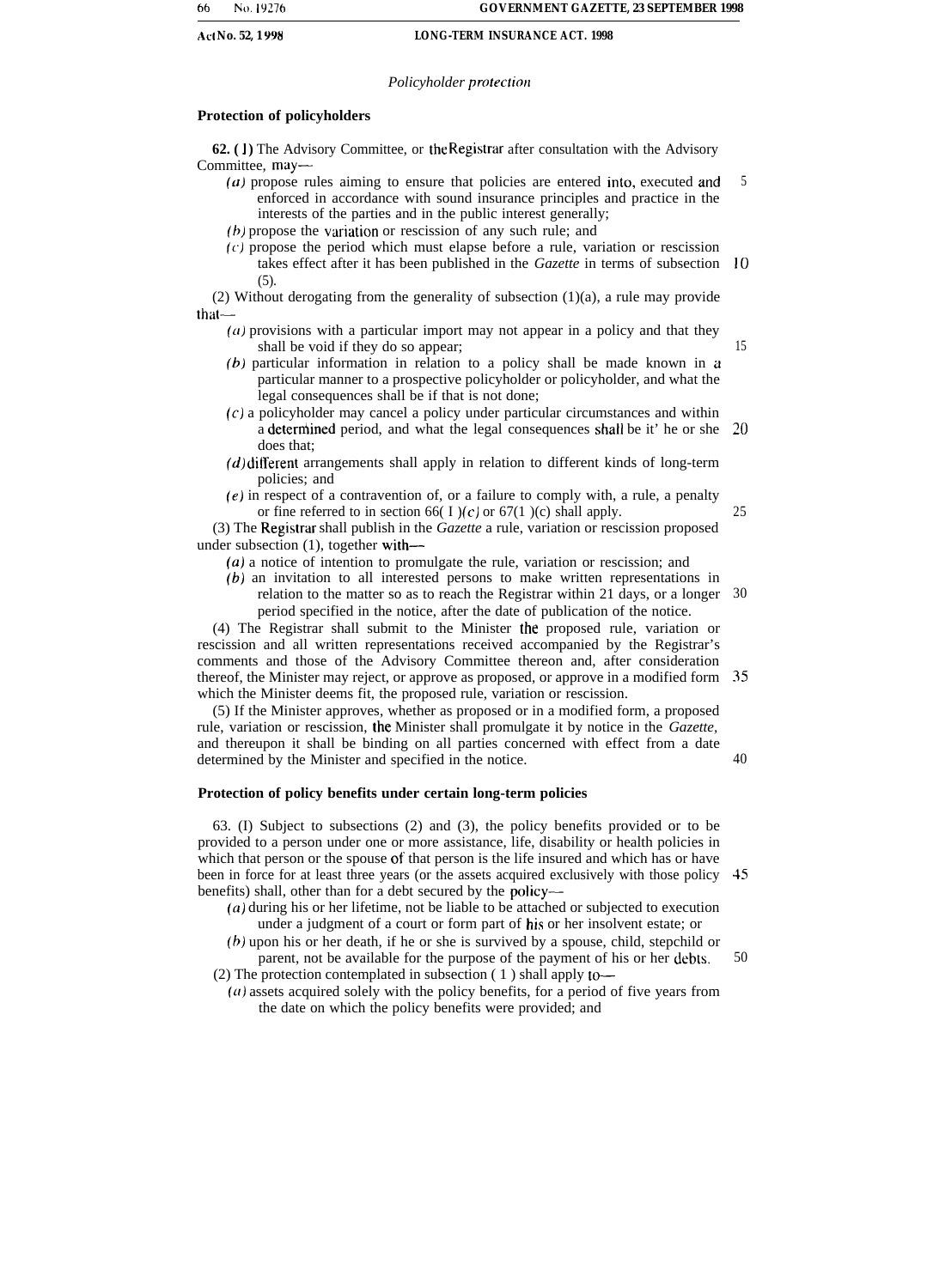#### *Policyholder protection*

#### **Protection of policyholders**

**62.** (1) The Advisory Committee, or the Registrar after consultation with the Advisory Committee, may—

- (u) propose rules aiming to ensure that policies are entered into, executed and enforced in accordance with sound insurance principles and practice in the interests of the parties and in the public interest generally; 5
- $(b)$  propose the variation or rescission of any such rule; and
- $(c)$  propose the period which must elapse before a rule, variation or rescission takes effect after it has been published in the *Gazette* in terms of subsection 10 (5).

(2) Without derogating from the generality of subsection  $(1)(a)$ , a rule may provide that—

- **(a)** provisions with a particular import may not appear in a policy and that they shall be void if they do so appear;
- (b) particular information in relation to a policy shall be made known in a particular manner to a prospective policyholder or policyholder, and what the legal consequences shall be if that is not done;
- (c) a policyholder may cancel a policy under particular circumstances and within a determined period, and what the legal consequences shall be it' he or she  $20$ does that;
- *(d)* different arrangements shall apply in relation to different kinds of long-term policies; and
- (e) in respect of a contravention of, or a failure to comply with, a rule, a penalty or fine referred to in section 66( I )(c) or 67(1 )(c) shall apply. 25

(3) The Registrdr shall publish in the *Gazette* a rule, variation or rescission proposed under subsection (1), together with—

- *(a)* a notice of intention to promulgate the rule, variation or rescission; and
- *(b)* an invitation to all interested persons to make written representations in relation to the matter so as to reach the Registrar within 21 days, or a longer 30 period specified in the notice, after the date of publication of the notice.

(4) The Registrar shall submit to the Minister the proposed rule, variation or rescission and all written representations received accompanied by the Registrar's comments and those of the Advisory Committee thereon and, after consideration thereof, the Minister may reject, or approve as proposed, or approve in a modified form 35 which the Minister deems fit, the proposed rule, variation or rescission.

(5) If the Minister approves, whether as proposed or in a modified form, a proposed rule, variation or rescission, the Minister shall promulgate it by notice in the *Gazette,* and thereupon it shall be binding on all parties concerned with effect from a date determined by the Minister and specified in the notice. 40

#### **Protection of policy benefits under certain long-term policies**

63. (I) Subject to subsections (2) and (3), the policy benefits provided or to be provided to a person under one or more assistance, life, disability or health policies in which that person or the spouse of that person is the life insured and which has or have been in force for at least three years (or the assets acquired exclusively with those policy 45 benefits) shall, other than for a debt secured by the policy—

 $(a)$  during his or her lifetime, not be liable to be attached or subjected to execution under a judgment of a court or form part of his or her insolvent estate; or

(b) upon his or her death, if he or she is survived by a spouse, child, stepchild or parent, not be available for the purpose of the payment of his or her debts. (2) The protection contemplated in subsection ( 1 ) shall apply to— 50

(a) assets acquired solely with the policy benefits, for a period of five years from the date on which the policy benefits were provided; and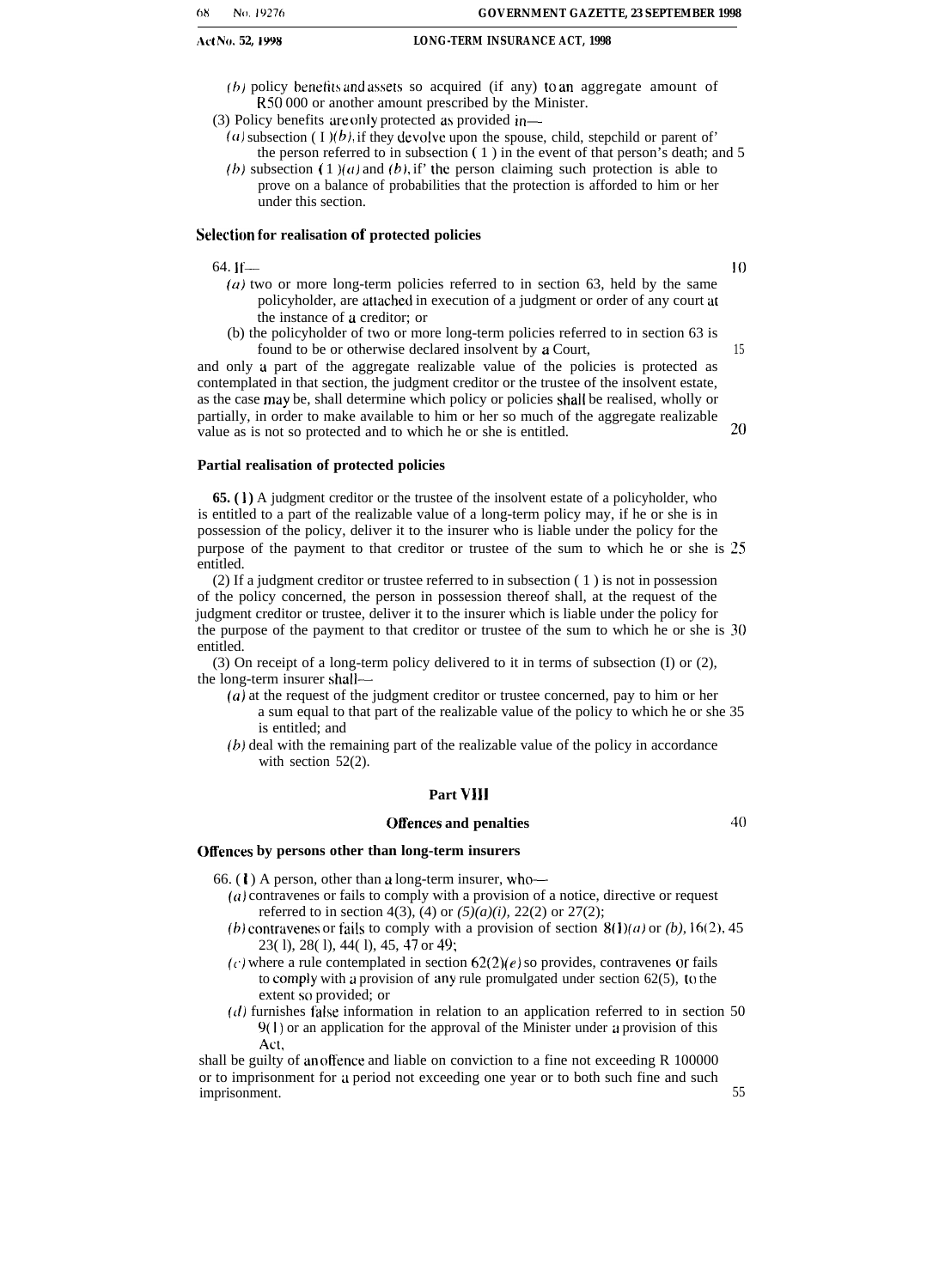- (b) policy benefits and assets so acquired (if any) to an aggregate amount of R50 000 or another amount prescribed by the Minister.
- (3) Policy benefits are only protected as provided in—
	- (a) subsection ( I )(b), if they devolve upon the spouse, child, stepchild or parent of the person referred to in subsection ( 1 ) in the event of that person's death; and 5
	- (b) subsection (1)(a) and (b), if' the person claiming such protection is able to prove on a balance of probabilities that the protection is afforded to him or her under this section.

#### **Selection for realisation of protected policies**

#### 64. If— 10

- $(a)$  two or more long-term policies referred to in section 63, held by the same policyholder, are atlached in execution of a judgment or order of any court at the instance of a creditor; or
- (b) the policyholder of two or more long-term policies referred to in section 63 is found to be or otherwise declared insolvent by a Court, 15

and only a part of the aggregate realizable value of the policies is protected as contemplated in that section, the judgment creditor or the trustee of the insolvent estate, as the case may be, shall determine which policy or policies shall be realised, wholly or partially, in order to make available to him or her so much of the aggregate realizable value as is not so protected and to which he or she is entitled.  $20$ 

#### **Partial realisation of protected policies**

**65. (1)** A judgment creditor or the trustee of the insolvent estate of a policyholder, who is entitled to a part of the realizable value of a long-term policy may, if he or she is in possession of the policy, deliver it to the insurer who is liable under the policy for the purpose of the payment to that creditor or trustee of the sum to which he or she is 25 entitled.

(2) If a judgment creditor or trustee referred to in subsection ( 1 ) is not in possession of the policy concerned, the person in possession thereof shall, at the request of the judgment creditor or trustee, deliver it to the insurer which is liable under the policy for the purpose of the payment to that creditor or trustee of the sum to which he or she is 30 entitled.

(3) On receipt of a long-term policy delivered to it in terms of subsection (I) or (2), the long-term insurer shall—

- *(a)* at the request of the judgment creditor or trustee concerned, pay to him or her a sum equal to that part of the realizable value of the policy to which he or she 35 is entitled; and
- *(b)* deal with the remaining part of the realizable value of the policy in accordance with section 52(2).

#### **Part VII1**

#### **Offences and penalties** 40

**Offences by persons other than long-term insurers**

66. ( $\bf{l}$ ) A person, other than a long-term insurer, who--

- (a) contravenes or fails to comply with a provision of a notice, directive or request referred to in section 4(3), (4) or *(5)(a)(i),* 22(2) or 27(2);
- *(b)* contravenes or fails to comply with a provision of section  $8(1)(a)$  or *(b)*, 16(2), 45 23( l), 28( l), 44( l), 45, 47 or 49;
- (c) where a rule contemplated in section  $62(2)(e)$  so provides, contravenes or fails to comply with a provision of any rule promulgated under section  $62(5)$ , to the extent so provided; or
- $(d)$  furnishes false information in relation to an application referred to in section 50 9(l) or an application for the approval of the Minister under a provision of this Act,

shall be guilty of an offence and liable on conviction to a fine not exceeding R 100000 or to imprisonment for a period not exceeding one year or to both such fine and such imprisonment. 55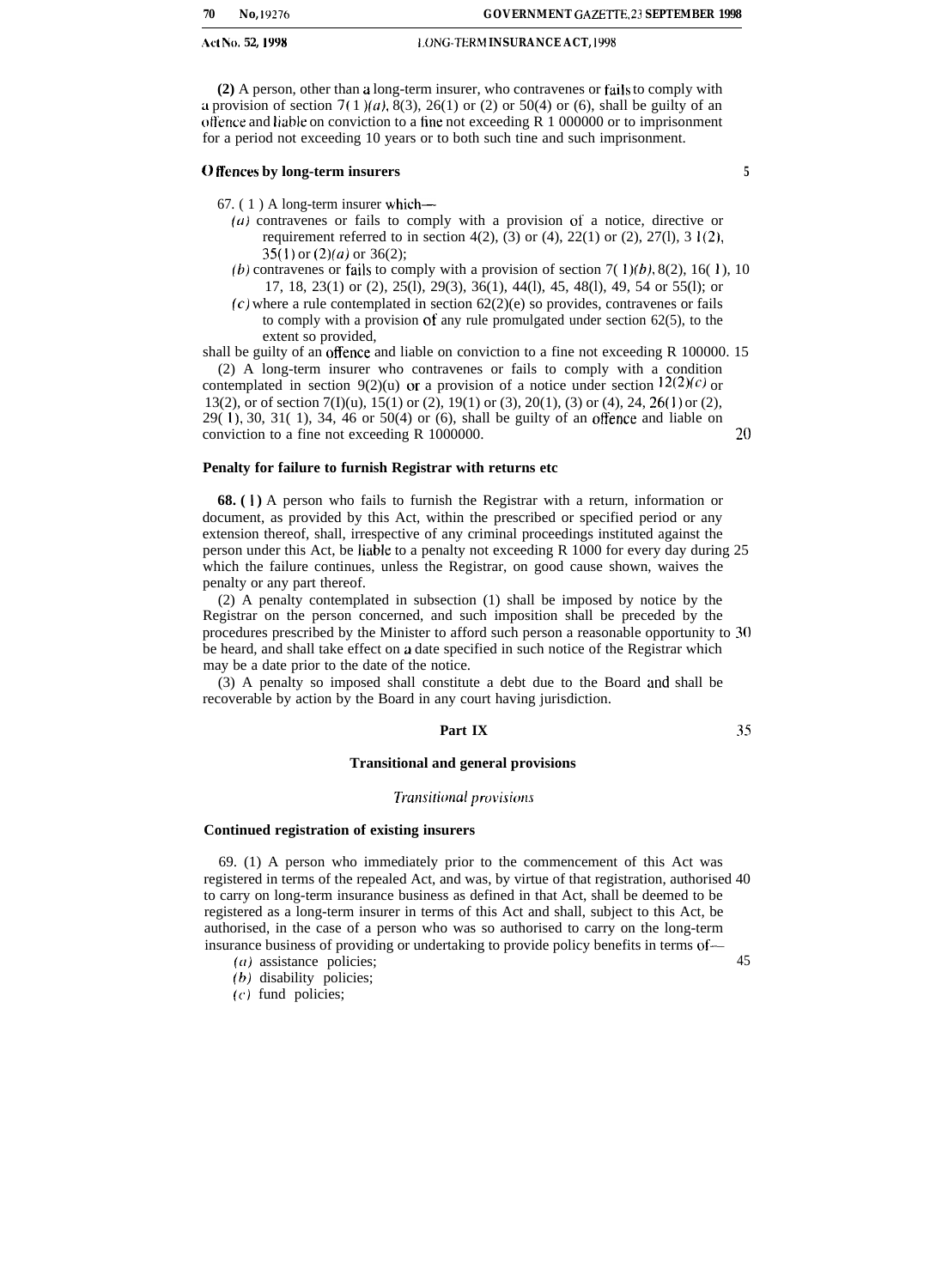| 70 | No.19276 |
|----|----------|
|    |          |

**(2)** A person, other than a long-term insurer, who contravenes or fails to comply with a provision of section  $7(1)(a)$ , 8(3), 26(1) or (2) or 50(4) or (6), shall be guilty of an otience and liable on conviction to a fine not exceeding R 1 000000 or to imprisonment for a period not exceeding 10 years or to both such tine and such imprisonment.

### **of fences by long-term insurers 5**

67. ( 1 ) A long-term insurer which—

- $(a)$  contravenes or fails to comply with a provision of a notice, directive or requirement referred to in section 4(2),  $(3)$  or (4), 22(1) or (2), 27(1), 3 1(2),  $35(1)$  or  $(2)(a)$  or  $36(2)$ ;
- (b) contravenes or fails to comply with a provision of section 7( 1)(b), 8(2), 16( 1), 10 17, 18, 23(1) or (2), 25(l), 29(3), 36(1), 44(l), 45, 48(l), 49, 54 or 55(l); or
- $(c)$  where a rule contemplated in section  $62(2)(e)$  so provides, contravenes or fails to comply with a provision of any rule promulgated under section 62(5), to the extent so provided,

shall be guilty of an offence and liable on conviction to a fine not exceeding R 100000. 15

(2) A long-term insurer who contravenes or fails to comply with a condition contemplated in section 9(2)(u) or a provision of a notice under section  $12(2)(c)$  or 13(2), or of section 7(I)(u), 15(1) or (2), 19(1) or (3), 20(1), (3) or (4), 24, 26(1) or (2), 29( I), 30, 31( 1), 34, 46 or 50(4) or (6), shall be guilty of an offence and liable on conviction to a fine not exceeding  $R$  1000000.  $20$ 

#### **Penalty for failure to furnish Registrar with returns etc**

**68. ( 1 )** A person who fails to furnish the Registrar with a return, information or document, as provided by this Act, within the prescribed or specified period or any extension thereof, shall, irrespective of any criminal proceedings instituted against the person under this Act, be liable to a penalty not exceeding R 1000 for every day during 25 which the failure continues, unless the Registrar, on good cause shown, waives the penalty or any part thereof.

(2) A penalty contemplated in subsection (1) shall be imposed by notice by the Registrar on the person concerned, and such imposition shall be preceded by the procedures prescribed by the Minister to afford such person a reasonable opportunity to 30 be heard, and shall take effect on a date specified in such notice of the Registrar which may be a date prior to the date of the notice.

(3) A penalty so imposed shall constitute a debt due to the Board and shall be recoverable by action by the Board in any court having jurisdiction.

#### **Part IX 35**

#### **Transitional and general provisions**

#### *Transitional provisions*

#### **Continued registration of existing insurers**

69. (1) A person who immediately prior to the commencement of this Act was registered in terms of the repealed Act, and was, by virtue of that registration, authorised 40 to carry on long-term insurance business as defined in that Act, shall be deemed to be registered as a long-term insurer in terms of this Act and shall, subject to this Act, be authorised, in the case of a person who was so authorised to carry on the long-term insurance business of providing or undertaking to provide policy benefits in terms of—

- $(a)$  assistance policies;  $45$
- (b) disability policies;
- (c) fund policies;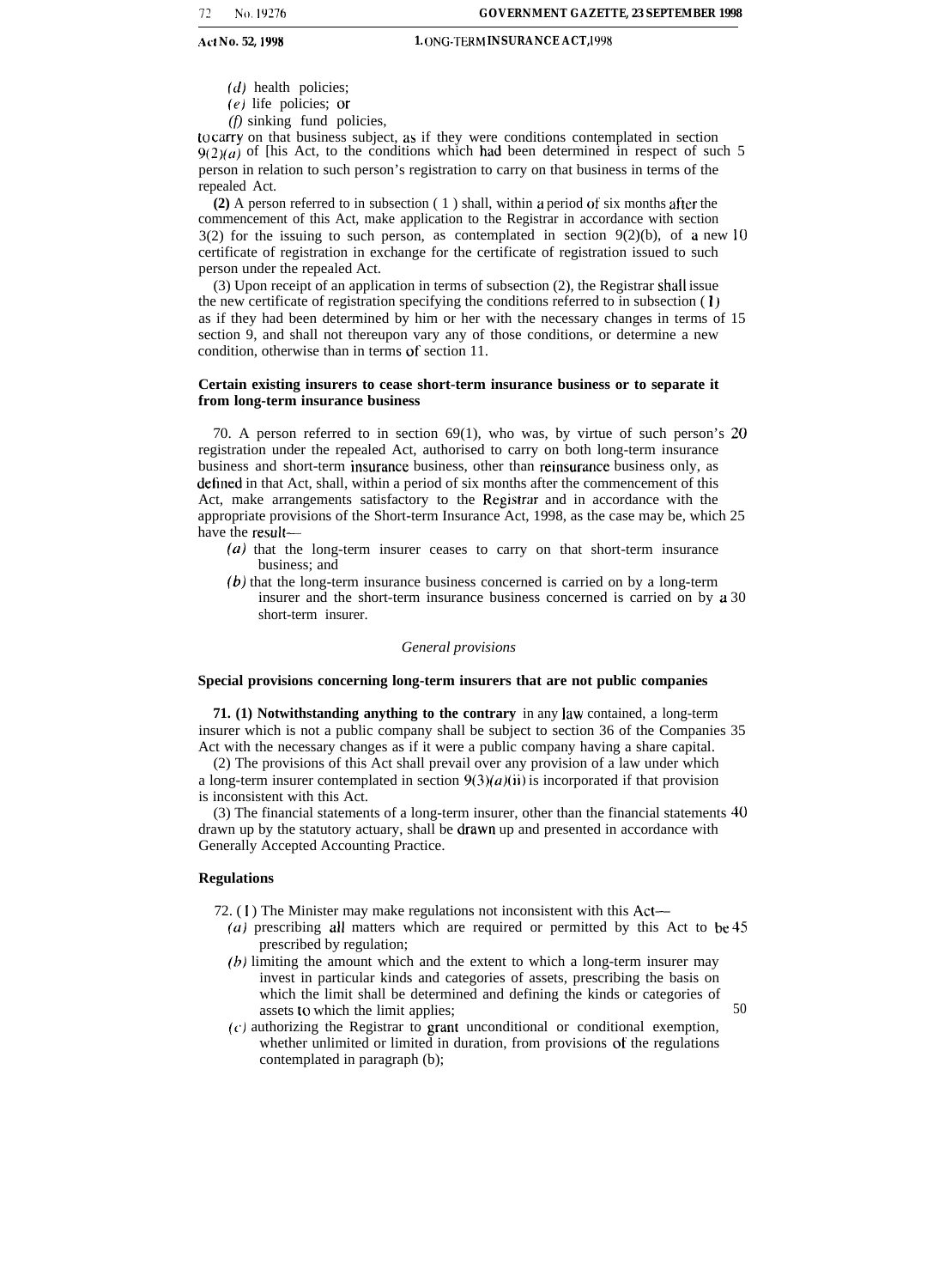(d) health policies;

(e) life policies; or

*(f)* sinking fund policies,

to carry on that business subject, as if they were conditions contemplated in section  $9(2)(a)$  of [his Act, to the conditions which had been determined in respect of such 5 person in relation to such person's registration to carry on that business in terms of the repealed Act.

**(2)** A person referred to in subsection ( 1 ) shall, within a period of six months after the commencement of this Act, make application to the Registrar in accordance with section  $3(2)$  for the issuing to such person, as contemplated in section  $9(2)(b)$ , of a new 10 certificate of registration in exchange for the certificate of registration issued to such person under the repealed Act.

(3) Upon receipt of an application in terms of subsection (2), the Registrar shall issue the new certificate of registration specifying the conditions referred to in subsection (1) as if they had been determined by him or her with the necessary changes in terms of 15 section 9, and shall not thereupon vary any of those conditions, or determine a new condition, otherwise than in terms of section 11.

#### **Certain existing insurers to cease short-term insurance business or to separate it from long-term insurance business**

70. A person referred to in section 69(1), who was, by virtue of such person's 20 registration under the repealed Act, authorised to carry on both long-term insurance business and short-term insurance business, other than reinsurance business only, as detined in that Act, shall, within a period of six months after the commencement of this Act, make arrangements satisfactory to the Registrar and in accordance with the appropriate provisions of the Short-term Insurance Act, 1998, as the case may be, which 25 have the result—

- $(a)$  that the long-term insurer ceases to carry on that short-term insurance business; and
- (b) that the long-term insurance business concerned is carried on by a long-term insurer and the short-term insurance business concerned is carried on by a 30 short-term insurer.

#### *General provisions*

#### **Special provisions concerning long-term insurers that are not public companies**

**71. (1) Notwithstanding anything to the contrary** in any law contained, a long-term insurer which is not a public company shall be subject to section 36 of the Companies 35 Act with the necessary changes as if it were a public company having a share capital.

(2) The provisions of this Act shall prevail over any provision of a law under which a long-term insurer contemplated in section  $9(3)(a)(ii)$  is incorporated if that provision is inconsistent with this Act.

(3) The financial statements of a long-term insurer, other than the financial statements 40 drawn up by the statutory actuary, shall be drawn up and presented in accordance with Generally Accepted Accounting Practice.

#### **Regulations**

- 72. (1) The Minister may make regulations not inconsistent with this Act-
	- *(a)* prescribing all matters which are required or permitted by this Act to be 45 prescribed by regulation;
	- *{h)* limiting the amount which and the extent to which a long-term insurer may invest in particular kinds and categories of assets, prescribing the basis on which the limit shall be determined and defining the kinds or categories of assets to which the limit applies; 50
	- $(c)$  authorizing the Registrar to grant unconditional or conditional exemption, whether unlimited or limited in duration, from provisions of the regulations contemplated in paragraph (b);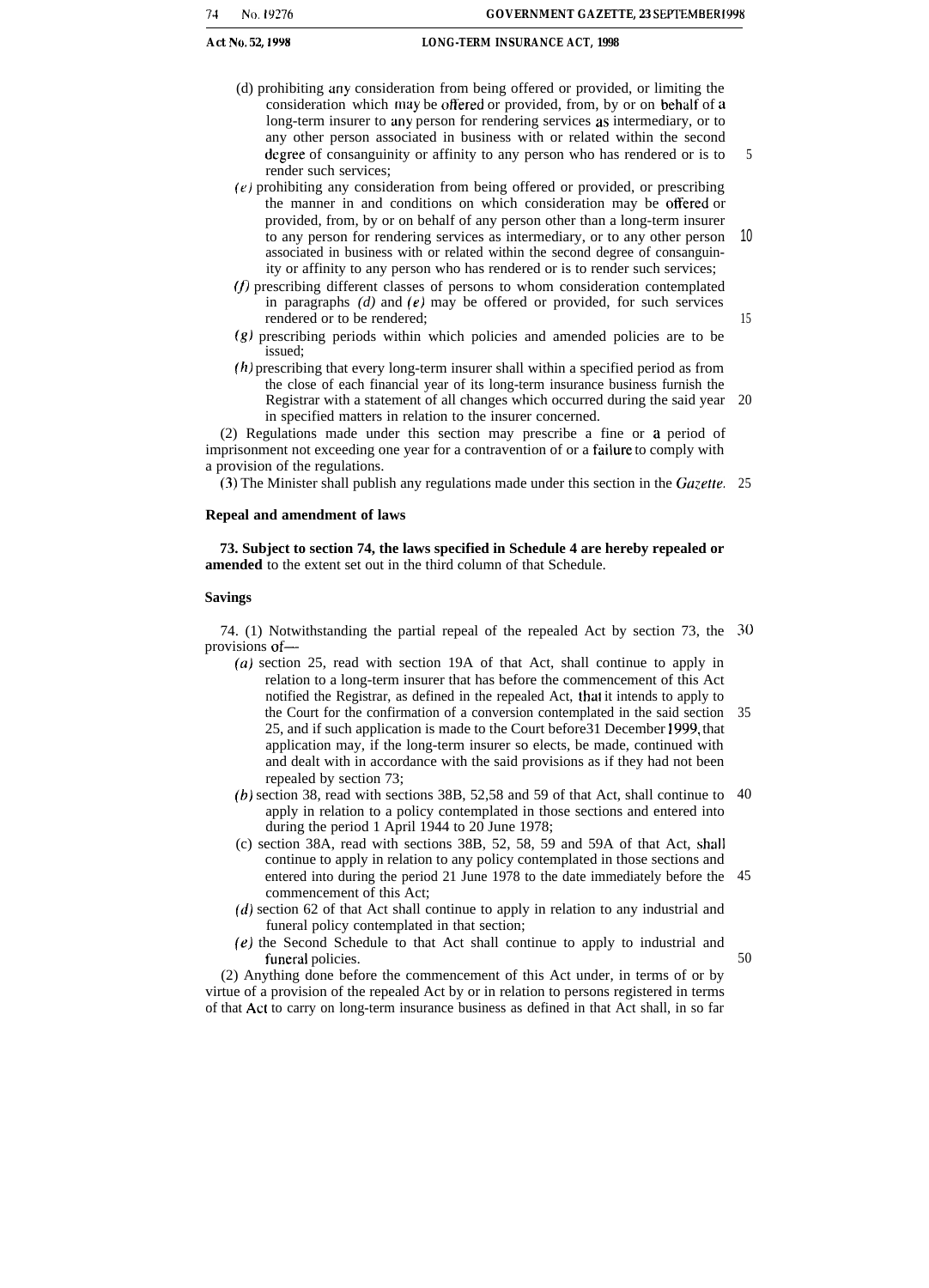15

- (d) prohibiting any consideration from being offered or provided, or limiting the consideration which may be offered or provided, from, by or on behalf of a long-term insurer to any person for rendering services as intermediary, or to any other person associated in business with or related within the second degree of consanguinity or affinity to any person who has rendered or is to render such services; 5
- (e) prohibiting any consideration from being offered or provided, or prescribing the manner in and conditions on which consideration may be otfered or provided, from, by or on behalf of any person other than a long-term insurer to any person for rendering services as intermediary, or to any other person associated in business with or related within the second degree of consanguinity or affinity to any person who has rendered or is to render such services; 10
- $(f)$  prescribing different classes of persons to whom consideration contemplated in paragraphs *(d)* and (e) may be offered or provided, for such services rendered or to be rendered;
- (g) prescribing periods within which policies and amended policies are to be issued;
- (h) prescribing that every long-term insurer shall within a specified period as from the close of each financial year of its long-term insurance business furnish the Registrar with a statement of all changes which occurred during the said year 20 in specified matters in relation to the insurer concerned.

(2) Regulations made under this section may prescribe a fine or a period of imprisonment not exceeding one year for a contravention of or a failure to comply with a provision of the regulations.

 $(3)$  The Minister shall publish any regulations made under this section in the Gazette. 25

#### **Repeal and amendment of laws**

**73. Subject to section 74, the laws specified in Schedule 4 are hereby repealed or amended** to the extent set out in the third column of that Schedule.

#### **Savings**

74. (1) Notwithstanding the partial repeal of the repealed Act by section 73, the 30 provisions of—

- *(a)* section 25, read with section 19A of that Act, shall continue to apply in relation to a long-term insurer that has before the commencement of this Act notified the Registrar, as defined in the repealed Act, that it intends to apply to the Court for the confirmation of a conversion contemplated in the said section 35 25, and if such application is made to the Court before31 December 1999, that application may, if the long-term insurer so elects, be made, continued with and dealt with in accordance with the said provisions as if they had not been repealed by section 73;
- (b) section 38, read with sections 38B, 52,58 and 59 of that Act, shall continue to  $40$ apply in relation to a policy contemplated in those sections and entered into during the period 1 April 1944 to 20 June 1978;
- (c) section 38A, read with sections 38B, 52, 58, 59 and 59A of that Act, shall continue to apply in relation to any policy contemplated in those sections and entered into during the period 21 June 1978 to the date immediately before the 45 commencement of this Act;
- *(d)* section 62 of that Act shall continue to apply in relation to any industrial and funeral policy contemplated in that section;
- (e) the Second Schedule to that Act shall continue to apply to industrial and funeral policies. 50

(2) Anything done before the commencement of this Act under, in terms of or by virtue of a provision of the repealed Act by or in relation to persons registered in terms of that Act to carry on long-term insurance business as defined in that Act shall, in so far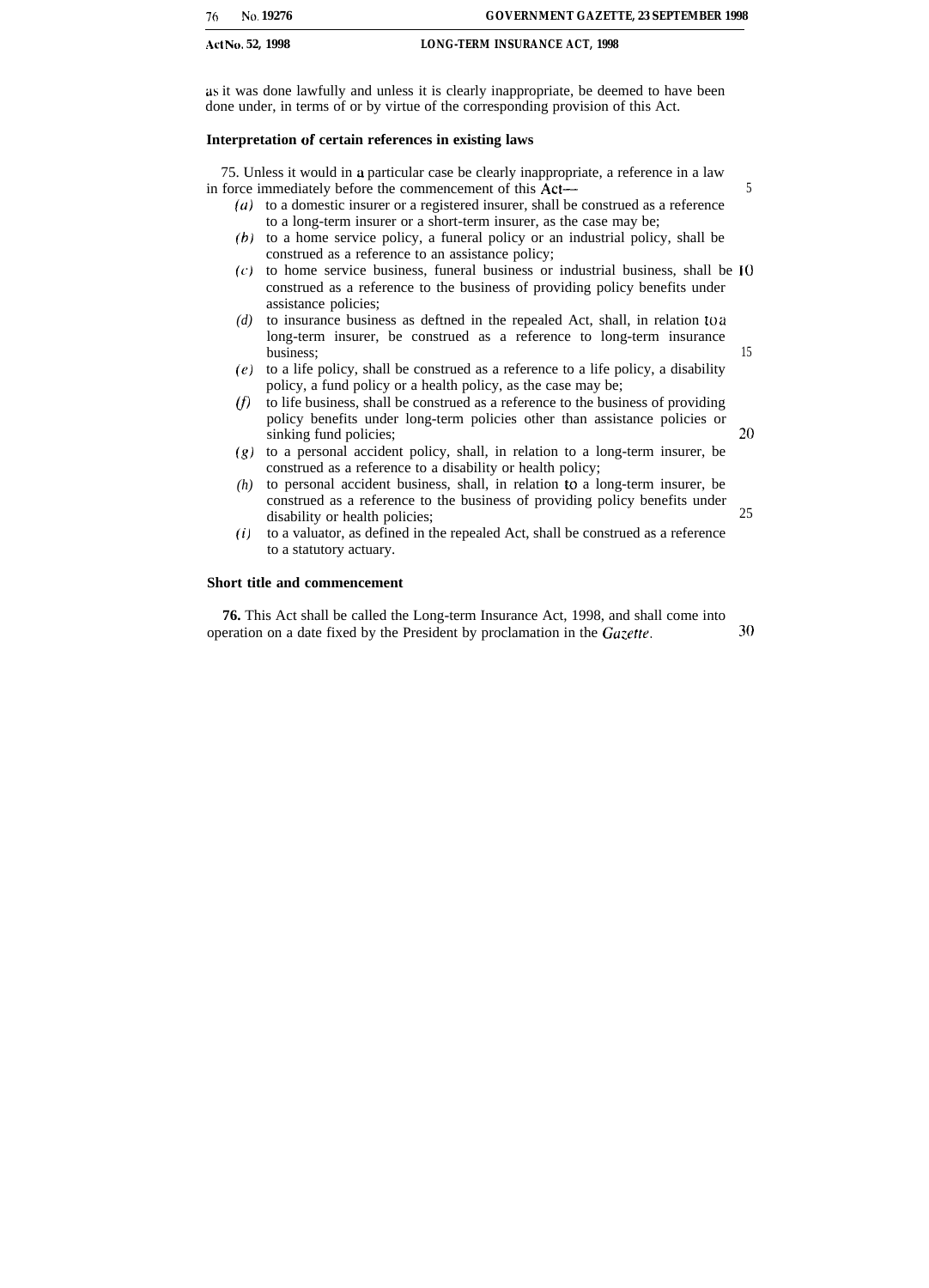| 76 | No. 19276        | <b>GOVERNMENT GAZETTE, 23 SEPTEMBER 1998</b> |
|----|------------------|----------------------------------------------|
|    | Act No. 52, 1998 | <b>LONG-TERM INSURANCE ACT, 1998</b>         |

as it was done lawfully and unless it is clearly inappropriate, be deemed to have been done under, in terms of or by virtue of the corresponding provision of this Act.

### **Interpretation of certain references in existing laws**

75. Unless it would in a particular case be clearly inappropriate, a reference in a law in force immediately before the commencement of this Act— 5

- $(a)$  to a domestic insurer or a registered insurer, shall be construed as a reference to a long-term insurer or a short-term insurer, as the case may be;
- (b) to a home service policy, a funeral policy or an industrial policy, shall be construed as a reference to an assistance policy;
- $(c)$  to home service business, funeral business or industrial business, shall be  $10$ construed as a reference to the business of providing policy benefits under assistance policies;
- *(d)* to insurance business as deftned in the repealed Act, shall, in relation to a long-term insurer, be construed as a reference to long-term insurance business; 15
- *(e)* to a life policy, shall be construed as a reference to a life policy, a disability policy, a fund policy or a health policy, as the case may be;
- *(j)* to life business, shall be construed as a reference to the business of providing policy benefits under long-term policies other than assistance policies or sinking fund policies; 20
- *(g)* to a personal accident policy, shall, in relation to a long-term insurer, be construed as a reference to a disability or health policy;
- *(h)* to personal accident business, shall, in relation to a long-term insurer, be construed as a reference to the business of providing policy benefits under disability or health policies; 25
- *(i)* to a valuator, as defined in the repealed Act, shall be construed as a reference to a statutory actuary.

### **Short title and commencement**

**76.** This Act shall be called the Long-term Insurance Act, 1998, and shall come into operation on a date fixed by the President by proclamation in the  $Gazette$ .  $30$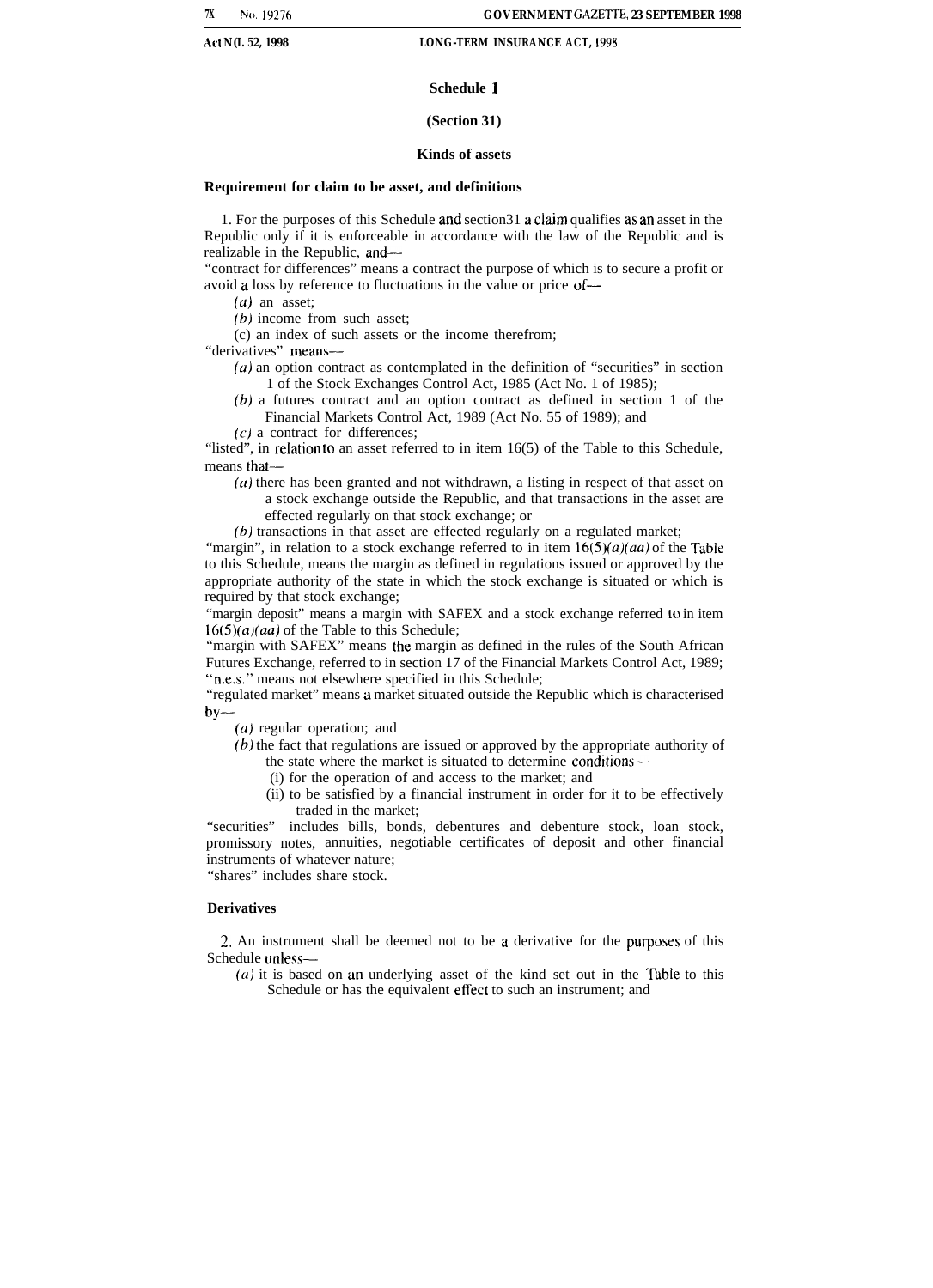#### **Schedule 1**

#### **(Section 31)**

#### **Kinds of assets**

#### **Requirement for claim to be asset, and definitions**

1. For the purposes of this Schedule and section  $31$  a claim qualifies as an asset in the Republic only if it is enforceable in accordance with the law of the Republic and is realizable in the Republic, and—

"contract for differences" means a contract the purpose of which is to secure a profit or avoid a loss by reference to fluctuations in the value or price of—

- $(a)$  an asset;
- (b) income from such asset:
- (c) an index of such assets or the income therefrom;

"derivatives" means—

- $(a)$  an option contract as contemplated in the definition of "securities" in section 1 of the Stock Exchanges Control Act, 1985 (Act No. 1 of 1985);
- (b) a futures contract and an option contract as defined in section 1 of the Financial Markets Control Act, 1989 (Act No. 55 of 1989); and
- $(c)$  a contract for differences;

"listed", in relation to an asset referred to in item 16(5) of the Table to this Schedule, means that—

 $(a)$  there has been granted and not withdrawn, a listing in respect of that asset on a stock exchange outside the Republic, and that transactions in the asset are effected regularly on that stock exchange; or

(b) transactions in that asset are effected regularly on a regulated market;

"margin", in relation to a stock exchange referred to in item  $16(5)(a)(aa)$  of the Table to this Schedule, means the margin as defined in regulations issued or approved by the appropriate authority of the state in which the stock exchange is situated or which is required by that stock exchange;

"margin deposit" means a margin with SAFEX and a stock exchange referred to in item  $16(5)(a)(aa)$  of the Table to this Schedule;

"margin with SAFEX" means the margin as defined in the rules of the South African Futures Exchange, referred to in section 17 of the Financial Markets Control Act, 1989; "n.e.s." means not elsewhere specified in this Schedule;

"regulated market" means a market situated outside the Republic which is characterised by—

(a) regular operation; and

- (b) the fact that regulations are issued or approved by the appropriate authority of the state where the market is situated to determine conditions—
	- (i) for the operation of and access to the market; and
	- (ii) to be satisfied by a financial instrument in order for it to be effectively traded in the market;

"securities" includes bills, bonds, debentures and debenture stock, loan stock, promissory notes, annuities, negotiable certificates of deposit and other financial instruments of whatever nature; "shares" includes share stock.

#### **Derivatives**

2. An instrument shall be deemed not to be a derivative for the purposes of this Schedule unless—

 $(a)$  it is based on an underlying asset of the kind set out in the Table to this Schedule or has the equivalent effect to such an instrument; and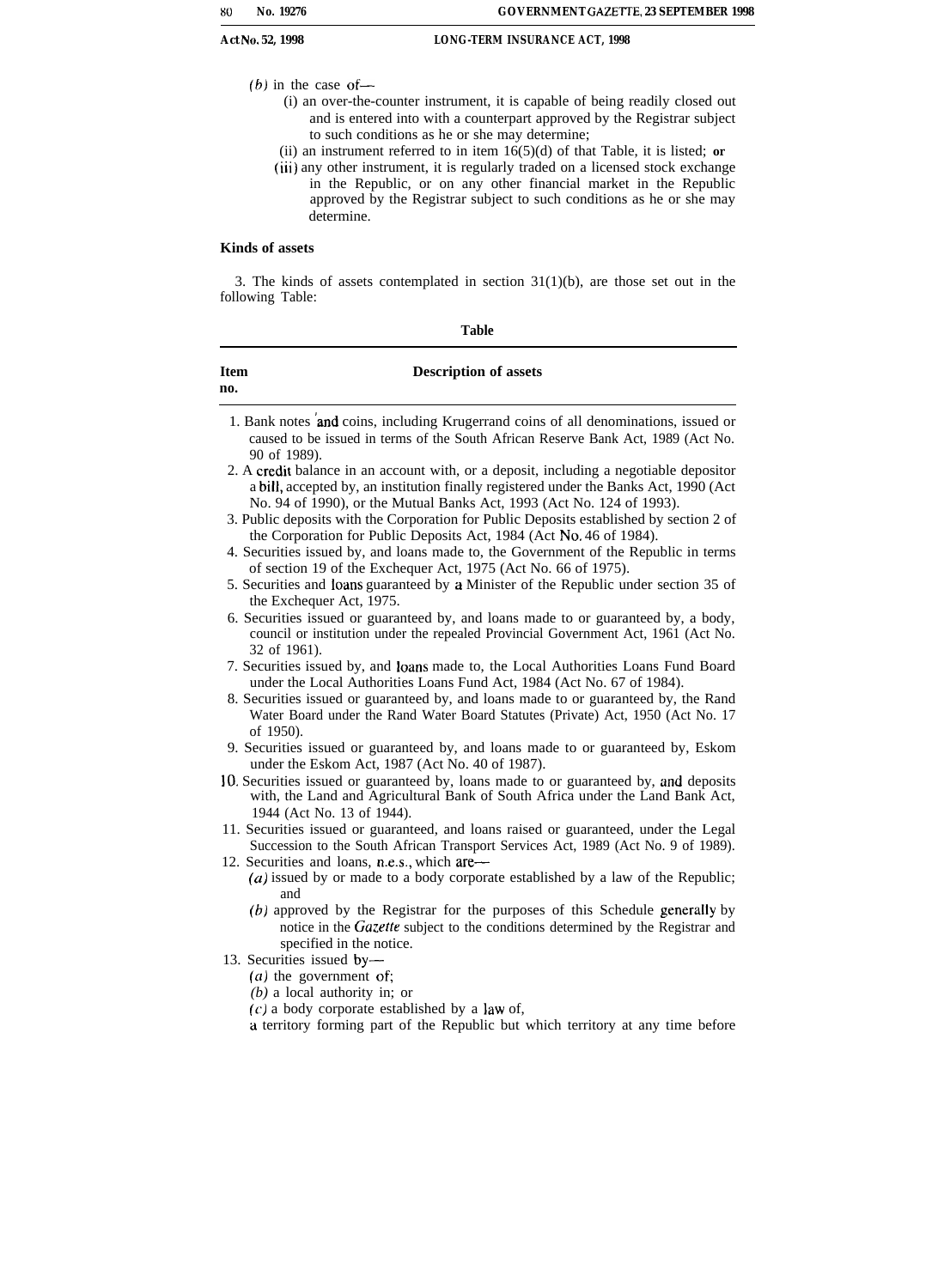- *(6)* in the case of—
	- (i) an over-the-counter instrument, it is capable of being readily closed out and is entered into with a counterpart approved by the Registrar subject to such conditions as he or she may determine;
	- (ii) an instrument referred to in item 16(5)(d) of that Table, it is listed; **or**
	- **(iii)** any other instrument, it is regularly traded on a licensed stock exchange in the Republic, or on any other financial market in the Republic approved by the Registrar subject to such conditions as he or she may determine.

#### **Kinds of assets**

3. The kinds of assets contemplated in section  $31(1)(b)$ , are those set out in the following Table:

| ł<br>۰, |
|---------|
|---------|

| <b>Item</b><br>no. | <b>Description of assets</b>                                                                                                                                                                                                                             |
|--------------------|----------------------------------------------------------------------------------------------------------------------------------------------------------------------------------------------------------------------------------------------------------|
|                    | 1. Bank notes and coins, including Krugerrand coins of all denominations, issued or<br>caused to be issued in terms of the South African Reserve Bank Act, 1989 (Act No.<br>90 of 1989).                                                                 |
|                    | 2. A credit balance in an account with, or a deposit, including a negotiable depositor<br>a bill, accepted by, an institution finally registered under the Banks Act, 1990 (Act<br>No. 94 of 1990), or the Mutual Banks Act, 1993 (Act No. 124 of 1993). |
|                    | 3. Public deposits with the Corporation for Public Deposits established by section 2 of<br>the Corporation for Public Deposits Act, 1984 (Act No. 46 of 1984).                                                                                           |

- 4. Securities issued by, and loans made to, the Government of the Republic in terms of section 19 of the Exchequer Act, 1975 (Act No. 66 of 1975).
- 5. Securities and Iodns guaranteed by a Minister of the Republic under section 35 of the Exchequer Act, 1975.
- 6. Securities issued or guaranteed by, and loans made to or guaranteed by, a body, council or institution under the repealed Provincial Government Act, 1961 (Act No. 32 of 1961).
- 7. Securities issued by, and loans made to, the Local Authorities Loans Fund Board under the Local Authorities Loans Fund Act, 1984 (Act No. 67 of 1984).
- 8. Securities issued or guaranteed by, and loans made to or guaranteed by, the Rand Water Board under the Rand Water Board Statutes (Private) Act, 1950 (Act No. 17 of 1950).
- 9. Securities issued or guaranteed by, and loans made to or guaranteed by, Eskom under the Eskom Act, 1987 (Act No. 40 of 1987).
- 10. Securities issued or guaranteed by, loans made to or guaranteed by, and deposits with, the Land and Agricultural Bank of South Africa under the Land Bank Act, 1944 (Act No. 13 of 1944).
- 11. Securities issued or guaranteed, and loans raised or guaranteed, under the Legal Succession to the South African Transport Services Act, 1989 (Act No. 9 of 1989). 12. Securities and loans, n.e.s., which are—
- (a) issued by or made to a body corporate established by a law of the Republic; and
	- $(b)$  approved by the Registrar for the purposes of this Schedule generally by notice in the Gazette subject to the conditions determined by the Registrar and specified in the notice.
- 13. Securities issued by-
	- $(a)$  the government of;
	- *(b)* a local authority in; or
	- $(c)$  a body corporate established by a law of,
	- a territory forming part of the Republic but which territory at any time before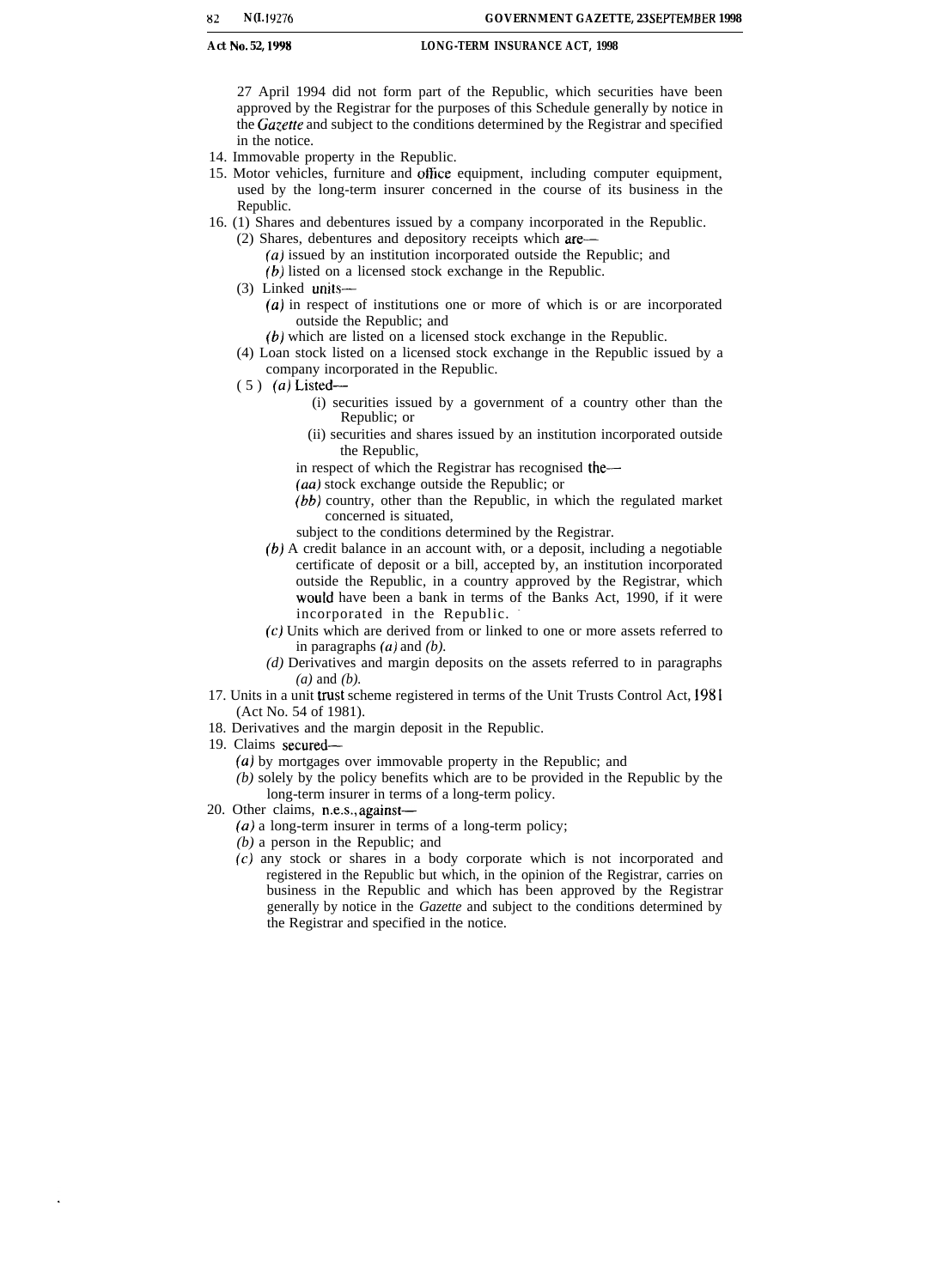27 April 1994 did not form part of the Republic, which securities have been approved by the Registrar for the purposes of this Schedule generally by notice in the *Gazette* and subject to the conditions determined by the Registrar and specified in the notice.

- 14. Immovable property in the Republic.
- 15. Motor vehicles, furniture and office equipment, including computer equipment, used by the long-term insurer concerned in the course of its business in the Republic.
- 16. (1) Shares and debentures issued by a company incorporated in the Republic.
	- (2) Shares, debentures and depository receipts which are—
		- *(a)* issued by an institution incorporated outside the Republic; and
		- (b) listed on a licensed stock exchange in the Republic.
	- (3) Linked units—
		- *(a)* in respect of institutions one or more of which is or are incorporated outside the Republic; and
		- (b) which are listed on a licensed stock exchange in the Republic.
	- (4) Loan stock listed on a licensed stock exchange in the Republic issued by a company incorporated in the Republic.
	- (5) *(a)* Listed—
		- (i) securities issued by a government of a country other than the Republic; or
		- (ii) securities and shares issued by an institution incorporated outside the Republic,
		- in respect of which the Registrar has recognised the—
		- *(aa)* stock exchange outside the Republic; or
		- *(bb)* country, other than the Republic, in which the regulated market concerned is situated,
		- subject to the conditions determined by the Registrar.
		- *(b)* A credit balance in an account with, or a deposit, including a negotiable certificate of deposit or a bill, accepted by, an institution incorporated outside the Republic, in a country approved by the Registrar, which would have been a bank in terms of the Banks Act, 1990, if it were incorporated in the Republic.
		- (c) Units which are derived from or linked to one or more assets referred to in paragraphs *(a)* and *(b).*
		- *(d)* Derivatives and margin deposits on the assets referred to in paragraphs *(a)* and *(b).*
- 17. Units in a unit trust scheme registered in terms of the Unit Trusts Control Act, 1981 (Act No. 54 of 1981).
- 18. Derivatives and the margin deposit in the Republic.
- 19. Claims secured—
	- (a) by mortgages over immovable property in the Republic; and
	- *(b)* solely by the policy benefits which are to be provided in the Republic by the long-term insurer in terms of a long-term policy.
- 20. Other claims, n.e.s., against—
	- (a) a long-term insurer in terms of a long-term policy;
	- *(b)* a person in the Republic; and
	- (c) any stock or shares in a body corporate which is not incorporated and registered in the Republic but which, in the opinion of the Registrar, carries on business in the Republic and which has been approved by the Registrar generally by notice in the *Gazette* and subject to the conditions determined by the Registrar and specified in the notice.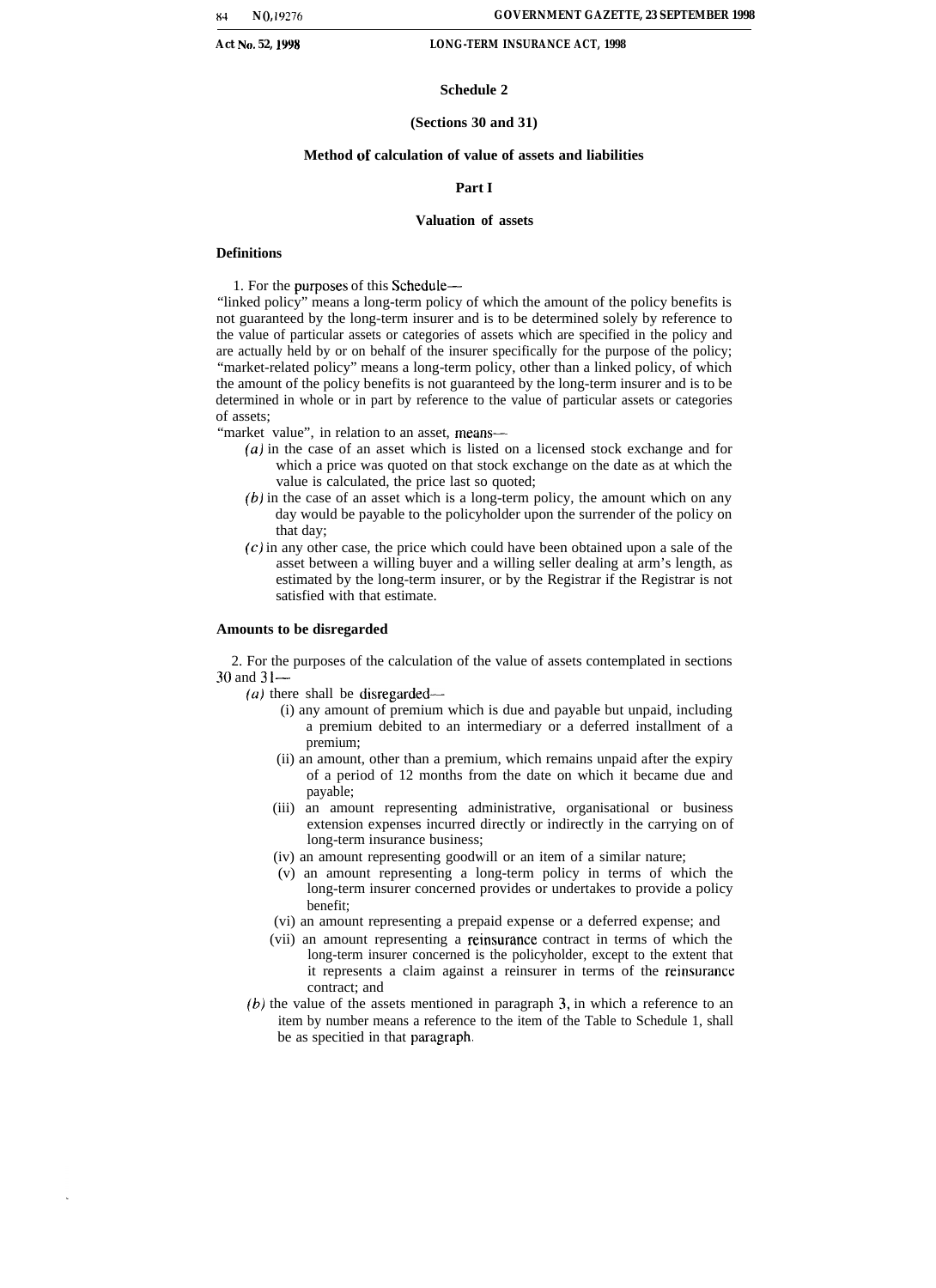#### **Schedule 2**

#### **(Sections 30 and 31)**

### **Method of calculation of value of assets and liabilities**

#### **Part I**

#### **Valuation of assets**

#### **Definitions**

1. For the purposes of this Schedule—

"linked policy" means a long-term policy of which the amount of the policy benefits is not guaranteed by the long-term insurer and is to be determined solely by reference to the value of particular assets or categories of assets which are specified in the policy and are actually held by or on behalf of the insurer specifically for the purpose of the policy; "market-related policy" means a long-term policy, other than a linked policy, of which the amount of the policy benefits is not guaranteed by the long-term insurer and is to be determined in whole or in part by reference to the value of particular assets or categories of assets;

"market value", in relation to an asset, means-

- (a) in the case of an asset which is listed on a licensed stock exchange and for which a price was quoted on that stock exchange on the date as at which the value is calculated, the price last so quoted;
- $(b)$  in the case of an asset which is a long-term policy, the amount which on any day would be payable to the policyholder upon the surrender of the policy on that day;
- (c) in any other case, the price which could have been obtained upon a sale of the asset between a willing buyer and a willing seller dealing at arm's length, as estimated by the long-term insurer, or by the Registrar if the Registrar is not satisfied with that estimate.

#### **Amounts to be disregarded**

2. For the purposes of the calculation of the value of assets contemplated in sections 30 and 31—

(*a*) there shall be disregarded—

- (i) any amount of premium which is due and payable but unpaid, including a premium debited to an intermediary or a deferred installment of a premium;
- (ii) an amount, other than a premium, which remains unpaid after the expiry of a period of 12 months from the date on which it became due and payable;
- (iii) an amount representing administrative, organisational or business extension expenses incurred directly or indirectly in the carrying on of long-term insurance business;
- (iv) an amount representing goodwill or an item of a similar nature;
- (v) an amount representing a long-term policy in terms of which the long-term insurer concerned provides or undertakes to provide a policy benefit;
- (vi) an amount representing a prepaid expense or a deferred expense; and
- (vii) an amount representing a reinsurance contract in terms of which the long-term insurer concerned is the policyholder, except to the extent that it represents a claim against a reinsurer in terms of the reinsurance contract; and
- *(b)* the value of the assets mentioned in paragraph 3, in which a reference to an item by number means a reference to the item of the Table to Schedule 1, shall be as specified in that paragraph.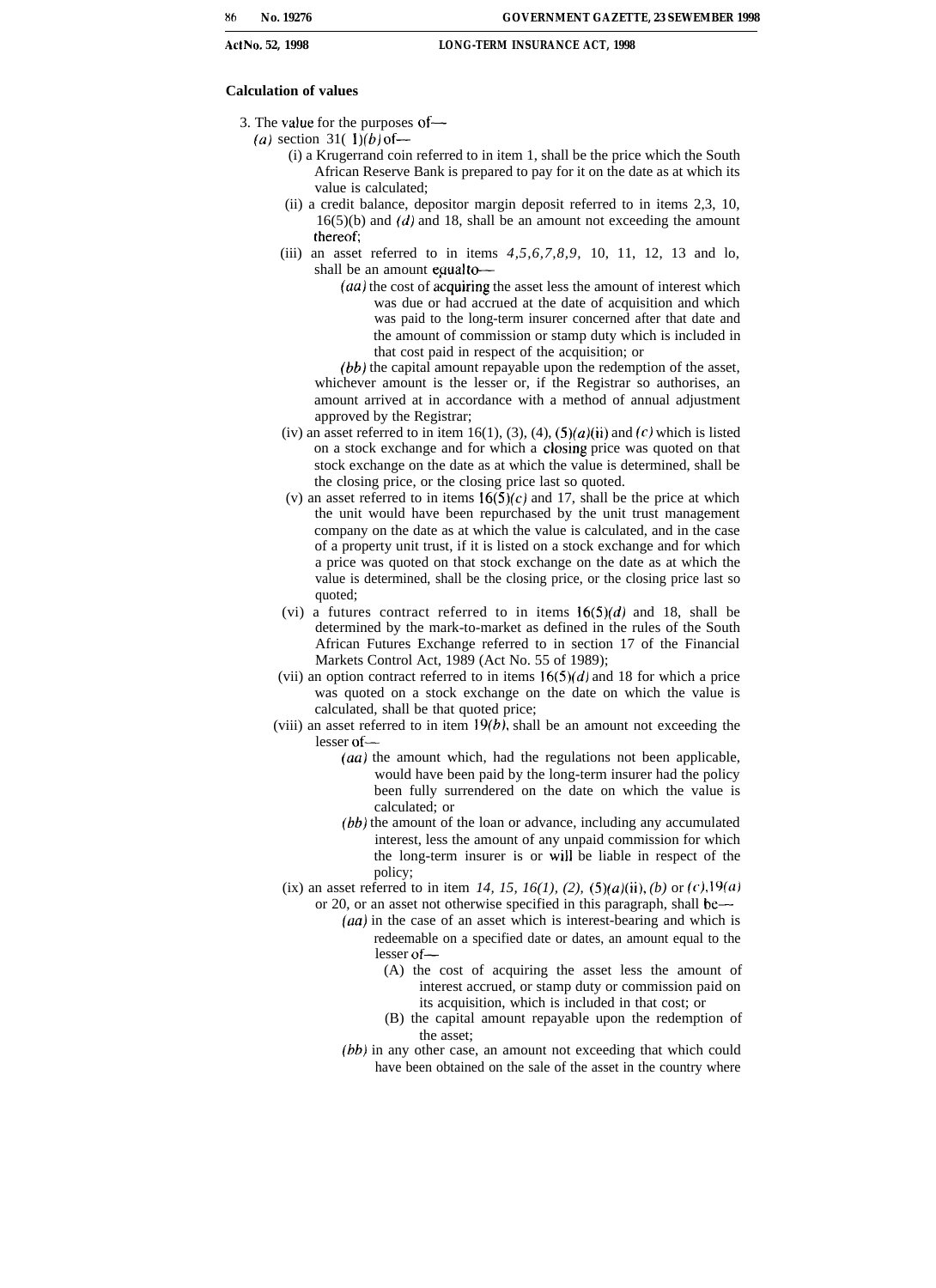#### **Calculation of values**

- 3. The value for the purposes of—
	- (a) section 31( $1$ )(b) of
		- (i) a Krugerrand coin referred to in item 1, shall be the price which the South African Reserve Bank is prepared to pay for it on the date as at which its value is calculated;
		- (ii) a credit balance, depositor margin deposit referred to in items 2,3, 10,  $16(5)(b)$  and  $(d)$  and 18, shall be an amount not exceeding the amount thereof;
		- (iii) an asset referred to in items *4,5,6,7,8,9,* 10, 11, 12, 13 and lo, shall be an amount equal to-
			- $(a\alpha)$  the cost of acquiring the asset less the amount of interest which was due or had accrued at the date of acquisition and which was paid to the long-term insurer concerned after that date and the amount of commission or stamp duty which is included in that cost paid in respect of the acquisition; or

*(bb)* the capital amount repayable upon the redemption of the asset, whichever amount is the lesser or, if the Registrar so authorises, an amount arrived at in accordance with a method of annual adjustment approved by the Registrar;

- (iv) an asset referred to in item 16(1), (3), (4),  $(5)(a)(ii)$  and  $(c)$  which is listed on a stock exchange and for which a closing price was quoted on that stock exchange on the date as at which the value is determined, shall be the closing price, or the closing price last so quoted.
- (v) an asset referred to in items  $16(5)(c)$  and 17, shall be the price at which the unit would have been repurchased by the unit trust management company on the date as at which the value is calculated, and in the case of a property unit trust, if it is listed on a stock exchange and for which a price was quoted on that stock exchange on the date as at which the value is determined, shall be the closing price, or the closing price last so quoted;
- (vi) a futures contract referred to in items  $16(5)(d)$  and 18, shall be determined by the mark-to-market as defined in the rules of the South African Futures Exchange referred to in section 17 of the Financial Markets Control Act, 1989 (Act No. 55 of 1989);
- (vii) an option contract referred to in items  $16(5)(d)$  and 18 for which a price was quoted on a stock exchange on the date on which the value is calculated, shall be that quoted price;
- (viii) an asset referred to in item  $19(b)$ , shall be an amount not exceeding the lesser of—
	- *(au)* the amount which, had the regulations not been applicable, would have been paid by the long-term insurer had the policy been fully surrendered on the date on which the value is calculated; or
	- *(bb)* the amount of the loan or advance, including any accumulated interest, less the amount of any unpaid commission for which the long-term insurer is or will be liable in respect of the policy;
- (ix) an asset referred to in item 14, 15, 16(1), (2),  $(5)(a)(ii)$ , (b) or (c), 19(a) or 20, or an asset not otherwise specified in this paragraph, shall be—
	- $(aa)$  in the case of an asset which is interest-bearing and which is redeemable on a specified date or dates, an amount equal to the lesser of—
		- (A) the cost of acquiring the asset less the amount of interest accrued, or stamp duty or commission paid on its acquisition, which is included in that cost; or
		- (B) the capital amount repayable upon the redemption of the asset;
	- *(bb)* in any other case, an amount not exceeding that which could have been obtained on the sale of the asset in the country where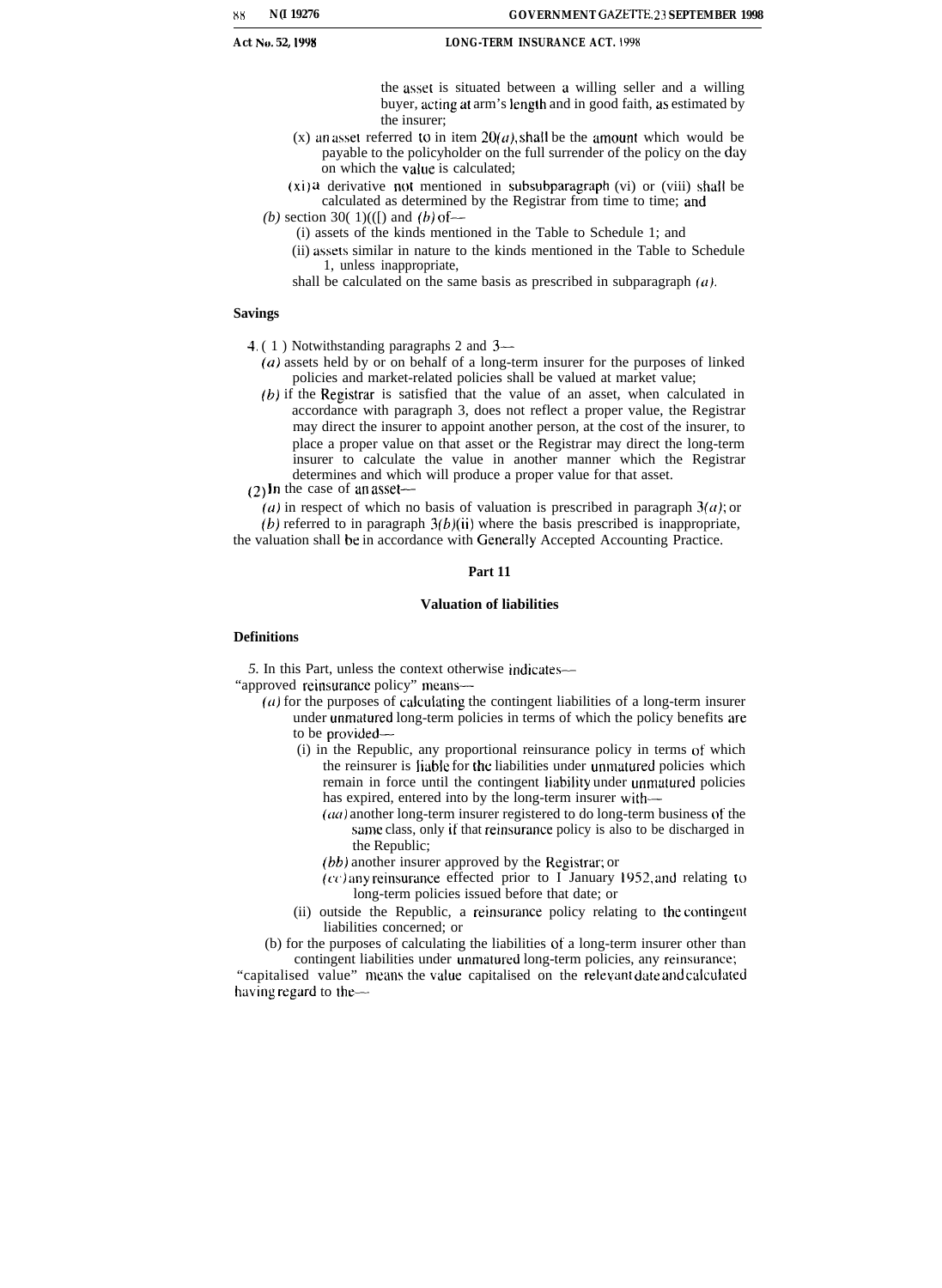the asset is situated between a willing seller and a willing buyer, acting at arm's length and in good faith, as estimated by the insurer;

- (x) an asset referred to in item  $20(a)$ , shall be the amount which would be payable to the policyholder on the full surrender of the policy on the day on which the value is calculated;
- $(xi)$  a derivative not mentioned in subsubparagraph (vi) or (viii) shall be calculated as determined by the Registrar from time to time; and
- (b) section 30( $1$ )(([) and (b) of
	- (i) assets of the kinds mentioned in the Table to Schedule 1; and
		- (ii) assets similar in nature to the kinds mentioned in the Table to Schedule 1, unless inappropriate,

shall be calculated on the same basis as prescribed in subparagraph  $(a)$ .

#### **Savings**

- 4. ( 1 ) Notwithstanding paragraphs 2 and 3—
	- $(a)$  assets held by or on behalf of a long-term insurer for the purposes of linked policies and market-related policies shall be valued at market value;
	- $(b)$  if the Registrar is satisfied that the value of an asset, when calculated in accordance with paragraph 3, does not reflect a proper value, the Registrar may direct the insurer to appoint another person, at the cost of the insurer, to place a proper value on that asset or the Registrar may direct the long-term insurer to calculate the value in another manner which the Registrar determines and which will produce a proper value for that asset.
- $(2)$  In the case of an asset—

(a) in respect of which no basis of valuation is prescribed in paragraph  $3(a)$ ; or  $(b)$  referred to in paragraph  $3(b)(ii)$  where the basis prescribed is inappropriate, the valuation shall be in accordance with Genemlly Accepted Accounting Practice.

#### **Part 11**

#### **Valuation of liabilities**

#### **Definitions**

*5.* In this Part, unless the context otherwise indicates—

"approved reinsurance policy" means-

- $(a)$  for the purposes of calculating the contingent liabilities of a long-term insurer under unmatured long-term policies in terms of which the policy benefits are to be provided–
	- (i) in the Republic, any proportional reinsurance policy in terms of which the reinsurer is liable for the liabilities under unmatured policies which remain in force until the contingent liability under unmatured policies has expired, entered into by the long-term insurer with-
		- $(aa)$  another long-term insurer registered to do long-term business of the same class, only if that reinsurance policy is also to be discharged in the Republic;
		- *(bb)* another insurer approved by the Registrar; or
		- $(cc)$  any reinsurance effected prior to I January 1952, and relating to long-term policies issued before that date; or
	- (ii) outside the Republic, a reinsurance policy relating to the contingent liabilities concerned; or

(b) for the purposes of calculating the liabilities of a long-term insurer other than contingent liabilities under unmatured long-term policies, any reinsurance;

"capitalised value" means the value capitalised on the relevant date and calculated having regard to the—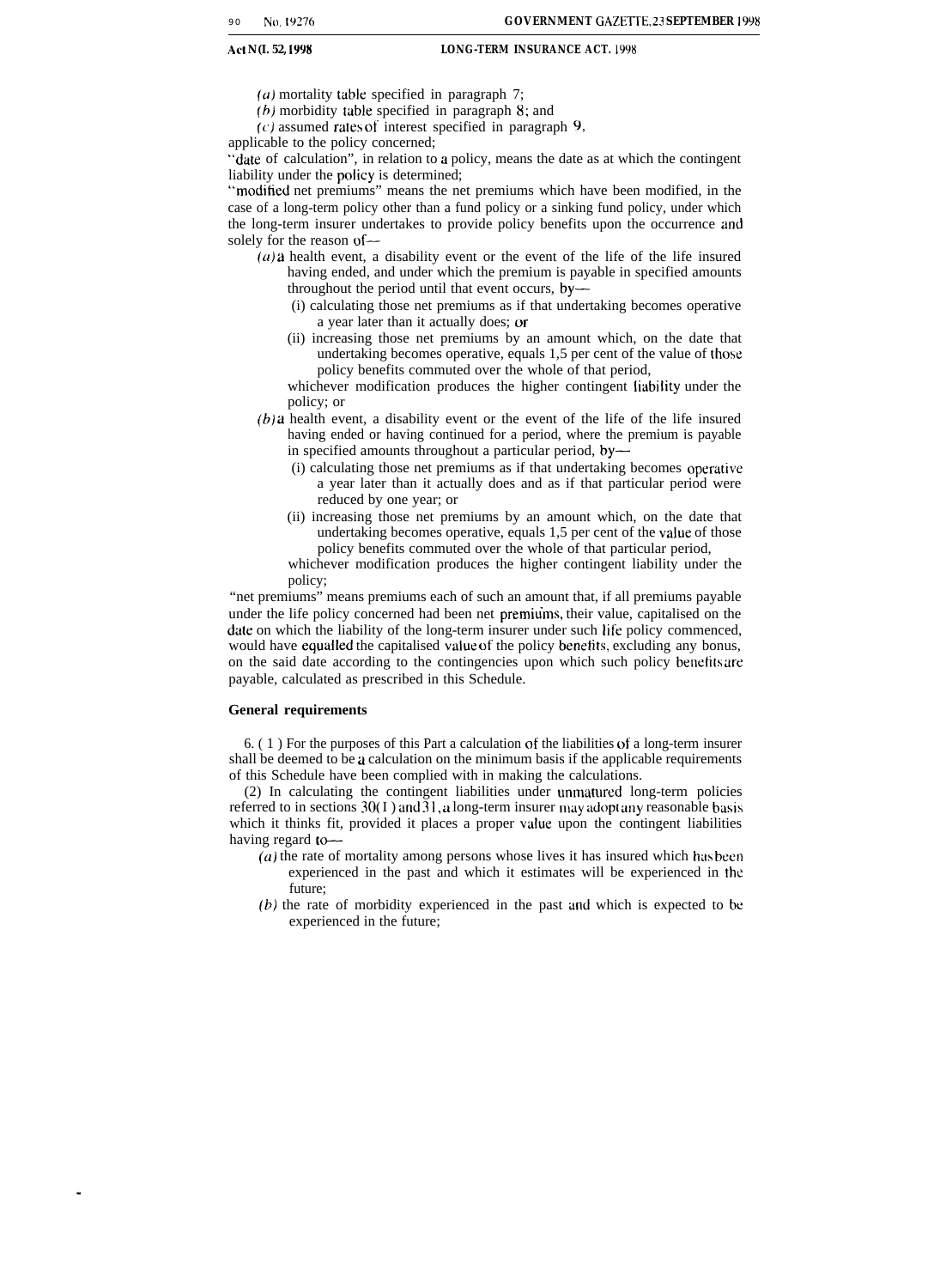- (a) mortality table specified in paragraph 7;
- (b) morbidity table specified in paragraph 8; and
- $(c)$  assumed rates of interest specified in paragraph 9,

applicable to the policy concerned;

"date of calculation", in relation to a policy, means the date as at which the contingent liability under the policy is determined;

"moditied net premiums" means the net premiums which have been modified, in the case of a long-term policy other than a fund policy or a sinking fund policy, under which the long-term insurer undertakes to provide policy benefits upon the occurrence and solely for the reason of—

- $(a)$  a health event, a disability event or the event of the life of the life insured having ended, and under which the premium is payable in specified amounts throughout the period until that event occurs, by—
	- (i) calculating those net premiums as if that undertaking becomes operative a year later than it actually does; or
	- (ii) increasing those net premiums by an amount which, on the date that undertaking becomes operative, equals 1,5 per cent of the value of those policy benefits commuted over the whole of that period,

whichever modification produces the higher contingent liability under the policy; or

- $(b)$  *a* health event, a disability event or the event of the life of the life insured having ended or having continued for a period, where the premium is payable in specified amounts throughout a particular period, by—
	- (i) calculating those net premiums as if that undertaking becomes opemtive a year later than it actually does and as if that particular period were reduced by one year; or
	- (ii) increasing those net premiums by an amount which, on the date that undertaking becomes operative, equals 1,5 per cent of the value of those policy benefits commuted over the whole of that particular period,

whichever modification produces the higher contingent liability under the policy;

"net premiums" means premiums each of such an amount that, if all premiums payable under the life policy concerned had been net premiuhs, their value, capitalised on the date on which the liability of the long-term insurer under such life policy commenced, would have equalled the capitalised value of the policy benefits, excluding any bonus, on the said date according to the contingencies upon which such policy benelits are payable, calculated as prescribed in this Schedule.

#### **General requirements**

6. ( 1 ) For the purposes of this Part a calculation of the liabilities of a long-term insurer shall be deemed to be a calculation on the minimum basis if the applicable requirements of this Schedule have been complied with in making the calculations.

(2) In calculating the contingent liabilities under unnratured long-term policies referred to in sections  $30(1)$  and  $31$ , a long-term insurer may adopt any reasonable basis which it thinks fit, provided it places a proper value upon the contingent liabilities having regard to-

- $(a)$  the rate of mortality among persons whose lives it has insured which has been experienced in the past and which it estimates will be experienced in the future;
- *(b)* the rate of morbidity experienced in the past und which is expected to bc experienced in the future;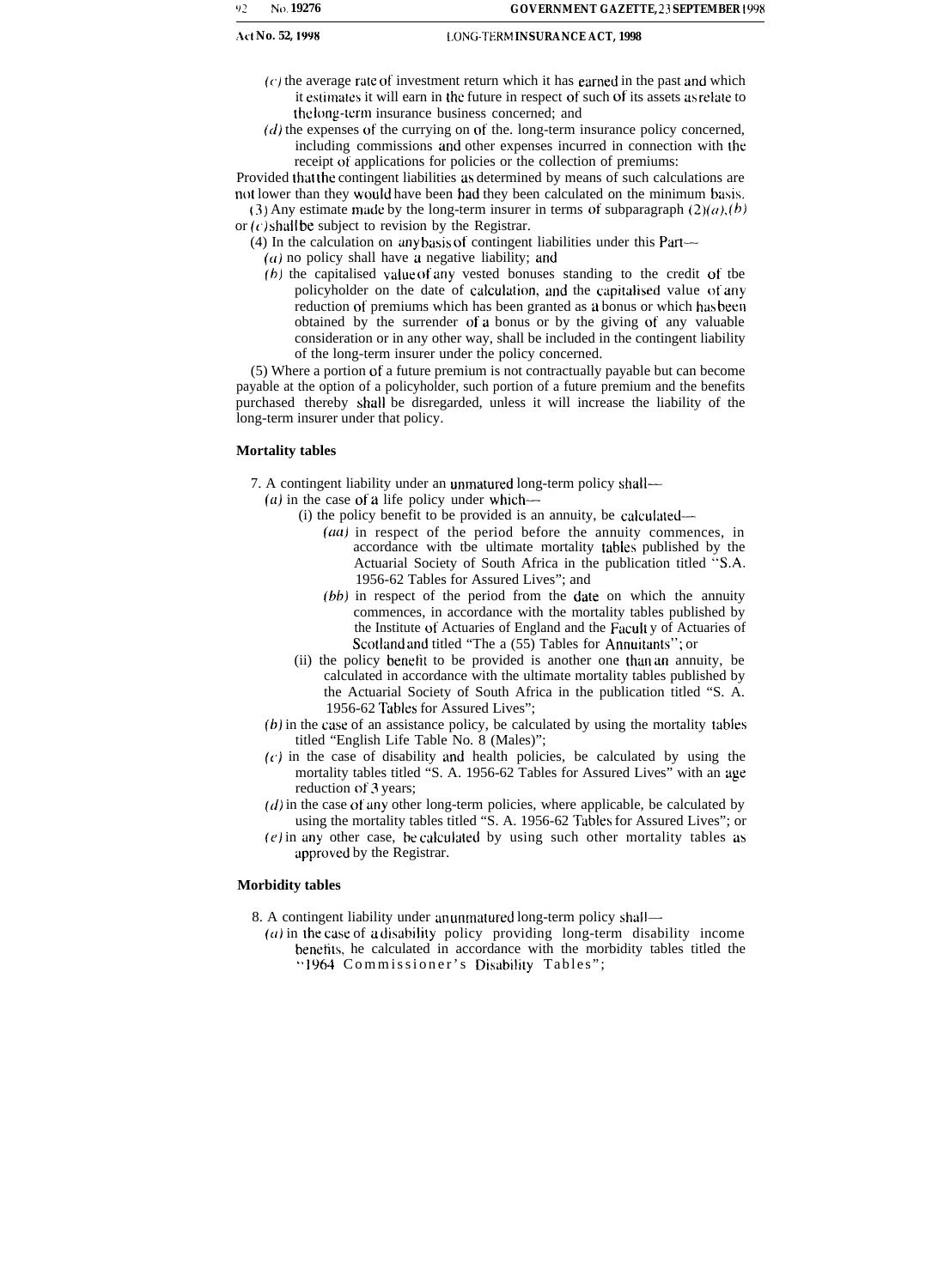- (c) the average rate of investment return which it has earned in the past and which it estimates it will earn in the future in respect of such of its assets as relate to the long-term insurance business concerned; and
- $(d)$  the expenses of the currying on of the. long-term insurance policy concerned, including commissions and other expenses incurred in connection with the receipt of applications for policies or the collection of premiums:

Provided that the contingent liabilities as determined by means of such calculations are not lower than they would have been had they been calculated on the minimum basis. (3) Any estimate made by the long-term insurer in terms of subparagraph  $(2)(a)$ ,  $(b)$ 

- or  $(c)$  shall be subject to revision by the Registrar.
	- (4) In the calculation on any basis of contingent liabilities under this Part—
		- $(a)$  no policy shall have a negative liability; and
		- (b) the capitalised value of any vested bonuses standing to the credit of tbe policyholder on the date of calculation, and the capitalised value of any reduction of premiums which has been granted as a bonus or which has been obtained by the surrender of a bonus or by the giving ot' any valuable consideration or in any other way, shall be included in the contingent liability of the long-term insurer under the policy concerned.

(5) Where a portion of a future premium is not contractually payable but can become payable at the option of a policyholder, such portion of a future premium and the benefits purchased thereby shall be disregarded, unless it will increase the liability of the long-term insurer under that policy.

### **Mortality tables**

7. A contingent liability under an unmatured long-term policy shall—

 $(a)$  in the case of a life policy under which—

- (i) the policy benefit to be provided is an annuity, be calculated—
	- $(aa)$  in respect of the period before the annuity commences, in accordance with tbe ultimate mortality tables published by the Actuarial Society of South Africa in the publication titled "S.A. 1956-62 Tables for Assured Lives"; and
	- (bb) in respect of the period from the date on which the annuity commences, in accordance with the mortality tables published by the Institute of Actuaries of England and the Facult y of Actuaries of Scotland and titled "The a (55) Tables for Annuitants"; or
- (ii) the policy benetit to be provided is another one thim an annuity, be calculated in accordance with the ultimate mortality tables published by the Actuarial Society of South Africa in the publication titled "S. A. 1956-62 Tables for Assured Lives";
- (b) in the case of an assistance policy, be calculated by using the mortality tables titled "English Life Table No. 8 (Males)";
- $(c)$  in the case of disability and health policies, be calculated by using the mortality tables titled "S. A. 1956-62 Tables for Assured Lives" with an age reduction of 3 years;
- $(d)$  in the case of any other long-term policies, where applicable, be calculated by using the mortality tables titled "S. A. 1956-62 Tables for Assured Lives"; or
- (e) in any other case, be calculated by using such other mortality tables as upproved by the Registrar.

### **Morbidity tables**

8. A contingent liability under an unmatured long-term policy shall—

 $(a)$  in the case of a disability policy providing long-term disability income benetits, he calculated in accordance with the morbidity tables titled the "1964 Commissioner's Disability Tables";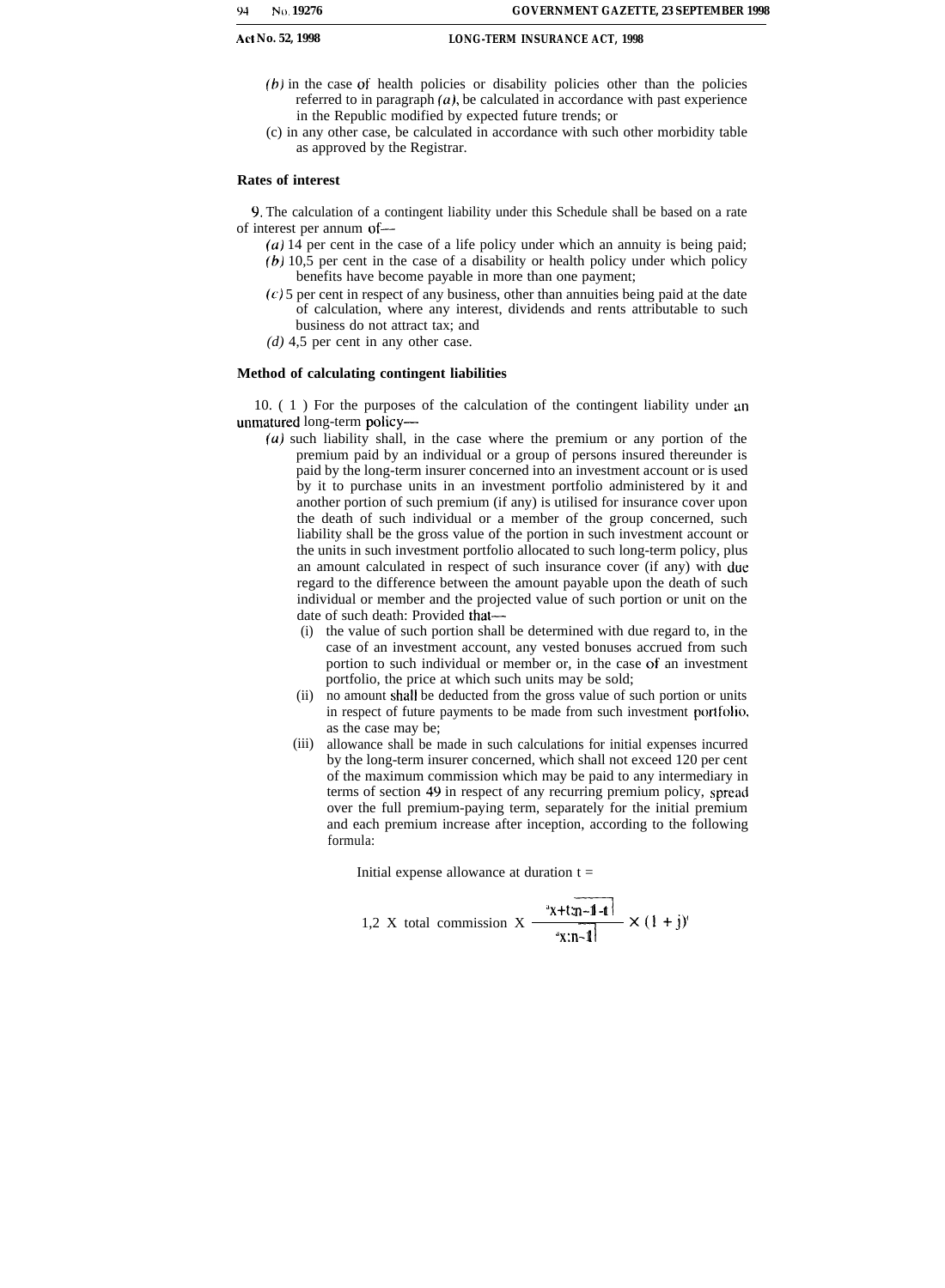- $(b)$  in the case of health policies or disability policies other than the policies referred to in paragraph  $(a)$ , be calculated in accordance with past experience in the Republic modified by expected future trends; or
- (c) in any other case, be calculated in accordance with such other morbidity table as approved by the Registrar.

### **Rates of interest**

9. The calculation of a contingent liability under this Schedule shall be based on a rate of interest per annum of—

- (a) 14 per cent in the case of a life policy under which an annuity is being paid; *(6)* 10,5 per cent in the case of a disability or health policy under which policy
- benefits have become payable in more than one payment;
- $(c)$  5 per cent in respect of any business, other than annuities being paid at the date of calculation, where any interest, dividends and rents attributable to such business do not attract tax; and
- *(d)* 4,5 per cent in any other case.

### **Method of calculating contingent liabilities**

10. ( 1 ) For the purposes of the calculation of the contingent liability under an unmatured long-term policy—

- $(u)$  such liability shall, in the case where the premium or any portion of the premium paid by an individual or a group of persons insured thereunder is paid by the long-term insurer concerned into an investment account or is used by it to purchase units in an investment portfolio administered by it and another portion of such premium (if any) is utilised for insurance cover upon the death of such individual or a member of the group concerned, such liability shall be the gross value of the portion in such investment account or the units in such investment portfolio allocated to such long-term policy, plus an amount calculated in respect of such insurance cover (if any) with due regard to the difference between the amount payable upon the death of such individual or member and the projected value of such portion or unit on the date of such death: Provided that—
	- (i) the value of such portion shall be determined with due regard to, in the case of an investment account, any vested bonuses accrued from such portion to such individual or member or, in the case of an investment portfolio, the price at which such units may be sold;
	- (ii) no amount shall be deducted from the gross value of such portion or units in respect of future payments to be made from such investment portfolio, as the case may be;
	- (iii) allowance shall be made in such calculations for initial expenses incurred by the long-term insurer concerned, which shall not exceed 120 per cent of the maximum commission which may be paid to any intermediary in terms of section 49 in respect of any recurring premium policy, spread over the full premium-paying term, separately for the initial premium and each premium increase after inception, according to the following formula:

Initial expense allowance at duration t =  
1,2 X total commission X 
$$
\frac{4x + t:n - 1 - 1}{x \cdot n - 1}
$$
 x (1 + j)'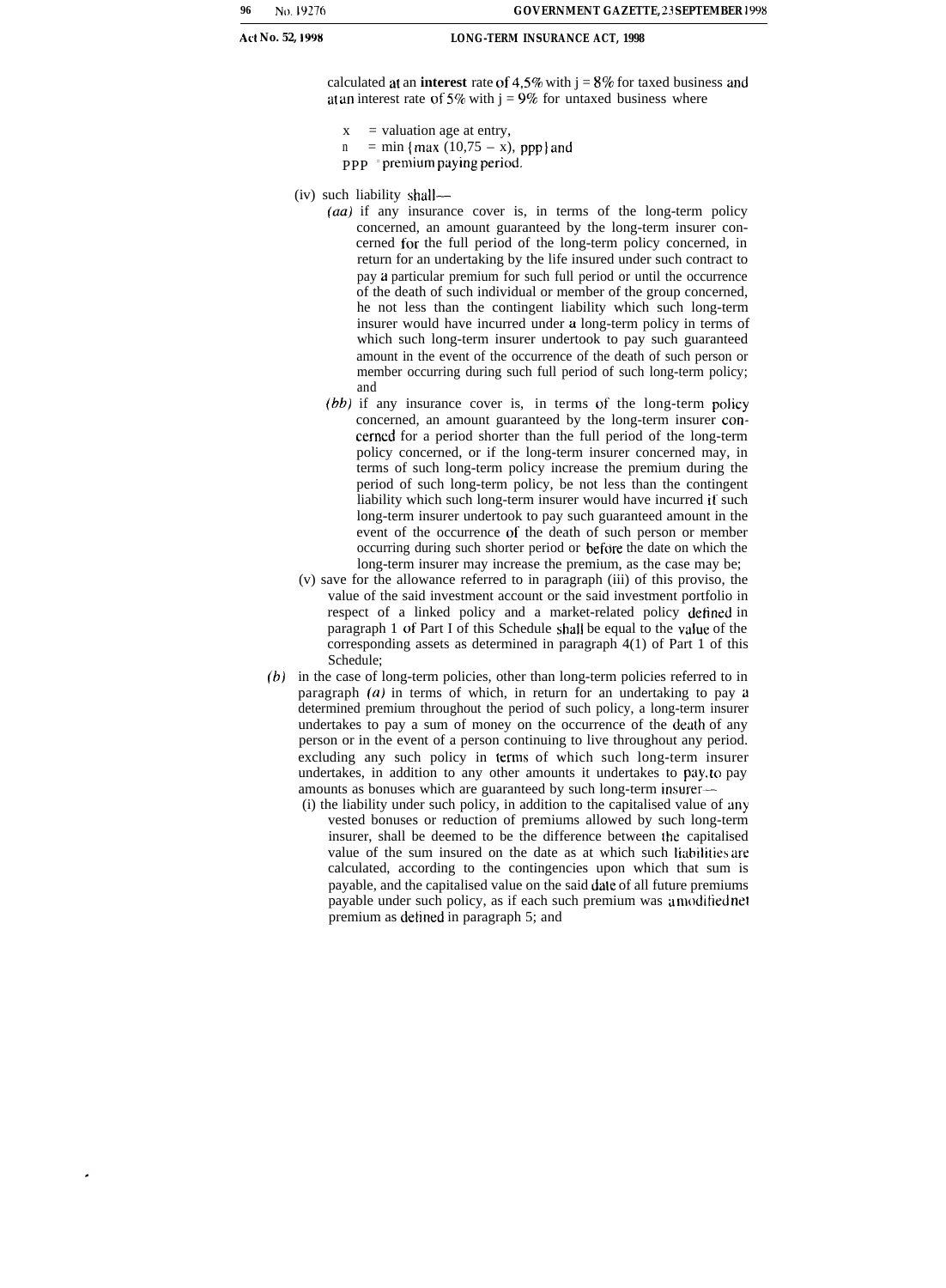calculated at an **interest** rate of 4.5% with  $i = 8\%$  for taxed business and at an interest rate of  $5\%$  with  $j = 9\%$  for untaxed business where

- $x =$  valuation age at entry,
- $n = min \{max (10,75 x), ppp\}$  and
- $ppP$  = premium paying period.
- (iv) such liability shall—
	- *(au)* if any insurance cover is, in terms of the long-term policy concerned, an amount guaranteed by the long-term insurer concerned for the full period of the long-term policy concerned, in return for an undertaking by the life insured under such contract to pay a particular premium for such full period or until the occurrence of the death of such individual or member of the group concerned, he not less than the contingent liability which such long-term insurer would have incurred under a long-term policy in terms of which such long-term insurer undertook to pay such guaranteed amount in the event of the occurrence of the death of such person or member occurring during such full period of such long-term policy; and
	- *(bb)* if any insurance cover is, in terms of the long-term policy concerned, an amount guaranteed by the long-term insurer concerned for a period shorter than the full period of the long-term policy concerned, or if the long-term insurer concerned may, in terms of such long-term policy increase the premium during the period of such long-term policy, be not less than the contingent liability which such long-term insurer would have incurred if such long-term insurer undertook to pay such guaranteed amount in the event of the occurrence of the death of such person or member occurring during such shorter period or before the date on which the long-term insurer may increase the premium, as the case may be;
- (v) save for the allowance referred to in paragraph (iii) of this proviso, the value of the said investment account or the said investment portfolio in respect of a linked policy and a market-related policy defined in paragraph 1 of Part I of this Schedule shall be equal to the value of the corresponding assets as determined in paragraph 4(1) of Part 1 of this Schedule;
- (b) in the case of long-term policies, other than long-term policies referred to in paragraph  $(a)$  in terms of which, in return for an undertaking to pay a determined premium throughout the period of such policy, a long-term insurer undertakes to pay a sum of money on the occurrence of the death of any person or in the event of a person continuing to live throughout any period. excluding any such policy in terms of which such long-term insurer undertakes, in addition to any other amounts it undertakes to pay, to pay amounts as bonuses which are guaranteed by such long-term insurer—
	- (i) the liability under such policy, in addition to the capitalised value of any vested bonuses or reduction of premiums allowed by such long-term insurer, shall be deemed to be the difference between the capitalised value of the sum insured on the date as at which such liabilities are calculated, according to the contingencies upon which that sum is payable, and the capitalised value on the said dale of all future premiums payable under such policy, as if each such premium was u moditied net premium as detined in paragraph 5; and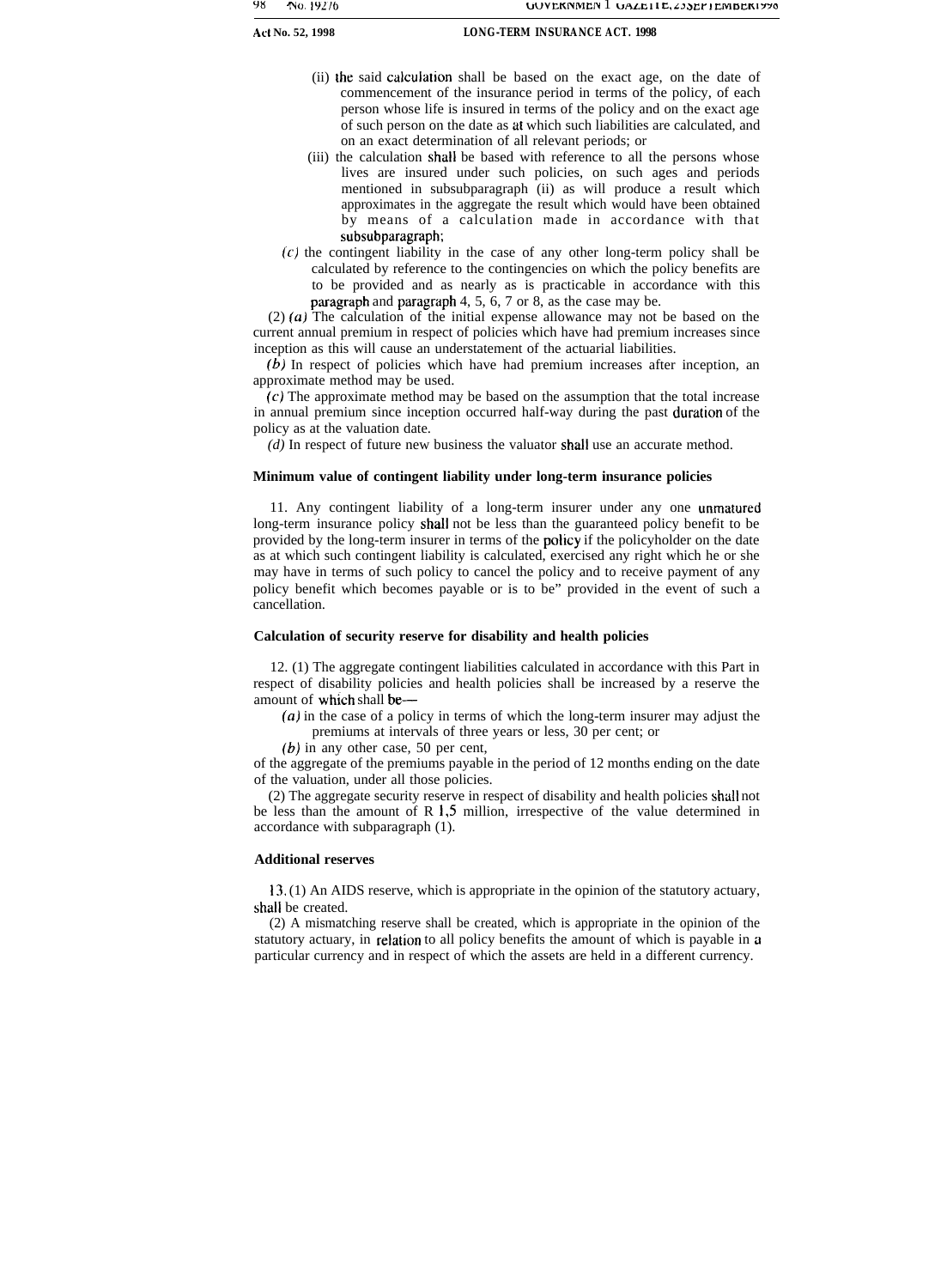- (ii) the said calculation shall be based on the exact age, on the date of commencement of the insurance period in terms of the policy, of each person whose life is insured in terms of the policy and on the exact age of such person on the date as at which such liabilities are calculated, and on an exact determination of all relevant periods; or
- (iii) the calculation shall be based with reference to all the persons whose lives are insured under such policies, on such ages and periods mentioned in subsubparagraph (ii) as will produce a result which approximates in the aggregate the result which would have been obtained by means of a calculation made in accordance with that subsubparagraph;
- $(c)$  the contingent liability in the case of any other long-term policy shall be calculated by reference to the contingencies on which the policy benefits are to be provided and as nearly as is practicable in accordance with this paragraph and paragraph 4, 5, 6, 7 or 8, as the case may be.

(2) (a) The calculation of the initial expense allowance may not be based on the current annual premium in respect of policies which have had premium increases since inception as this will cause an understatement of the actuarial liabilities.

(b) In respect of policies which have had premium increases after inception, an approximate method may be used.

(c) The approximate method may be based on the assumption that the total increase in annual premium since inception occurred half-way during the past duration of the policy as at the valuation date.

*(d)* In respect of future new business the valuator shall use an accurate method.

### **Minimum value of contingent liability under long-term insurance policies**

11. Any contingent liability of a long-term insurer under any one unmatured long-term insurance policy shall not be less than the guaranteed policy benefit to be provided by the long-term insurer in terms of the policy if the policyholder on the date as at which such contingent liability is calculated, exercised any right which he or she may have in terms of such policy to cancel the policy and to receive payment of any policy benefit which becomes payable or is to be" provided in the event of such a cancellation.

#### **Calculation of security reserve for disability and health policies**

12. (1) The aggregate contingent liabilities calculated in accordance with this Part in respect of disability policies and health policies shall be increased by a reserve the amount of which shall be—

(a) in the case of a policy in terms of which the long-term insurer may adjust the premiums at intervals of three years or less, 30 per cent; or

*(b)* in any other case, 50 per cent,

of the aggregate of the premiums payable in the period of 12 months ending on the date of the valuation, under all those policies.

(2) The aggregate security reserve in respect of disability and health policies shall not be less than the amount of R 1,5 million, irrespective of the value determined in accordance with subparagraph (1).

#### **Additional reserves**

13. (1) An AIDS reserve, which is appropriate in the opinion of the statutory actuary, shall be created.

(2) A mismatching reserve shall be created, which is appropriate in the opinion of the statutory actuary, in relation to all policy benefits the amount of which is payable in a particular currency and in respect of which the assets are held in a different currency.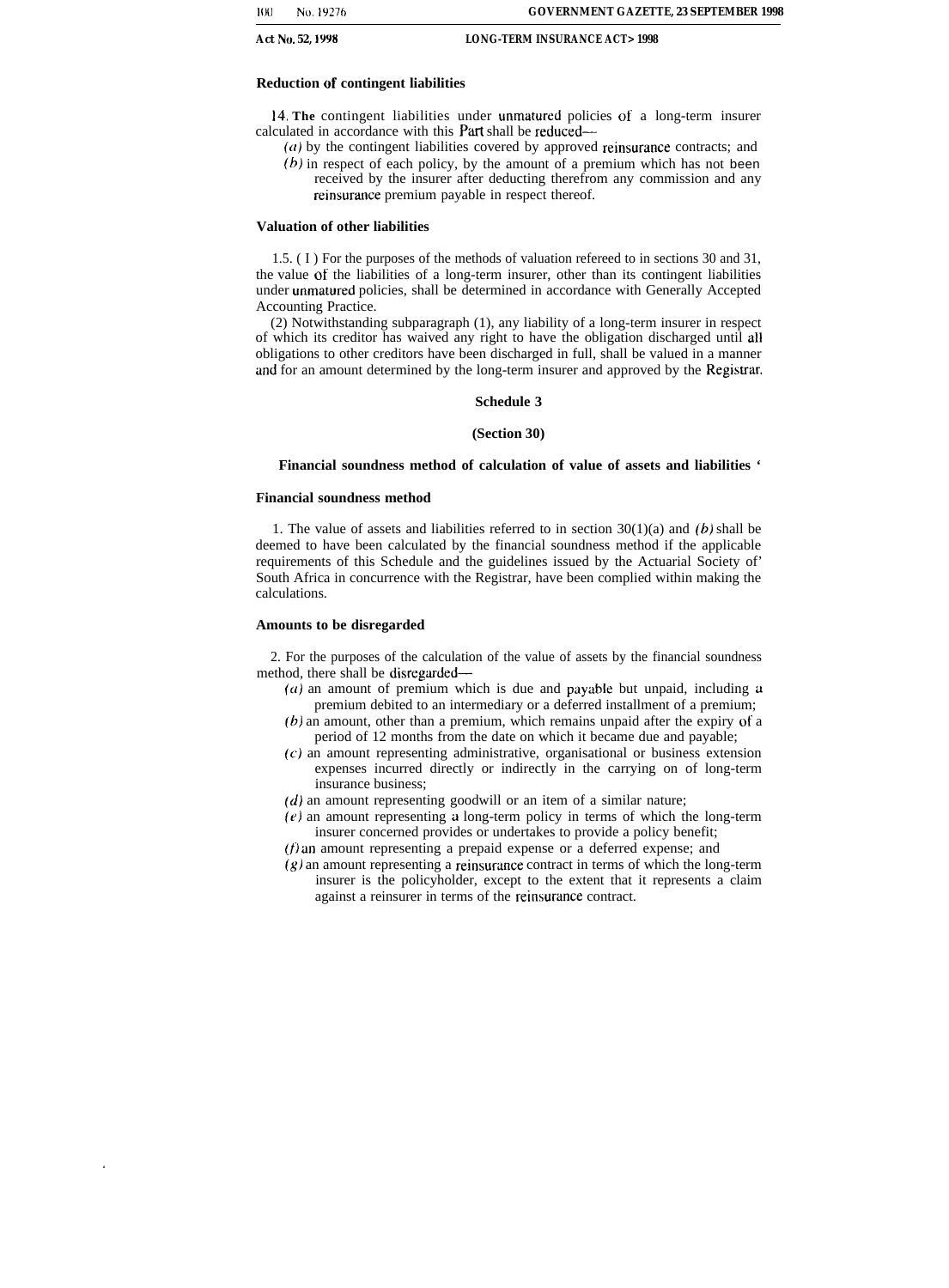### **Reduction of contingent liabilities**

14. **The** contingent liabilities under unmatured policies of a long-term insurer calculated in accordance with this Part shall be reduced—

 $(a)$  by the contingent liabilities covered by approved reinsurance contracts; and *(b)* in respect of each policy, by the amount of a premium which has not been received by the insurer after deducting therefrom any commission and any reinsurance premium payable in respect thereof.

#### **Valuation of other liabilities**

1.5. ( I ) For the purposes of the methods of valuation refereed to in sections 30 and 31, the value of the liabilities of a long-term insurer, other than its contingent liabilities under unmatured policies, shall be determined in accordance with Generally Accepted Accounting Practice.

(2) Notwithstanding subparagraph (1), any liability of a long-term insurer in respect of which its creditor has waived any right to have the obligation discharged until all obligations to other creditors have been discharged in full, shall be valued in a manner and for an amount determined by the long-term insurer and approved by the Registrar.

#### **Schedule 3**

#### **(Section 30)**

#### **Financial soundness method of calculation of value of assets and liabilities '**

#### **Financial soundness method**

1. The value of assets and liabilities referred to in section  $30(1)(a)$  and  $(b)$  shall be deemed to have been calculated by the financial soundness method if the applicable requirements of this Schedule and the guidelines issued by the Actuarial Society of' South Africa in concurrence with the Registrar, have been complied within making the calculations.

#### **Amounts to be disregarded**

2. For the purposes of the calculation of the value of assets by the financial soundness method, there shall be disregarded—

- $(a)$  an amount of premium which is due and payable but unpaid, including a premium debited to an intermediary or a deferred installment of a premium;
- (b) an amount, other than a premium, which remains unpaid after the expiry of a period of 12 months from the date on which it became due and payable;
- (c) an amount representing administrative, organisational or business extension expenses incurred directly or indirectly in the carrying on of long-term insurance business;
- $(d)$  an amount representing goodwill or an item of a similar nature;
- $(e)$  an amount representing a long-term policy in terms of which the long-term insurer concerned provides or undertakes to provide a policy benefit;
- (f) an amount representing a prepaid expense or a deferred expense; and
- $(g)$  an amount representing a reinsurance contract in terms of which the long-term insurer is the policyholder, except to the extent that it represents a claim against a reinsurer in terms of the reinsurance contract.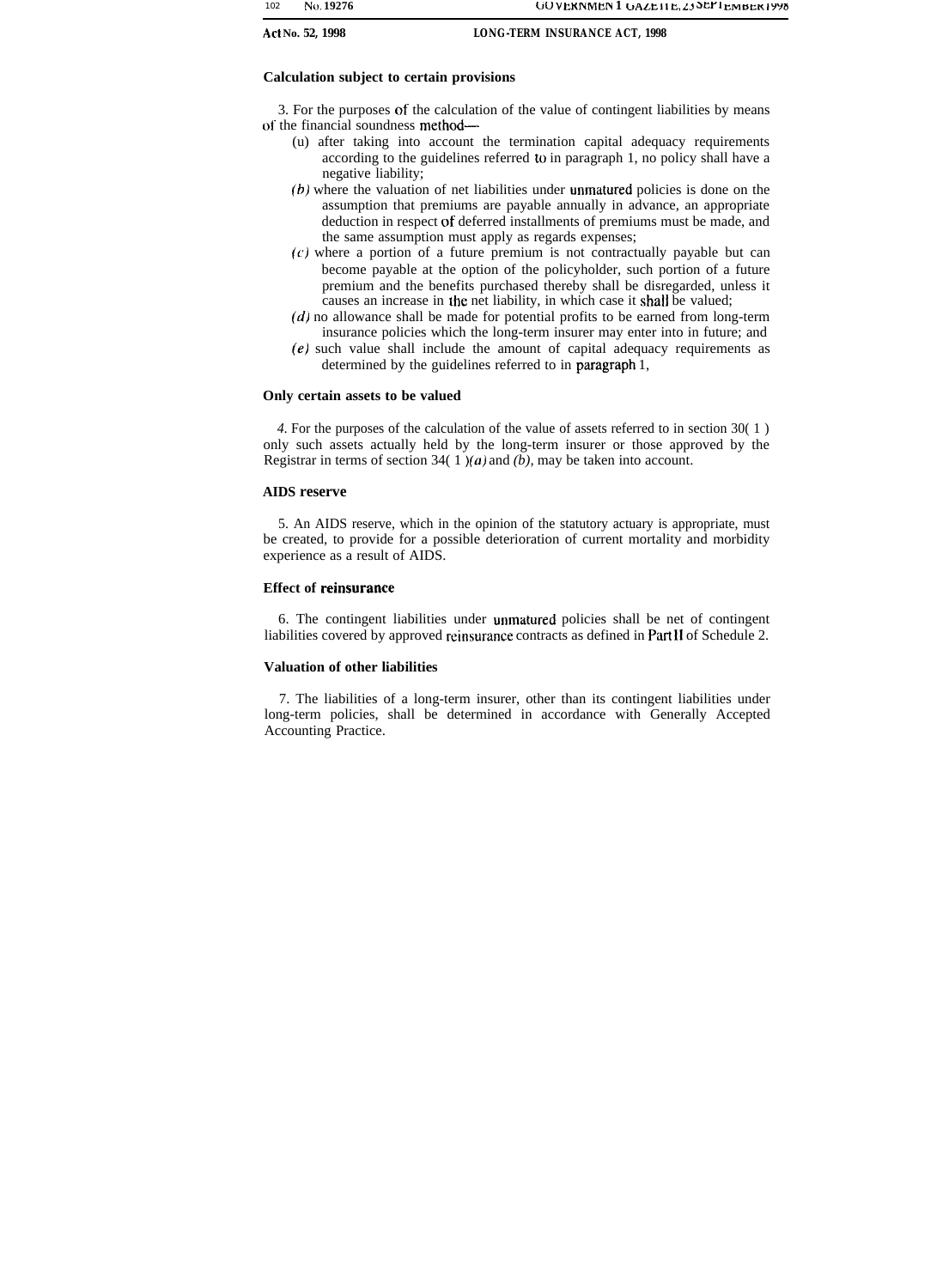### **Calculation subject to certain provisions**

3. For the purposes of the calculation of the value of contingent liabilities by means of the financial soundness method—

- (u) after taking into account the termination capital adequacy requirements according to the guidelines referred to in paragraph 1, no policy shall have a negative liability;
- (b) where the valuation of net liabilities under unmatured policies is done on the assumption that premiums are payable annually in advance, an appropriate deduction in respect of deferred installments of premiums must be made, and the same assumption must apply as regards expenses;
- $(c)$  where a portion of a future premium is not contractually payable but can become payable at the option of the policyholder, such portion of a future premium and the benefits purchased thereby shall be disregarded, unless it causes an increase in the net liability, in which case it shall be valued;
- $(d)$  no allowance shall be made for potential profits to be earned from long-term insurance policies which the long-term insurer may enter into in future; and
- (e) such value shall include the amount of capital adequacy requirements as determined by the guidelines referred to in paragraph 1,

### **Only certain assets to be valued**

*4.* For the purposes of the calculation of the value of assets referred to in section 30( 1 ) only such assets actually held by the long-term insurer or those approved by the Registrar in terms of section 34( 1 )(a) and *(b),* may be taken into account.

### **AIDS reserve**

5. An AIDS reserve, which in the opinion of the statutory actuary is appropriate, must be created, to provide for a possible deterioration of current mortality and morbidity experience as a result of AIDS.

### **Effect of reinsurance**

6. The contingent liabilities under unmatured policies shall be net of contingent liabilities covered by approved reinsurance contracts as defined in Part II of Schedule 2.

### **Valuation of other liabilities**

7. The liabilities of a long-term insurer, other than its contingent liabilities under long-term policies, shall be determined in accordance with Generally Accepted Accounting Practice.